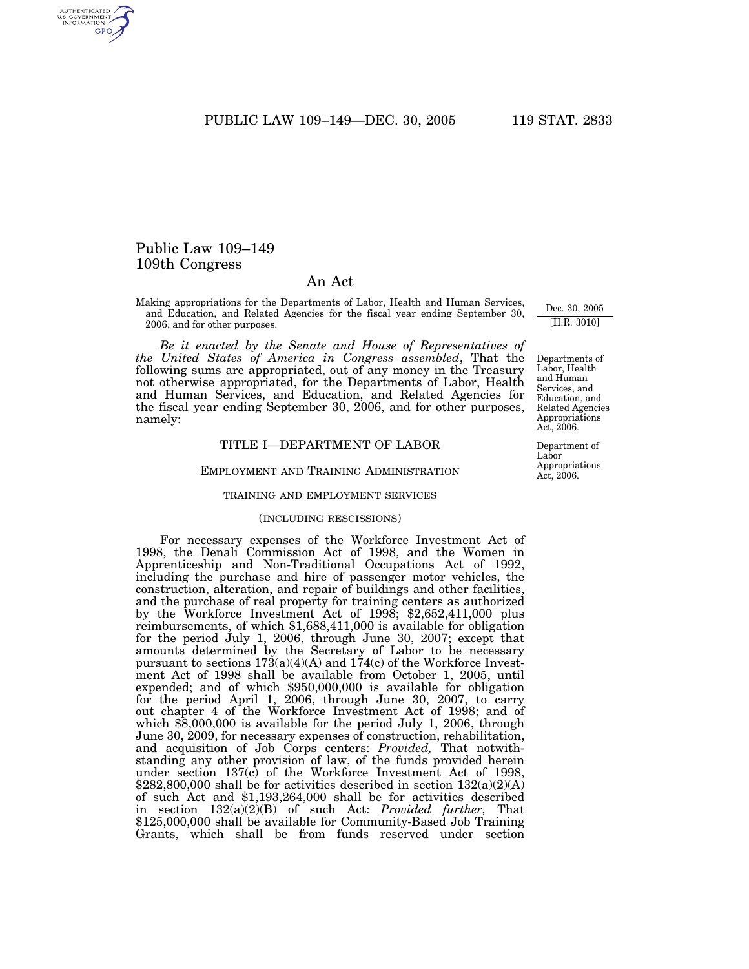PUBLIC LAW 109-149-DEC. 30, 2005 119 STAT. 2833

# Public Law 109–149 109th Congress

# An Act

Making appropriations for the Departments of Labor, Health and Human Services, and Education, and Related Agencies for the fiscal year ending September 30, 2006, and for other purposes.

*Be it enacted by the Senate and House of Representatives of the United States of America in Congress assembled*, That the following sums are appropriated, out of any money in the Treasury not otherwise appropriated, for the Departments of Labor, Health and Human Services, and Education, and Related Agencies for the fiscal year ending September 30, 2006, and for other purposes, namely:

## TITLE I—DEPARTMENT OF LABOR

## EMPLOYMENT AND TRAINING ADMINISTRATION

#### TRAINING AND EMPLOYMENT SERVICES

#### (INCLUDING RESCISSIONS)

For necessary expenses of the Workforce Investment Act of 1998, the Denali Commission Act of 1998, and the Women in Apprenticeship and Non-Traditional Occupations Act of 1992, including the purchase and hire of passenger motor vehicles, the construction, alteration, and repair of buildings and other facilities, and the purchase of real property for training centers as authorized by the Workforce Investment Act of 1998; \$2,652,411,000 plus reimbursements, of which \$1,688,411,000 is available for obligation for the period July 1, 2006, through June 30, 2007; except that amounts determined by the Secretary of Labor to be necessary pursuant to sections 173(a)(4)(A) and 174(c) of the Workforce Investment Act of 1998 shall be available from October 1, 2005, until expended; and of which \$950,000,000 is available for obligation for the period April 1, 2006, through June 30, 2007, to carry out chapter 4 of the Workforce Investment Act of 1998; and of which \$8,000,000 is available for the period July 1, 2006, through June 30, 2009, for necessary expenses of construction, rehabilitation, and acquisition of Job Corps centers: *Provided,* That notwithstanding any other provision of law, of the funds provided herein under section 137(c) of the Workforce Investment Act of 1998,  $$282,800,000$  shall be for activities described in section  $132(a)(2)(A)$ of such Act and \$1,193,264,000 shall be for activities described in section 132(a)(2)(B) of such Act: *Provided further,* That \$125,000,000 shall be available for Community-Based Job Training Grants, which shall be from funds reserved under section

Dec. 30, 2005 [H.R. 3010]

Departments of Labor, Health and Human Services, and Education, and Related Agencies Appropriations  $Act. 2006.$ 

Department of Labor Appropriations Act, 2006.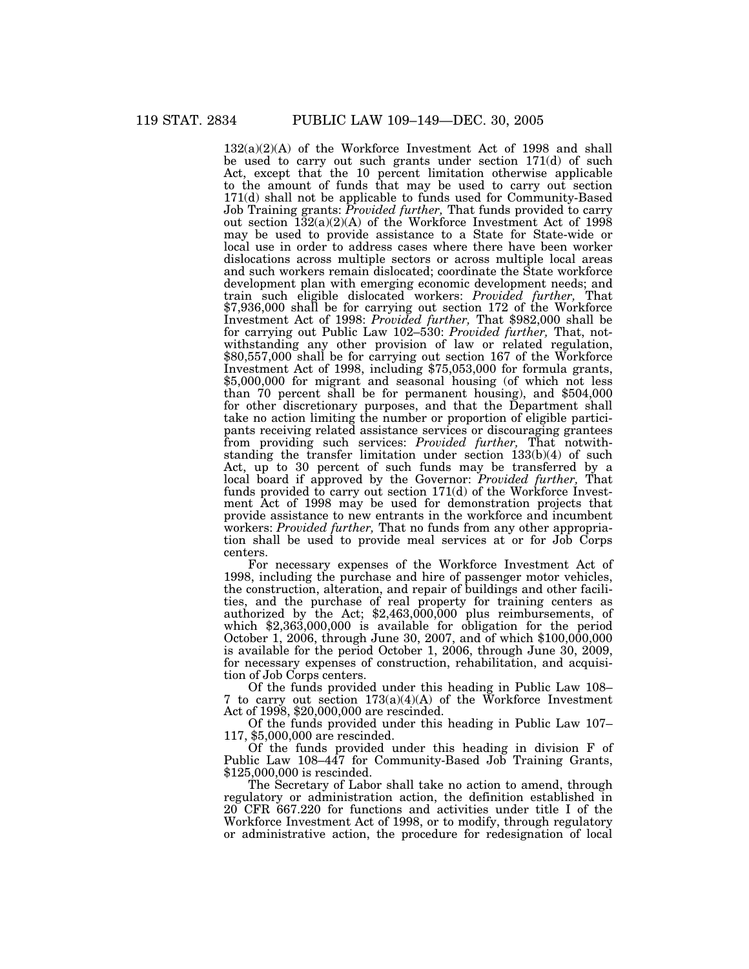$132(a)(2)(A)$  of the Workforce Investment Act of 1998 and shall be used to carry out such grants under section 171(d) of such Act, except that the 10 percent limitation otherwise applicable to the amount of funds that may be used to carry out section 171(d) shall not be applicable to funds used for Community-Based Job Training grants: *Provided further,* That funds provided to carry out section  $132(a)(2)(A)$  of the Workforce Investment Act of 1998 may be used to provide assistance to a State for State-wide or local use in order to address cases where there have been worker dislocations across multiple sectors or across multiple local areas and such workers remain dislocated; coordinate the State workforce development plan with emerging economic development needs; and train such eligible dislocated workers: *Provided further,* That \$7,936,000 shall be for carrying out section 172 of the Workforce Investment Act of 1998: *Provided further,* That \$982,000 shall be for carrying out Public Law 102–530: *Provided further,* That, notwithstanding any other provision of law or related regulation, \$80,557,000 shall be for carrying out section 167 of the Workforce Investment Act of 1998, including \$75,053,000 for formula grants, \$5,000,000 for migrant and seasonal housing (of which not less than 70 percent shall be for permanent housing), and \$504,000 for other discretionary purposes, and that the Department shall take no action limiting the number or proportion of eligible participants receiving related assistance services or discouraging grantees from providing such services: *Provided further,* That notwithstanding the transfer limitation under section 133(b)(4) of such Act, up to 30 percent of such funds may be transferred by a local board if approved by the Governor: *Provided further,* That funds provided to carry out section 171(d) of the Workforce Investment Act of 1998 may be used for demonstration projects that provide assistance to new entrants in the workforce and incumbent workers: *Provided further,* That no funds from any other appropriation shall be used to provide meal services at or for Job Corps centers.

For necessary expenses of the Workforce Investment Act of 1998, including the purchase and hire of passenger motor vehicles, the construction, alteration, and repair of buildings and other facilities, and the purchase of real property for training centers as authorized by the Act; \$2,463,000,000 plus reimbursements, of which \$2,363,000,000 is available for obligation for the period October 1, 2006, through June 30, 2007, and of which \$100,000,000 is available for the period October 1, 2006, through June 30, 2009, for necessary expenses of construction, rehabilitation, and acquisition of Job Corps centers.

Of the funds provided under this heading in Public Law 108– 7 to carry out section 173(a)(4)(A) of the Workforce Investment Act of 1998, \$20,000,000 are rescinded.

Of the funds provided under this heading in Public Law 107– 117, \$5,000,000 are rescinded.

Of the funds provided under this heading in division F of Public Law 108–447 for Community-Based Job Training Grants, \$125,000,000 is rescinded.

The Secretary of Labor shall take no action to amend, through regulatory or administration action, the definition established in 20 CFR 667.220 for functions and activities under title I of the Workforce Investment Act of 1998, or to modify, through regulatory or administrative action, the procedure for redesignation of local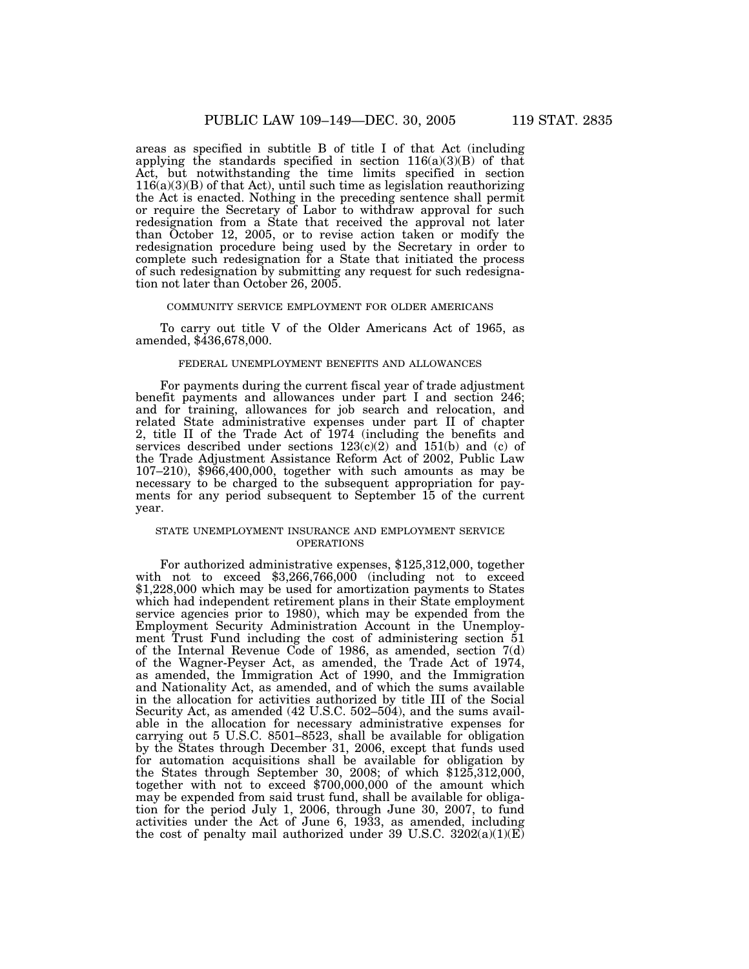areas as specified in subtitle B of title I of that Act (including applying the standards specified in section  $116(a)(3)(B)$  of that Act, but notwithstanding the time limits specified in section  $116(a)(3)(B)$  of that Act), until such time as legislation reauthorizing the Act is enacted. Nothing in the preceding sentence shall permit or require the Secretary of Labor to withdraw approval for such redesignation from a State that received the approval not later than October 12, 2005, or to revise action taken or modify the redesignation procedure being used by the Secretary in order to complete such redesignation for a State that initiated the process of such redesignation by submitting any request for such redesignation not later than October 26, 2005.

#### COMMUNITY SERVICE EMPLOYMENT FOR OLDER AMERICANS

To carry out title V of the Older Americans Act of 1965, as amended, \$436,678,000.

#### FEDERAL UNEMPLOYMENT BENEFITS AND ALLOWANCES

For payments during the current fiscal year of trade adjustment benefit payments and allowances under part I and section 246; and for training, allowances for job search and relocation, and related State administrative expenses under part II of chapter 2, title II of the Trade Act of 1974 (including the benefits and services described under sections 123(c)(2) and 151(b) and (c) of the Trade Adjustment Assistance Reform Act of 2002, Public Law 107–210), \$966,400,000, together with such amounts as may be necessary to be charged to the subsequent appropriation for payments for any period subsequent to September 15 of the current year.

### STATE UNEMPLOYMENT INSURANCE AND EMPLOYMENT SERVICE OPERATIONS

For authorized administrative expenses, \$125,312,000, together with not to exceed \$3,266,766,000 (including not to exceed \$1,228,000 which may be used for amortization payments to States which had independent retirement plans in their State employment service agencies prior to 1980), which may be expended from the Employment Security Administration Account in the Unemployment Trust Fund including the cost of administering section 51 of the Internal Revenue Code of 1986, as amended, section  $7(d)$ of the Wagner-Peyser Act, as amended, the Trade Act of 1974, as amended, the Immigration Act of 1990, and the Immigration and Nationality Act, as amended, and of which the sums available in the allocation for activities authorized by title III of the Social Security Act, as amended (42 U.S.C. 502–504), and the sums available in the allocation for necessary administrative expenses for carrying out 5 U.S.C. 8501–8523, shall be available for obligation by the States through December 31, 2006, except that funds used for automation acquisitions shall be available for obligation by the States through September 30, 2008; of which \$125,312,000, together with not to exceed \$700,000,000 of the amount which may be expended from said trust fund, shall be available for obligation for the period July 1, 2006, through June 30, 2007, to fund activities under the Act of June 6, 1933, as amended, including the cost of penalty mail authorized under 39 U.S.C. 3202(a)(1)(E)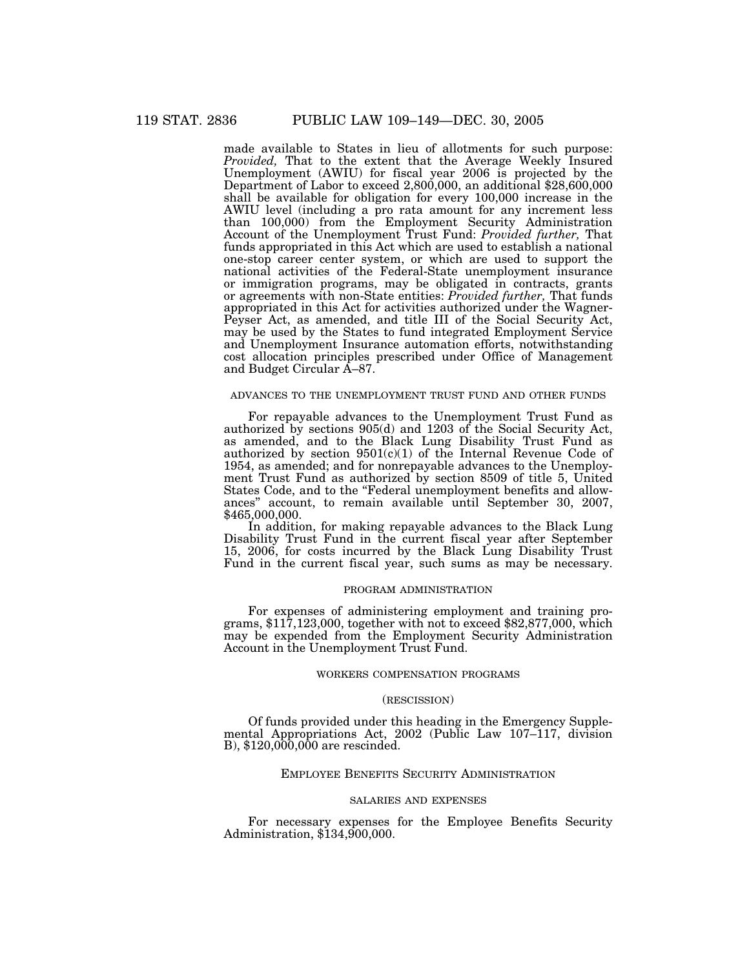made available to States in lieu of allotments for such purpose: *Provided,* That to the extent that the Average Weekly Insured Unemployment (AWIU) for fiscal year 2006 is projected by the Department of Labor to exceed 2,800,000, an additional \$28,600,000 shall be available for obligation for every 100,000 increase in the AWIU level (including a pro rata amount for any increment less than 100,000) from the Employment Security Administration Account of the Unemployment Trust Fund: *Provided further,* That funds appropriated in this Act which are used to establish a national one-stop career center system, or which are used to support the national activities of the Federal-State unemployment insurance or immigration programs, may be obligated in contracts, grants or agreements with non-State entities: *Provided further,* That funds appropriated in this Act for activities authorized under the Wagner-Peyser Act, as amended, and title III of the Social Security Act, may be used by the States to fund integrated Employment Service and Unemployment Insurance automation efforts, notwithstanding cost allocation principles prescribed under Office of Management and Budget Circular A–87.

### ADVANCES TO THE UNEMPLOYMENT TRUST FUND AND OTHER FUNDS

For repayable advances to the Unemployment Trust Fund as authorized by sections 905(d) and 1203 of the Social Security Act, as amended, and to the Black Lung Disability Trust Fund as authorized by section  $9501(c)(1)$  of the Internal Revenue Code of 1954, as amended; and for nonrepayable advances to the Unemployment Trust Fund as authorized by section 8509 of title 5, United States Code, and to the "Federal unemployment benefits and allowances'' account, to remain available until September 30, 2007, \$465,000,000.

In addition, for making repayable advances to the Black Lung Disability Trust Fund in the current fiscal year after September 15, 2006, for costs incurred by the Black Lung Disability Trust Fund in the current fiscal year, such sums as may be necessary.

#### PROGRAM ADMINISTRATION

For expenses of administering employment and training programs, \$117,123,000, together with not to exceed \$82,877,000, which may be expended from the Employment Security Administration Account in the Unemployment Trust Fund.

#### WORKERS COMPENSATION PROGRAMS

#### (RESCISSION)

Of funds provided under this heading in the Emergency Supplemental Appropriations Act, 2002 (Public Law 107–117, division B), \$120,000,000 are rescinded.

### EMPLOYEE BENEFITS SECURITY ADMINISTRATION

#### SALARIES AND EXPENSES

For necessary expenses for the Employee Benefits Security Administration, \$134,900,000.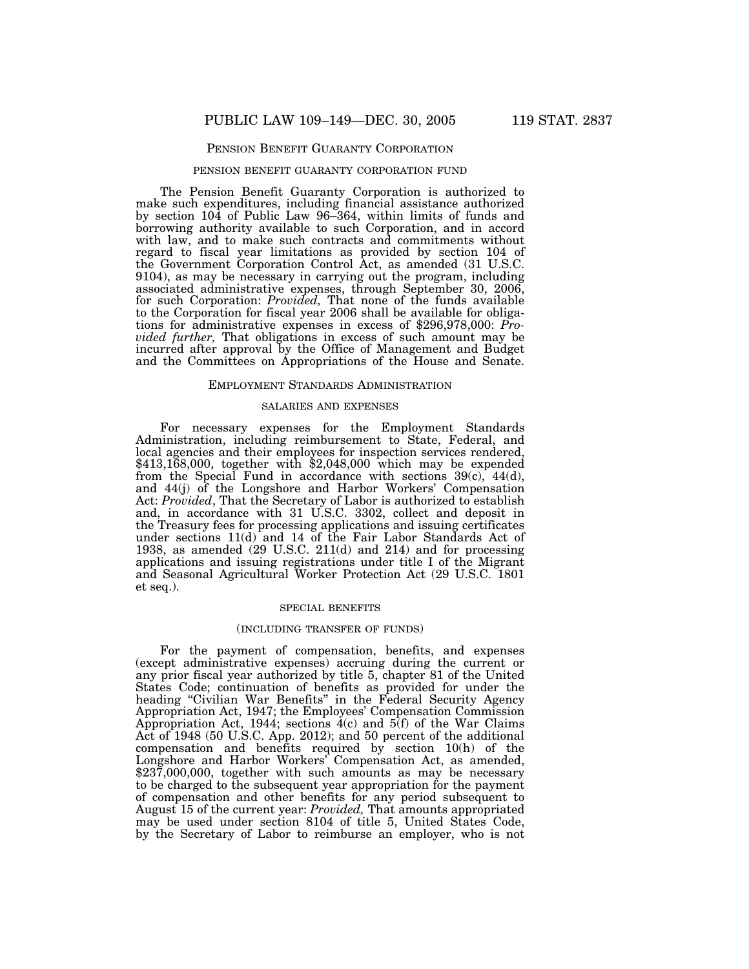### PENSION BENEFIT GUARANTY CORPORATION

#### PENSION BENEFIT GUARANTY CORPORATION FUND

The Pension Benefit Guaranty Corporation is authorized to make such expenditures, including financial assistance authorized by section 104 of Public Law 96–364, within limits of funds and borrowing authority available to such Corporation, and in accord with law, and to make such contracts and commitments without regard to fiscal year limitations as provided by section 104 of the Government Corporation Control Act, as amended (31 U.S.C. 9104), as may be necessary in carrying out the program, including associated administrative expenses, through September 30, 2006, for such Corporation: *Provided,* That none of the funds available to the Corporation for fiscal year 2006 shall be available for obligations for administrative expenses in excess of \$296,978,000: *Provided further,* That obligations in excess of such amount may be incurred after approval by the Office of Management and Budget and the Committees on Appropriations of the House and Senate.

### EMPLOYMENT STANDARDS ADMINISTRATION

#### SALARIES AND EXPENSES

For necessary expenses for the Employment Standards Administration, including reimbursement to State, Federal, and local agencies and their employees for inspection services rendered, \$413,168,000, together with \$2,048,000 which may be expended from the Special Fund in accordance with sections 39(c), 44(d), and 44(j) of the Longshore and Harbor Workers' Compensation Act: *Provided*, That the Secretary of Labor is authorized to establish and, in accordance with 31 U.S.C. 3302, collect and deposit in the Treasury fees for processing applications and issuing certificates under sections 11(d) and 14 of the Fair Labor Standards Act of 1938, as amended (29 U.S.C. 211(d) and 214) and for processing applications and issuing registrations under title I of the Migrant and Seasonal Agricultural Worker Protection Act (29 U.S.C. 1801 et seq.).

### SPECIAL BENEFITS

#### (INCLUDING TRANSFER OF FUNDS)

For the payment of compensation, benefits, and expenses (except administrative expenses) accruing during the current or any prior fiscal year authorized by title 5, chapter 81 of the United States Code; continuation of benefits as provided for under the heading "Civilian War Benefits" in the Federal Security Agency Appropriation Act, 1947; the Employees' Compensation Commission Appropriation Act, 1944; sections  $4(c)$  and  $5(f)$  of the War Claims Act of 1948 (50 U.S.C. App. 2012); and 50 percent of the additional compensation and benefits required by section 10(h) of the Longshore and Harbor Workers' Compensation Act, as amended, \$237,000,000, together with such amounts as may be necessary to be charged to the subsequent year appropriation for the payment of compensation and other benefits for any period subsequent to August 15 of the current year: *Provided,* That amounts appropriated may be used under section 8104 of title 5, United States Code, by the Secretary of Labor to reimburse an employer, who is not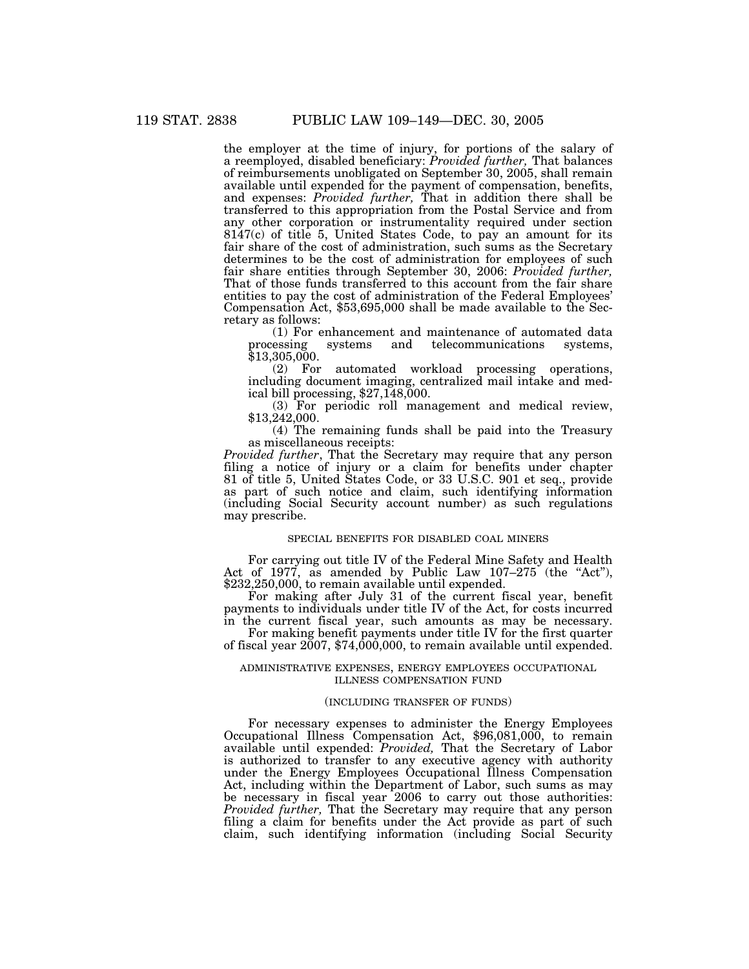the employer at the time of injury, for portions of the salary of a reemployed, disabled beneficiary: *Provided further,* That balances of reimbursements unobligated on September 30, 2005, shall remain available until expended for the payment of compensation, benefits, and expenses: *Provided further,* That in addition there shall be transferred to this appropriation from the Postal Service and from any other corporation or instrumentality required under section 8147(c) of title 5, United States Code, to pay an amount for its fair share of the cost of administration, such sums as the Secretary determines to be the cost of administration for employees of such fair share entities through September 30, 2006: *Provided further,* That of those funds transferred to this account from the fair share entities to pay the cost of administration of the Federal Employees' Compensation Act, \$53,695,000 shall be made available to the Secretary as follows:

(1) For enhancement and maintenance of automated data systems and telecommunications systems,  $$13,305,000.\n(2) For$ 

automated workload processing operations, including document imaging, centralized mail intake and medical bill processing, \$27,148,000.

(3) For periodic roll management and medical review, \$13,242,000.

(4) The remaining funds shall be paid into the Treasury as miscellaneous receipts:

*Provided further*, That the Secretary may require that any person filing a notice of injury or a claim for benefits under chapter 81 of title 5, United States Code, or 33 U.S.C. 901 et seq., provide as part of such notice and claim, such identifying information (including Social Security account number) as such regulations may prescribe.

### SPECIAL BENEFITS FOR DISABLED COAL MINERS

For carrying out title IV of the Federal Mine Safety and Health Act of 1977, as amended by Public Law 107-275 (the "Act"), \$232,250,000, to remain available until expended.

For making after July 31 of the current fiscal year, benefit payments to individuals under title IV of the Act, for costs incurred in the current fiscal year, such amounts as may be necessary.

For making benefit payments under title IV for the first quarter of fiscal year  $2007$ ,  $74,000,000$ , to remain available until expended.

#### ADMINISTRATIVE EXPENSES, ENERGY EMPLOYEES OCCUPATIONAL ILLNESS COMPENSATION FUND

#### (INCLUDING TRANSFER OF FUNDS)

For necessary expenses to administer the Energy Employees Occupational Illness Compensation Act, \$96,081,000, to remain available until expended: *Provided,* That the Secretary of Labor is authorized to transfer to any executive agency with authority under the Energy Employees Occupational Illness Compensation Act, including within the Department of Labor, such sums as may be necessary in fiscal year 2006 to carry out those authorities: *Provided further,* That the Secretary may require that any person filing a claim for benefits under the Act provide as part of such claim, such identifying information (including Social Security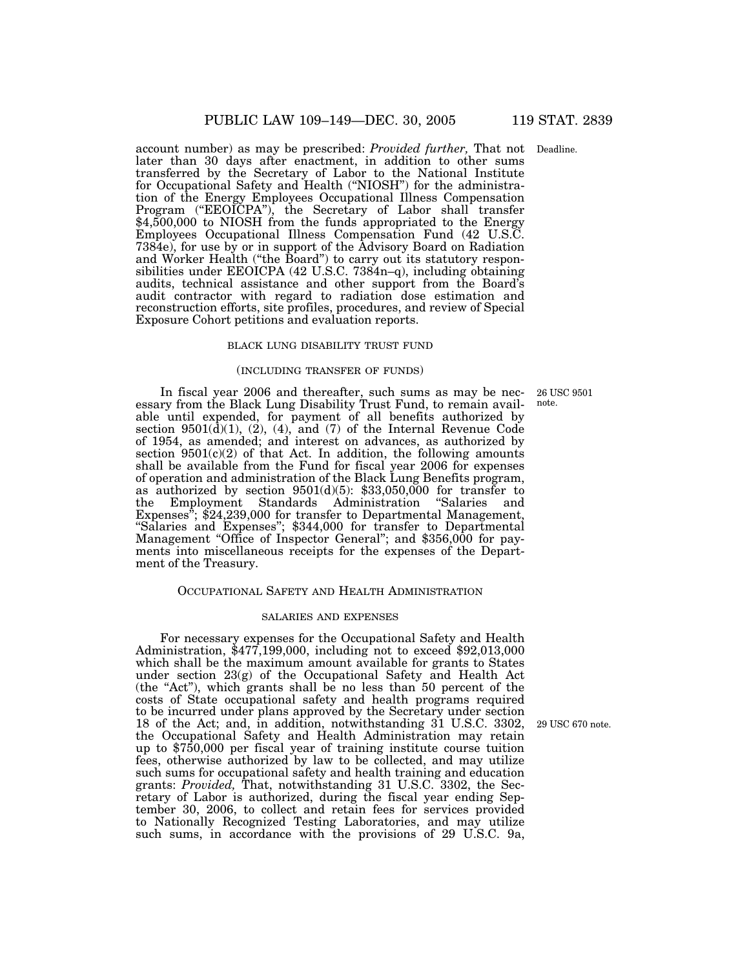account number) as may be prescribed: *Provided further,* That not Deadline. later than 30 days after enactment, in addition to other sums transferred by the Secretary of Labor to the National Institute for Occupational Safety and Health (''NIOSH'') for the administration of the Energy Employees Occupational Illness Compensation Program ("EEOICPA"), the Secretary of Labor shall transfer \$4,500,000 to NIOSH from the funds appropriated to the Energy Employees Occupational Illness Compensation Fund (42 U.S.C. 7384e), for use by or in support of the Advisory Board on Radiation and Worker Health (''the Board'') to carry out its statutory responsibilities under EEOICPA (42 U.S.C. 7384n–q), including obtaining audits, technical assistance and other support from the Board's audit contractor with regard to radiation dose estimation and reconstruction efforts, site profiles, procedures, and review of Special Exposure Cohort petitions and evaluation reports.

### BLACK LUNG DISABILITY TRUST FUND

#### (INCLUDING TRANSFER OF FUNDS)

In fiscal year 2006 and thereafter, such sums as may be necessary from the Black Lung Disability Trust Fund, to remain available until expended, for payment of all benefits authorized by section  $9501(\bar{d})(1)$ ,  $(2)$ ,  $(4)$ , and  $(7)$  of the Internal Revenue Code of 1954, as amended; and interest on advances, as authorized by section  $9501(c)(2)$  of that Act. In addition, the following amounts shall be available from the Fund for fiscal year 2006 for expenses of operation and administration of the Black Lung Benefits program, as authorized by section 9501(d)(5): \$33,050,000 for transfer to the Employment Standards Administration ''Salaries and Expenses<sup>3</sup>; \$24,239,000 for transfer to Departmental Management, "Salaries and Expenses"; \$344,000 for transfer to Departmental Management "Office of Inspector General"; and \$356,000 for payments into miscellaneous receipts for the expenses of the Department of the Treasury.

### OCCUPATIONAL SAFETY AND HEALTH ADMINISTRATION

#### SALARIES AND EXPENSES

For necessary expenses for the Occupational Safety and Health Administration, \$477,199,000, including not to exceed \$92,013,000 which shall be the maximum amount available for grants to States under section 23(g) of the Occupational Safety and Health Act (the ''Act''), which grants shall be no less than 50 percent of the costs of State occupational safety and health programs required to be incurred under plans approved by the Secretary under section 18 of the Act; and, in addition, notwithstanding 31 U.S.C. 3302, the Occupational Safety and Health Administration may retain up to \$750,000 per fiscal year of training institute course tuition fees, otherwise authorized by law to be collected, and may utilize such sums for occupational safety and health training and education grants: *Provided,* That, notwithstanding 31 U.S.C. 3302, the Secretary of Labor is authorized, during the fiscal year ending September 30, 2006, to collect and retain fees for services provided to Nationally Recognized Testing Laboratories, and may utilize such sums, in accordance with the provisions of 29 U.S.C. 9a,

26 USC 9501 note.

29 USC 670 note.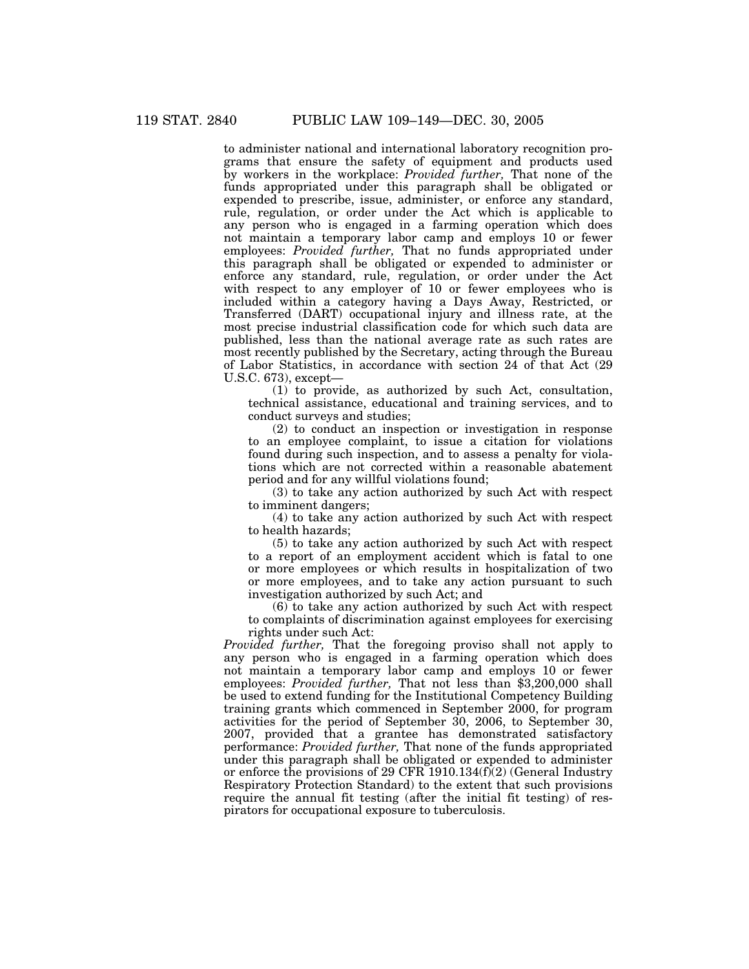to administer national and international laboratory recognition programs that ensure the safety of equipment and products used by workers in the workplace: *Provided further,* That none of the funds appropriated under this paragraph shall be obligated or expended to prescribe, issue, administer, or enforce any standard, rule, regulation, or order under the Act which is applicable to any person who is engaged in a farming operation which does not maintain a temporary labor camp and employs 10 or fewer employees: *Provided further,* That no funds appropriated under this paragraph shall be obligated or expended to administer or enforce any standard, rule, regulation, or order under the Act with respect to any employer of 10 or fewer employees who is included within a category having a Days Away, Restricted, or Transferred (DART) occupational injury and illness rate, at the most precise industrial classification code for which such data are published, less than the national average rate as such rates are most recently published by the Secretary, acting through the Bureau of Labor Statistics, in accordance with section 24 of that Act (29 U.S.C. 673), except—

(1) to provide, as authorized by such Act, consultation, technical assistance, educational and training services, and to conduct surveys and studies;

(2) to conduct an inspection or investigation in response to an employee complaint, to issue a citation for violations found during such inspection, and to assess a penalty for violations which are not corrected within a reasonable abatement period and for any willful violations found;

(3) to take any action authorized by such Act with respect to imminent dangers;

(4) to take any action authorized by such Act with respect to health hazards;

(5) to take any action authorized by such Act with respect to a report of an employment accident which is fatal to one or more employees or which results in hospitalization of two or more employees, and to take any action pursuant to such investigation authorized by such Act; and

(6) to take any action authorized by such Act with respect to complaints of discrimination against employees for exercising rights under such Act:

*Provided further,* That the foregoing proviso shall not apply to any person who is engaged in a farming operation which does not maintain a temporary labor camp and employs 10 or fewer employees: *Provided further,* That not less than \$3,200,000 shall be used to extend funding for the Institutional Competency Building training grants which commenced in September 2000, for program activities for the period of September 30, 2006, to September 30, 2007, provided that a grantee has demonstrated satisfactory performance: *Provided further,* That none of the funds appropriated under this paragraph shall be obligated or expended to administer or enforce the provisions of 29 CFR 1910.134 $(f)(2)$  (General Industry Respiratory Protection Standard) to the extent that such provisions require the annual fit testing (after the initial fit testing) of respirators for occupational exposure to tuberculosis.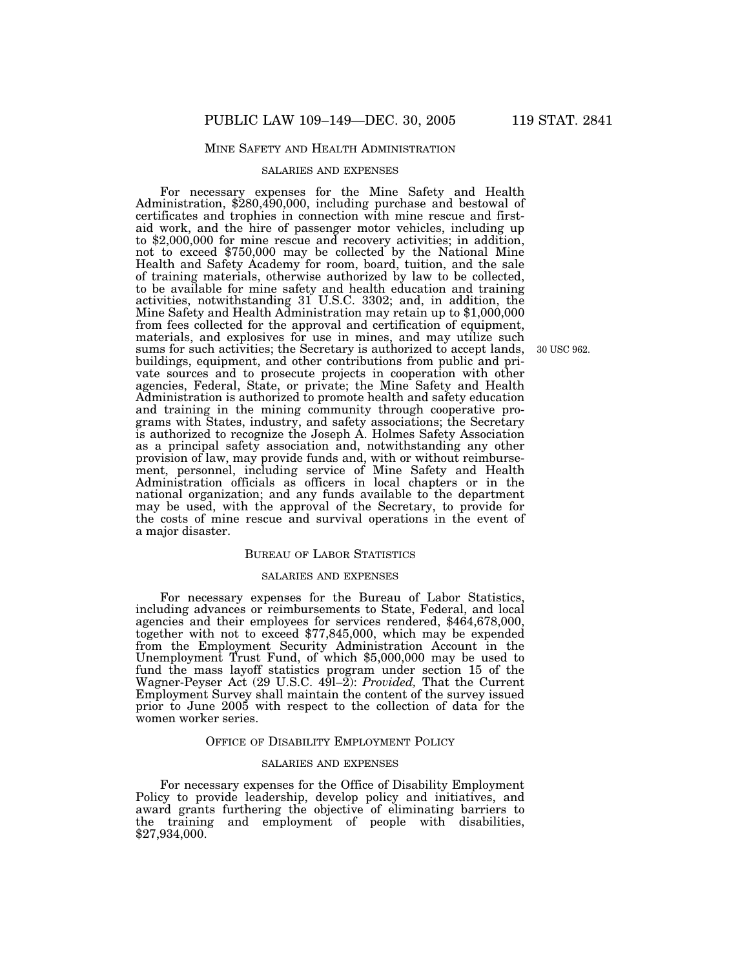### MINE SAFETY AND HEALTH ADMINISTRATION

#### SALARIES AND EXPENSES

For necessary expenses for the Mine Safety and Health Administration, \$280,490,000, including purchase and bestowal of certificates and trophies in connection with mine rescue and firstaid work, and the hire of passenger motor vehicles, including up to \$2,000,000 for mine rescue and recovery activities; in addition, not to exceed \$750,000 may be collected by the National Mine Health and Safety Academy for room, board, tuition, and the sale of training materials, otherwise authorized by law to be collected, to be available for mine safety and health education and training activities, notwithstanding 31 U.S.C. 3302; and, in addition, the Mine Safety and Health Administration may retain up to \$1,000,000 from fees collected for the approval and certification of equipment, materials, and explosives for use in mines, and may utilize such sums for such activities; the Secretary is authorized to accept lands, buildings, equipment, and other contributions from public and private sources and to prosecute projects in cooperation with other agencies, Federal, State, or private; the Mine Safety and Health Administration is authorized to promote health and safety education and training in the mining community through cooperative programs with States, industry, and safety associations; the Secretary is authorized to recognize the Joseph A. Holmes Safety Association as a principal safety association and, notwithstanding any other provision of law, may provide funds and, with or without reimbursement, personnel, including service of Mine Safety and Health Administration officials as officers in local chapters or in the national organization; and any funds available to the department may be used, with the approval of the Secretary, to provide for the costs of mine rescue and survival operations in the event of a major disaster.

#### BUREAU OF LABOR STATISTICS

#### SALARIES AND EXPENSES

For necessary expenses for the Bureau of Labor Statistics, including advances or reimbursements to State, Federal, and local agencies and their employees for services rendered, \$464,678,000, together with not to exceed \$77,845,000, which may be expended from the Employment Security Administration Account in the Unemployment Trust Fund, of which \$5,000,000 may be used to fund the mass layoff statistics program under section 15 of the Wagner-Peyser Act (29 U.S.C. 49l–2): *Provided,* That the Current Employment Survey shall maintain the content of the survey issued prior to June 2005 with respect to the collection of data for the women worker series.

#### OFFICE OF DISABILITY EMPLOYMENT POLICY

#### SALARIES AND EXPENSES

For necessary expenses for the Office of Disability Employment Policy to provide leadership, develop policy and initiatives, and award grants furthering the objective of eliminating barriers to the training and employment of people with disabilities, \$27,934,000.

30 USC 962.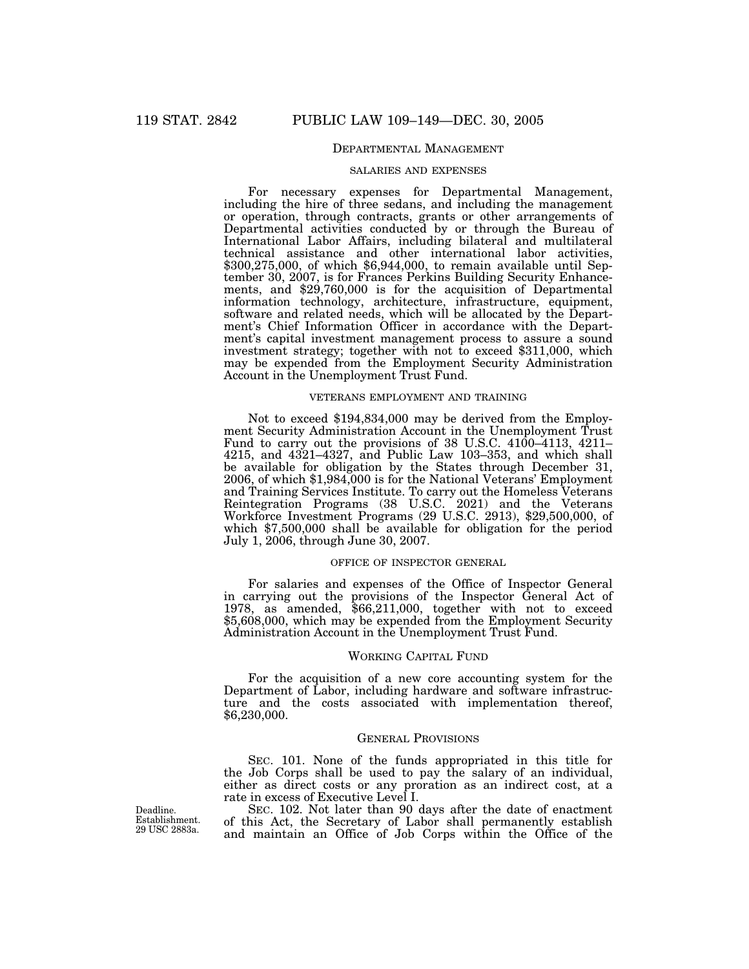## DEPARTMENTAL MANAGEMENT

#### SALARIES AND EXPENSES

For necessary expenses for Departmental Management, including the hire of three sedans, and including the management or operation, through contracts, grants or other arrangements of Departmental activities conducted by or through the Bureau of International Labor Affairs, including bilateral and multilateral technical assistance and other international labor activities, \$300,275,000, of which \$6,944,000, to remain available until September 30, 2007, is for Frances Perkins Building Security Enhancements, and \$29,760,000 is for the acquisition of Departmental information technology, architecture, infrastructure, equipment, software and related needs, which will be allocated by the Department's Chief Information Officer in accordance with the Department's capital investment management process to assure a sound investment strategy; together with not to exceed \$311,000, which may be expended from the Employment Security Administration Account in the Unemployment Trust Fund.

### VETERANS EMPLOYMENT AND TRAINING

Not to exceed \$194,834,000 may be derived from the Employment Security Administration Account in the Unemployment Trust Fund to carry out the provisions of 38 U.S.C. 4100–4113, 4211– 4215, and 4321–4327, and Public Law 103–353, and which shall be available for obligation by the States through December 31, 2006, of which \$1,984,000 is for the National Veterans' Employment and Training Services Institute. To carry out the Homeless Veterans Reintegration Programs (38 U.S.C. 2021) and the Veterans Workforce Investment Programs (29 U.S.C. 2913), \$29,500,000, of which \$7,500,000 shall be available for obligation for the period July 1, 2006, through June 30, 2007.

## OFFICE OF INSPECTOR GENERAL

For salaries and expenses of the Office of Inspector General in carrying out the provisions of the Inspector General Act of 1978, as amended, \$66,211,000, together with not to exceed \$5,608,000, which may be expended from the Employment Security Administration Account in the Unemployment Trust Fund.

#### WORKING CAPITAL FUND

For the acquisition of a new core accounting system for the Department of Labor, including hardware and software infrastructure and the costs associated with implementation thereof, \$6,230,000.

#### GENERAL PROVISIONS

SEC. 101. None of the funds appropriated in this title for the Job Corps shall be used to pay the salary of an individual, either as direct costs or any proration as an indirect cost, at a rate in excess of Executive Level I.

SEC. 102. Not later than 90 days after the date of enactment of this Act, the Secretary of Labor shall permanently establish and maintain an Office of Job Corps within the Office of the

Deadline. Establishment. 29 USC 2883a.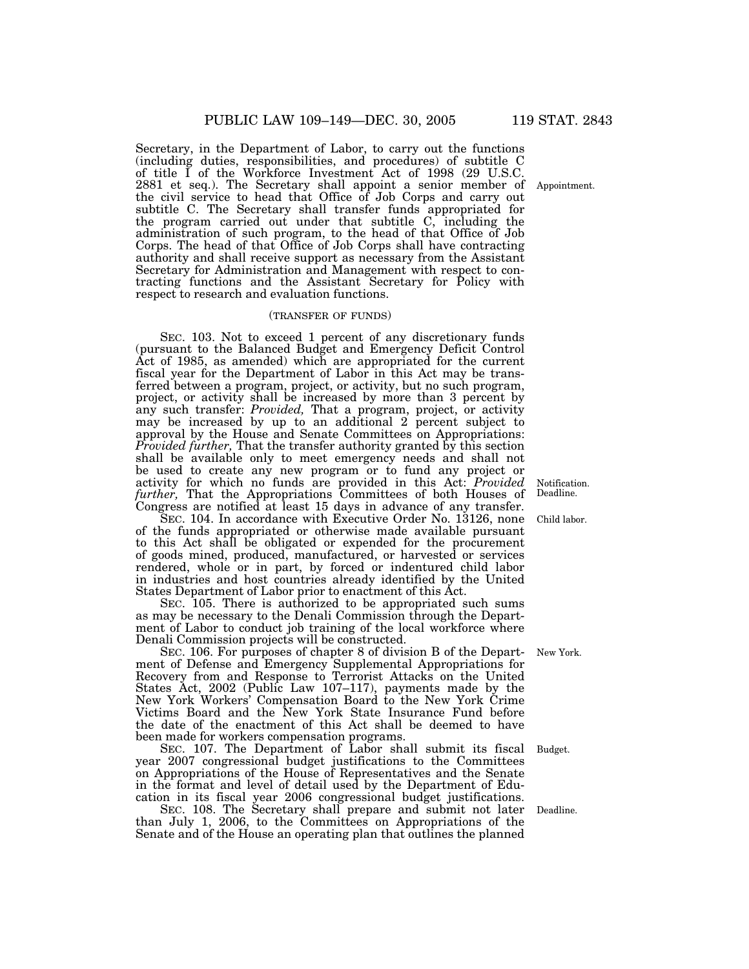Secretary, in the Department of Labor, to carry out the functions (including duties, responsibilities, and procedures) of subtitle C of title I of the Workforce Investment Act of 1998 (29 U.S.C. 2881 et seq.). The Secretary shall appoint a senior member of the civil service to head that Office of Job Corps and carry out subtitle C. The Secretary shall transfer funds appropriated for the program carried out under that subtitle C, including the administration of such program, to the head of that Office of Job Corps. The head of that Office of Job Corps shall have contracting authority and shall receive support as necessary from the Assistant Secretary for Administration and Management with respect to contracting functions and the Assistant Secretary for Policy with respect to research and evaluation functions.

#### (TRANSFER OF FUNDS)

SEC. 103. Not to exceed 1 percent of any discretionary funds (pursuant to the Balanced Budget and Emergency Deficit Control Act of 1985, as amended) which are appropriated for the current fiscal year for the Department of Labor in this Act may be transferred between a program, project, or activity, but no such program, project, or activity shall be increased by more than 3 percent by any such transfer: *Provided,* That a program, project, or activity may be increased by up to an additional 2 percent subject to approval by the House and Senate Committees on Appropriations: *Provided further,* That the transfer authority granted by this section shall be available only to meet emergency needs and shall not be used to create any new program or to fund any project or activity for which no funds are provided in this Act: *Provided further,* That the Appropriations Committees of both Houses of Congress are notified at least 15 days in advance of any transfer.

SEC. 104. In accordance with Executive Order No. 13126, none of the funds appropriated or otherwise made available pursuant to this Act shall be obligated or expended for the procurement of goods mined, produced, manufactured, or harvested or services rendered, whole or in part, by forced or indentured child labor in industries and host countries already identified by the United States Department of Labor prior to enactment of this Act.

SEC. 105. There is authorized to be appropriated such sums as may be necessary to the Denali Commission through the Department of Labor to conduct job training of the local workforce where Denali Commission projects will be constructed.

SEC. 106. For purposes of chapter 8 of division B of the Department of Defense and Emergency Supplemental Appropriations for Recovery from and Response to Terrorist Attacks on the United States Act, 2002 (Public Law 107–117), payments made by the New York Workers' Compensation Board to the New York Crime Victims Board and the New York State Insurance Fund before the date of the enactment of this Act shall be deemed to have been made for workers compensation programs.

SEC. 107. The Department of Labor shall submit its fiscal SEC. 107. The Department of Labor shall submit its fiscal Budget.<br>year 2007 congressional budget justifications to the Committees on Appropriations of the House of Representatives and the Senate in the format and level of detail used by the Department of Education in its fiscal year 2006 congressional budget justifications.

SEC. 108. The Secretary shall prepare and submit not later Deadline. than July 1, 2006, to the Committees on Appropriations of the Senate and of the House an operating plan that outlines the planned

Appointment.

Notification. Deadline.

Child labor.

New York.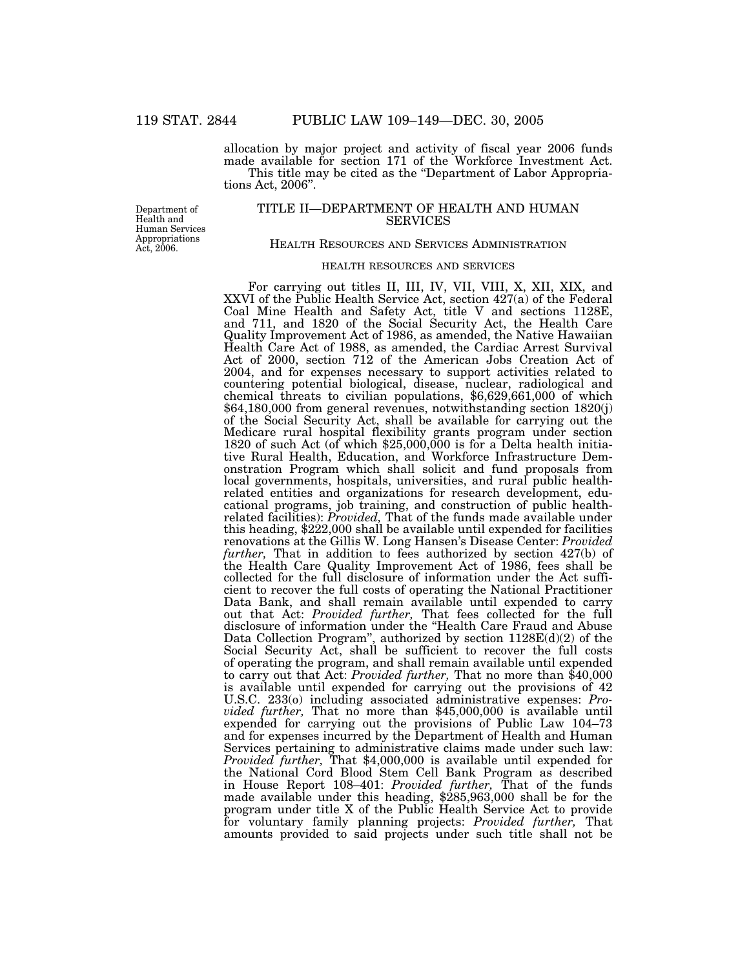allocation by major project and activity of fiscal year 2006 funds made available for section 171 of the Workforce Investment Act. This title may be cited as the ''Department of Labor Appropriations Act, 2006''.

Department of Health and Human Services Appropriations Act, 2006.

## TITLE II—DEPARTMENT OF HEALTH AND HUMAN SERVICES

### HEALTH RESOURCES AND SERVICES ADMINISTRATION

# HEALTH RESOURCES AND SERVICES

For carrying out titles II, III, IV, VII, VIII, X, XII, XIX, and XXVI of the Public Health Service Act, section 427(a) of the Federal Coal Mine Health and Safety Act, title V and sections 1128E, and 711, and 1820 of the Social Security Act, the Health Care Quality Improvement Act of 1986, as amended, the Native Hawaiian Health Care Act of 1988, as amended, the Cardiac Arrest Survival Act of 2000, section 712 of the American Jobs Creation Act of 2004, and for expenses necessary to support activities related to countering potential biological, disease, nuclear, radiological and chemical threats to civilian populations, \$6,629,661,000 of which \$64,180,000 from general revenues, notwithstanding section 1820(j) of the Social Security Act, shall be available for carrying out the Medicare rural hospital flexibility grants program under section 1820 of such Act (of which \$25,000,000 is for a Delta health initiative Rural Health, Education, and Workforce Infrastructure Demonstration Program which shall solicit and fund proposals from local governments, hospitals, universities, and rural public healthrelated entities and organizations for research development, educational programs, job training, and construction of public healthrelated facilities): *Provided,* That of the funds made available under this heading, \$222,000 shall be available until expended for facilities renovations at the Gillis W. Long Hansen's Disease Center: *Provided further*, That in addition to fees authorized by section 427(b) of the Health Care Quality Improvement Act of 1986, fees shall be collected for the full disclosure of information under the Act sufficient to recover the full costs of operating the National Practitioner Data Bank, and shall remain available until expended to carry out that Act: *Provided further,* That fees collected for the full disclosure of information under the ''Health Care Fraud and Abuse Data Collection Program'', authorized by section 1128E(d)(2) of the Social Security Act, shall be sufficient to recover the full costs of operating the program, and shall remain available until expended to carry out that Act: *Provided further,* That no more than \$40,000 is available until expended for carrying out the provisions of 42 U.S.C. 233(o) including associated administrative expenses: *Provided further,* That no more than \$45,000,000 is available until expended for carrying out the provisions of Public Law 104–73 and for expenses incurred by the Department of Health and Human Services pertaining to administrative claims made under such law: *Provided further,* That \$4,000,000 is available until expended for the National Cord Blood Stem Cell Bank Program as described in House Report 108–401: *Provided further,* That of the funds made available under this heading, \$285,963,000 shall be for the program under title X of the Public Health Service Act to provide for voluntary family planning projects: *Provided further,* That amounts provided to said projects under such title shall not be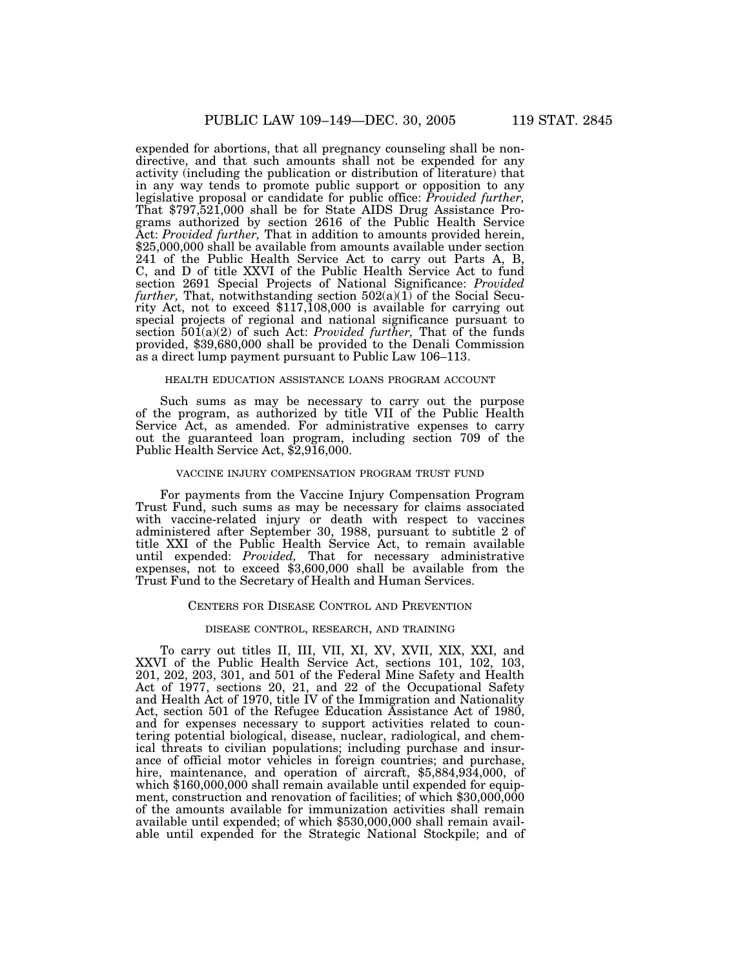expended for abortions, that all pregnancy counseling shall be nondirective, and that such amounts shall not be expended for any activity (including the publication or distribution of literature) that in any way tends to promote public support or opposition to any legislative proposal or candidate for public office: *Provided further,* That \$797,521,000 shall be for State AIDS Drug Assistance Programs authorized by section 2616 of the Public Health Service Act: *Provided further,* That in addition to amounts provided herein, \$25,000,000 shall be available from amounts available under section 241 of the Public Health Service Act to carry out Parts A, B, C, and D of title XXVI of the Public Health Service Act to fund section 2691 Special Projects of National Significance: *Provided further,* That, notwithstanding section 502(a)(1) of the Social Security Act, not to exceed \$117,108,000 is available for carrying out special projects of regional and national significance pursuant to section 501(a)(2) of such Act: *Provided further,* That of the funds provided, \$39,680,000 shall be provided to the Denali Commission as a direct lump payment pursuant to Public Law 106–113.

#### HEALTH EDUCATION ASSISTANCE LOANS PROGRAM ACCOUNT

Such sums as may be necessary to carry out the purpose of the program, as authorized by title VII of the Public Health Service Act, as amended. For administrative expenses to carry out the guaranteed loan program, including section 709 of the Public Health Service Act, \$2,916,000.

#### VACCINE INJURY COMPENSATION PROGRAM TRUST FUND

For payments from the Vaccine Injury Compensation Program Trust Fund, such sums as may be necessary for claims associated with vaccine-related injury or death with respect to vaccines administered after September 30, 1988, pursuant to subtitle 2 of title XXI of the Public Health Service Act, to remain available until expended: *Provided,* That for necessary administrative expenses, not to exceed \$3,600,000 shall be available from the Trust Fund to the Secretary of Health and Human Services.

## CENTERS FOR DISEASE CONTROL AND PREVENTION

#### DISEASE CONTROL, RESEARCH, AND TRAINING

To carry out titles II, III, VII, XI, XV, XVII, XIX, XXI, and XXVI of the Public Health Service Act, sections 101, 102, 103, 201, 202, 203, 301, and 501 of the Federal Mine Safety and Health Act of 1977, sections 20, 21, and 22 of the Occupational Safety and Health Act of 1970, title IV of the Immigration and Nationality Act, section 501 of the Refugee Education Assistance Act of 1980, and for expenses necessary to support activities related to countering potential biological, disease, nuclear, radiological, and chemical threats to civilian populations; including purchase and insurance of official motor vehicles in foreign countries; and purchase, hire, maintenance, and operation of aircraft, \$5,884,934,000, of which \$160,000,000 shall remain available until expended for equipment, construction and renovation of facilities; of which \$30,000,000 of the amounts available for immunization activities shall remain available until expended; of which \$530,000,000 shall remain available until expended for the Strategic National Stockpile; and of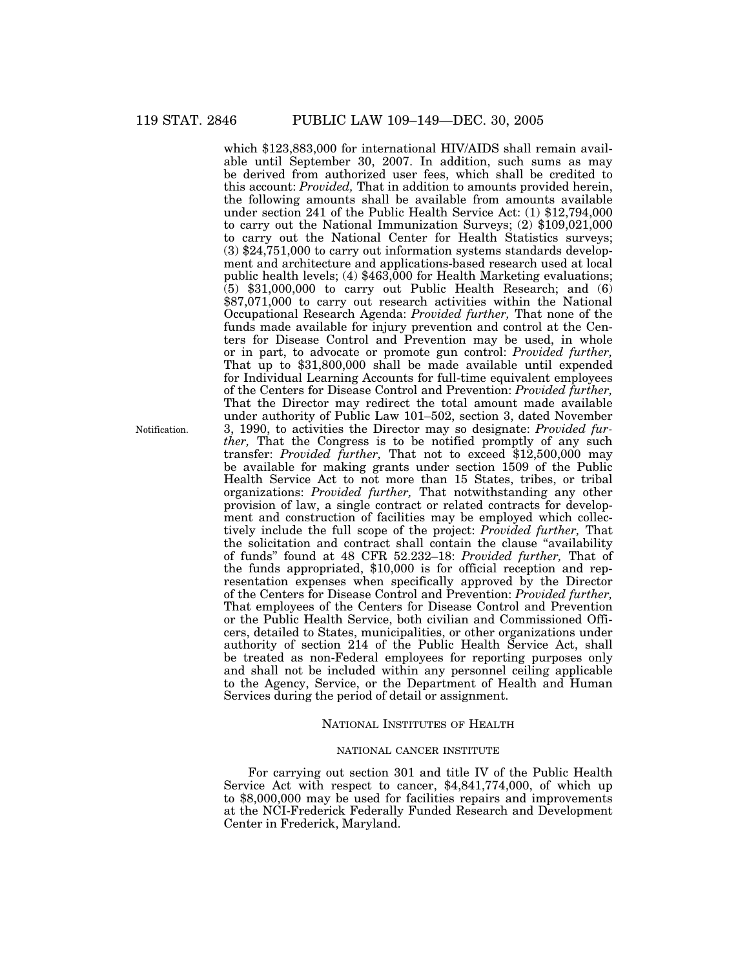which \$123,883,000 for international HIV/AIDS shall remain available until September 30, 2007. In addition, such sums as may be derived from authorized user fees, which shall be credited to this account: *Provided,* That in addition to amounts provided herein, the following amounts shall be available from amounts available under section 241 of the Public Health Service Act: (1) \$12,794,000 to carry out the National Immunization Surveys; (2) \$109,021,000 to carry out the National Center for Health Statistics surveys; (3) \$24,751,000 to carry out information systems standards development and architecture and applications-based research used at local public health levels; (4)  $$463,000$  for Health Marketing evaluations;  $(5)$  \$31,000,000 to carry out Public Health Research; and  $(6)$ \$87,071,000 to carry out research activities within the National Occupational Research Agenda: *Provided further,* That none of the funds made available for injury prevention and control at the Centers for Disease Control and Prevention may be used, in whole or in part, to advocate or promote gun control: *Provided further,* That up to \$31,800,000 shall be made available until expended for Individual Learning Accounts for full-time equivalent employees of the Centers for Disease Control and Prevention: *Provided further,* That the Director may redirect the total amount made available under authority of Public Law 101–502, section 3, dated November 3, 1990, to activities the Director may so designate: *Provided further,* That the Congress is to be notified promptly of any such transfer: *Provided further,* That not to exceed \$12,500,000 may be available for making grants under section 1509 of the Public Health Service Act to not more than 15 States, tribes, or tribal organizations: *Provided further,* That notwithstanding any other provision of law, a single contract or related contracts for development and construction of facilities may be employed which collectively include the full scope of the project: *Provided further,* That the solicitation and contract shall contain the clause ''availability of funds'' found at 48 CFR 52.232–18: *Provided further,* That of the funds appropriated, \$10,000 is for official reception and representation expenses when specifically approved by the Director of the Centers for Disease Control and Prevention: *Provided further,* That employees of the Centers for Disease Control and Prevention or the Public Health Service, both civilian and Commissioned Officers, detailed to States, municipalities, or other organizations under authority of section 214 of the Public Health Service Act, shall be treated as non-Federal employees for reporting purposes only and shall not be included within any personnel ceiling applicable to the Agency, Service, or the Department of Health and Human Services during the period of detail or assignment.

### NATIONAL INSTITUTES OF HEALTH

## NATIONAL CANCER INSTITUTE

For carrying out section 301 and title IV of the Public Health Service Act with respect to cancer, \$4,841,774,000, of which up to \$8,000,000 may be used for facilities repairs and improvements at the NCI-Frederick Federally Funded Research and Development Center in Frederick, Maryland.

Notification.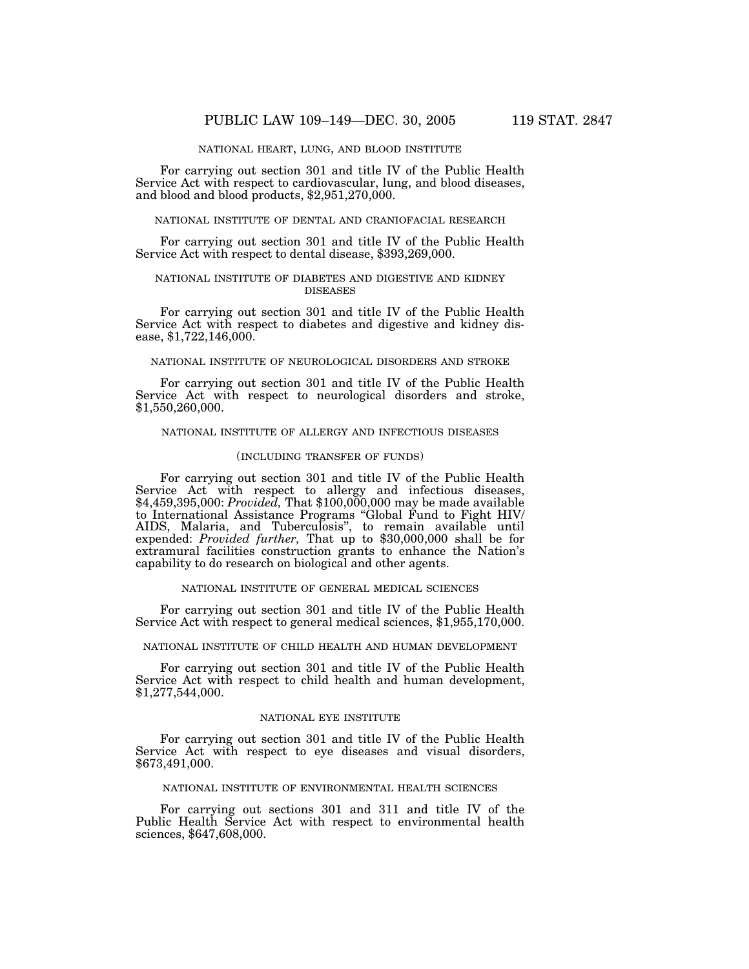### NATIONAL HEART, LUNG, AND BLOOD INSTITUTE

For carrying out section 301 and title IV of the Public Health Service Act with respect to cardiovascular, lung, and blood diseases, and blood and blood products,  $$2,951,270,000$ .

### NATIONAL INSTITUTE OF DENTAL AND CRANIOFACIAL RESEARCH

For carrying out section 301 and title IV of the Public Health Service Act with respect to dental disease, \$393,269,000.

### NATIONAL INSTITUTE OF DIABETES AND DIGESTIVE AND KIDNEY DISEASES

For carrying out section 301 and title IV of the Public Health Service Act with respect to diabetes and digestive and kidney disease, \$1,722,146,000.

### NATIONAL INSTITUTE OF NEUROLOGICAL DISORDERS AND STROKE

For carrying out section 301 and title IV of the Public Health Service Act with respect to neurological disorders and stroke, \$1,550,260,000.

#### NATIONAL INSTITUTE OF ALLERGY AND INFECTIOUS DISEASES

### (INCLUDING TRANSFER OF FUNDS)

For carrying out section 301 and title IV of the Public Health Service Act with respect to allergy and infectious diseases, \$4,459,395,000: *Provided,* That \$100,000,000 may be made available to International Assistance Programs ''Global Fund to Fight HIV/ AIDS, Malaria, and Tuberculosis'', to remain available until expended: *Provided further,* That up to \$30,000,000 shall be for extramural facilities construction grants to enhance the Nation's capability to do research on biological and other agents.

### NATIONAL INSTITUTE OF GENERAL MEDICAL SCIENCES

For carrying out section 301 and title IV of the Public Health Service Act with respect to general medical sciences, \$1,955,170,000.

NATIONAL INSTITUTE OF CHILD HEALTH AND HUMAN DEVELOPMENT

For carrying out section 301 and title IV of the Public Health Service Act with respect to child health and human development, \$1,277,544,000.

### NATIONAL EYE INSTITUTE

For carrying out section 301 and title IV of the Public Health Service Act with respect to eye diseases and visual disorders, \$673,491,000.

### NATIONAL INSTITUTE OF ENVIRONMENTAL HEALTH SCIENCES

For carrying out sections 301 and 311 and title IV of the Public Health Service Act with respect to environmental health sciences, \$647,608,000.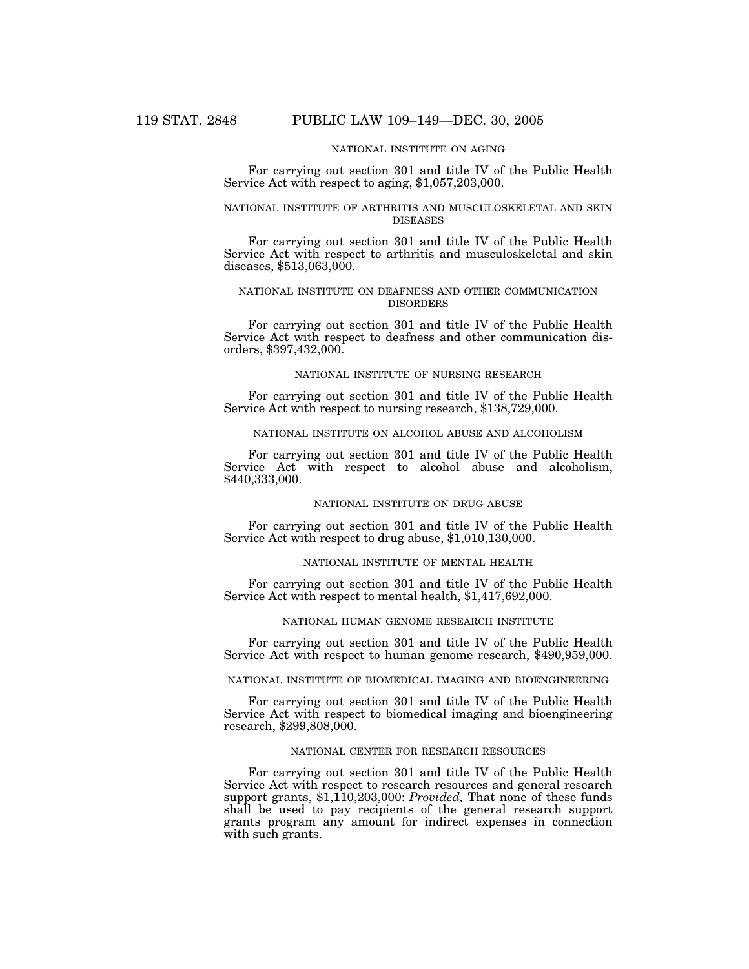## NATIONAL INSTITUTE ON AGING

For carrying out section 301 and title IV of the Public Health Service Act with respect to aging, \$1,057,203,000.

## NATIONAL INSTITUTE OF ARTHRITIS AND MUSCULOSKELETAL AND SKIN DISEASES

For carrying out section 301 and title IV of the Public Health Service Act with respect to arthritis and musculoskeletal and skin diseases, \$513,063,000.

## NATIONAL INSTITUTE ON DEAFNESS AND OTHER COMMUNICATION DISORDERS

For carrying out section 301 and title IV of the Public Health Service Act with respect to deafness and other communication disorders, \$397,432,000.

#### NATIONAL INSTITUTE OF NURSING RESEARCH

For carrying out section 301 and title IV of the Public Health Service Act with respect to nursing research, \$138,729,000.

### NATIONAL INSTITUTE ON ALCOHOL ABUSE AND ALCOHOLISM

For carrying out section 301 and title IV of the Public Health Service Act with respect to alcohol abuse and alcoholism, \$440,333,000.

### NATIONAL INSTITUTE ON DRUG ABUSE

For carrying out section 301 and title IV of the Public Health Service Act with respect to drug abuse, \$1,010,130,000.

### NATIONAL INSTITUTE OF MENTAL HEALTH

For carrying out section 301 and title IV of the Public Health Service Act with respect to mental health, \$1,417,692,000.

#### NATIONAL HUMAN GENOME RESEARCH INSTITUTE

For carrying out section 301 and title IV of the Public Health Service Act with respect to human genome research, \$490,959,000.

### NATIONAL INSTITUTE OF BIOMEDICAL IMAGING AND BIOENGINEERING

For carrying out section 301 and title IV of the Public Health Service Act with respect to biomedical imaging and bioengineering research, \$299,808,000.

#### NATIONAL CENTER FOR RESEARCH RESOURCES

For carrying out section 301 and title IV of the Public Health Service Act with respect to research resources and general research support grants, \$1,110,203,000: *Provided,* That none of these funds shall be used to pay recipients of the general research support grants program any amount for indirect expenses in connection with such grants.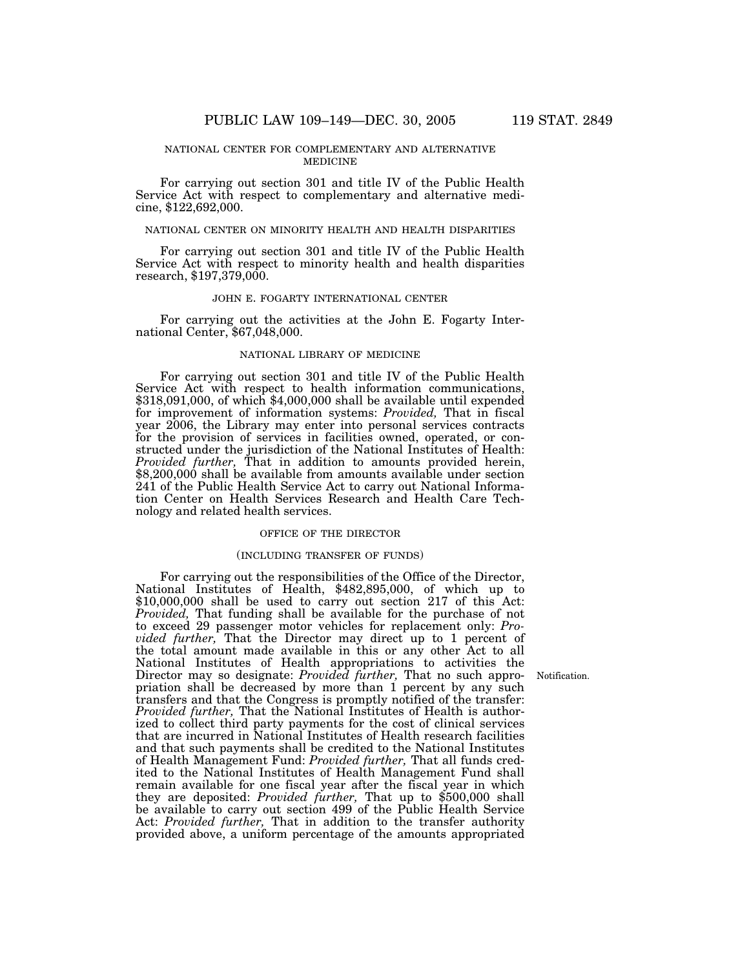### NATIONAL CENTER FOR COMPLEMENTARY AND ALTERNATIVE MEDICINE

For carrying out section 301 and title IV of the Public Health Service Act with respect to complementary and alternative medicine, \$122,692,000.

### NATIONAL CENTER ON MINORITY HEALTH AND HEALTH DISPARITIES

For carrying out section 301 and title IV of the Public Health Service Act with respect to minority health and health disparities research, \$197,379,000.

### JOHN E. FOGARTY INTERNATIONAL CENTER

For carrying out the activities at the John E. Fogarty International Center, \$67,048,000.

### NATIONAL LIBRARY OF MEDICINE

For carrying out section 301 and title IV of the Public Health Service Act with respect to health information communications, \$318,091,000, of which \$4,000,000 shall be available until expended for improvement of information systems: *Provided,* That in fiscal year 2006, the Library may enter into personal services contracts for the provision of services in facilities owned, operated, or constructed under the jurisdiction of the National Institutes of Health:<br>Provided further, That in addition to amounts provided herein, \$8,200,000 shall be available from amounts available under section 241 of the Public Health Service Act to carry out National Information Center on Health Services Research and Health Care Technology and related health services.

## OFFICE OF THE DIRECTOR

#### (INCLUDING TRANSFER OF FUNDS)

For carrying out the responsibilities of the Office of the Director, National Institutes of Health, \$482,895,000, of which up to \$10,000,000 shall be used to carry out section 217 of this Act: *Provided,* That funding shall be available for the purchase of not to exceed 29 passenger motor vehicles for replacement only: *Provided further,* That the Director may direct up to 1 percent of the total amount made available in this or any other Act to all National Institutes of Health appropriations to activities the Director may so designate: *Provided further,* That no such appropriation shall be decreased by more than 1 percent by any such transfers and that the Congress is promptly notified of the transfer: *Provided further,* That the National Institutes of Health is authorized to collect third party payments for the cost of clinical services that are incurred in National Institutes of Health research facilities and that such payments shall be credited to the National Institutes of Health Management Fund: *Provided further,* That all funds credited to the National Institutes of Health Management Fund shall remain available for one fiscal year after the fiscal year in which they are deposited: *Provided further,* That up to \$500,000 shall be available to carry out section 499 of the Public Health Service Act: *Provided further,* That in addition to the transfer authority provided above, a uniform percentage of the amounts appropriated

Notification.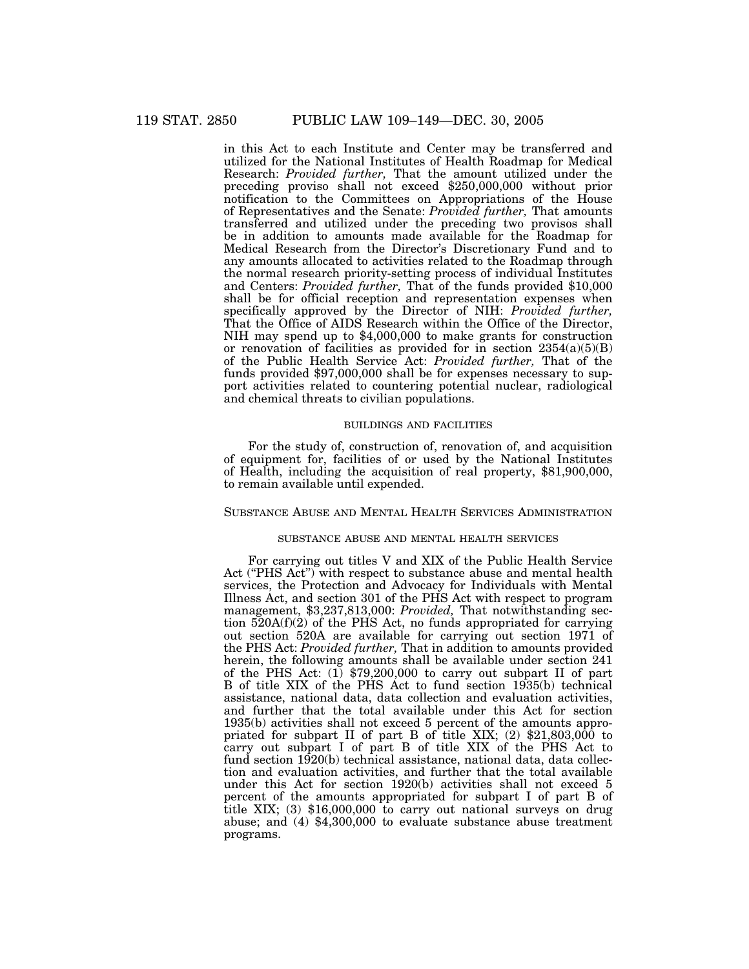in this Act to each Institute and Center may be transferred and utilized for the National Institutes of Health Roadmap for Medical Research: *Provided further,* That the amount utilized under the preceding proviso shall not exceed \$250,000,000 without prior notification to the Committees on Appropriations of the House of Representatives and the Senate: *Provided further,* That amounts transferred and utilized under the preceding two provisos shall be in addition to amounts made available for the Roadmap for Medical Research from the Director's Discretionary Fund and to any amounts allocated to activities related to the Roadmap through the normal research priority-setting process of individual Institutes and Centers: *Provided further,* That of the funds provided \$10,000 shall be for official reception and representation expenses when specifically approved by the Director of NIH: *Provided further,* That the Office of AIDS Research within the Office of the Director, NIH may spend up to \$4,000,000 to make grants for construction or renovation of facilities as provided for in section  $2354(a)(5)(B)$ of the Public Health Service Act: *Provided further,* That of the funds provided \$97,000,000 shall be for expenses necessary to support activities related to countering potential nuclear, radiological and chemical threats to civilian populations.

## BUILDINGS AND FACILITIES

For the study of, construction of, renovation of, and acquisition of equipment for, facilities of or used by the National Institutes of Health, including the acquisition of real property, \$81,900,000, to remain available until expended.

### SUBSTANCE ABUSE AND MENTAL HEALTH SERVICES ADMINISTRATION

#### SUBSTANCE ABUSE AND MENTAL HEALTH SERVICES

For carrying out titles V and XIX of the Public Health Service Act ("PHS Act") with respect to substance abuse and mental health services, the Protection and Advocacy for Individuals with Mental Illness Act, and section 301 of the PHS Act with respect to program management, \$3,237,813,000: *Provided,* That notwithstanding section  $520A(f)(2)$  of the PHS Act, no funds appropriated for carrying out section 520A are available for carrying out section 1971 of the PHS Act: *Provided further,* That in addition to amounts provided herein, the following amounts shall be available under section 241 of the PHS Act: (1) \$79,200,000 to carry out subpart II of part B of title XIX of the PHS Act to fund section 1935(b) technical assistance, national data, data collection and evaluation activities, and further that the total available under this Act for section 1935(b) activities shall not exceed 5 percent of the amounts appropriated for subpart II of part B of title XIX; (2) \$21,803,000 to carry out subpart I of part B of title XIX of the PHS Act to fund section 1920(b) technical assistance, national data, data collection and evaluation activities, and further that the total available under this Act for section 1920(b) activities shall not exceed 5 percent of the amounts appropriated for subpart I of part B of title XIX; (3) \$16,000,000 to carry out national surveys on drug abuse; and (4) \$4,300,000 to evaluate substance abuse treatment programs.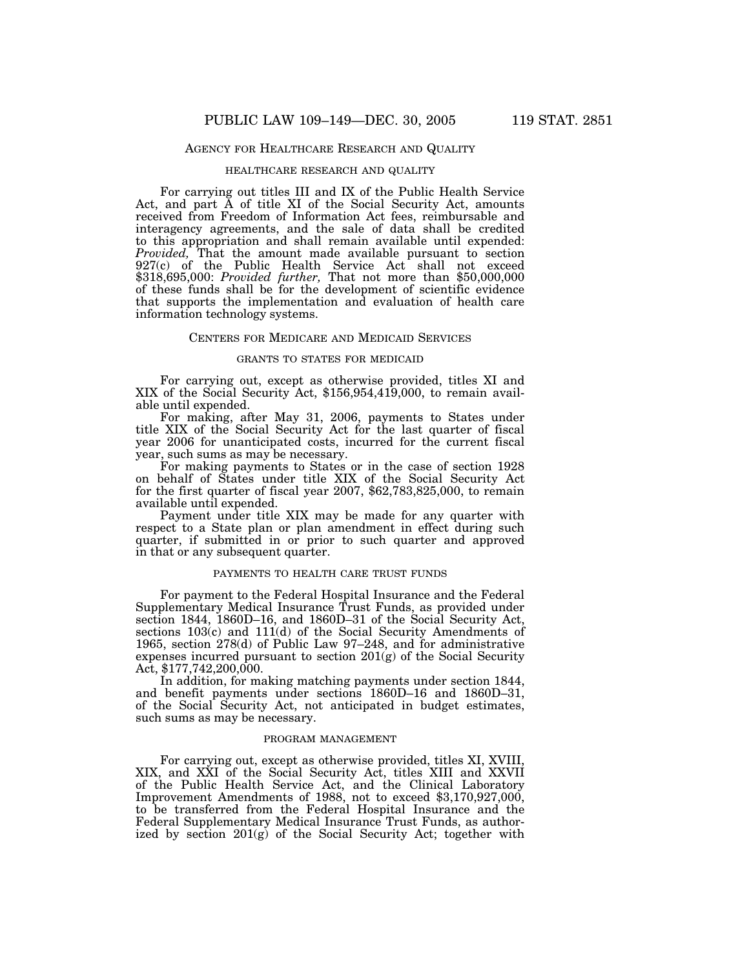## AGENCY FOR HEALTHCARE RESEARCH AND QUALITY

#### HEALTHCARE RESEARCH AND QUALITY

For carrying out titles III and IX of the Public Health Service Act, and part A of title XI of the Social Security Act, amounts received from Freedom of Information Act fees, reimbursable and interagency agreements, and the sale of data shall be credited to this appropriation and shall remain available until expended: *Provided*, That the amount made available pursuant to section 927(c) of the Public Health Service Act shall not exceed \$318,695,000: *Provided further,* That not more than \$50,000,000 of these funds shall be for the development of scientific evidence that supports the implementation and evaluation of health care information technology systems.

### CENTERS FOR MEDICARE AND MEDICAID SERVICES

#### GRANTS TO STATES FOR MEDICAID

For carrying out, except as otherwise provided, titles XI and XIX of the Social Security Act, \$156,954,419,000, to remain available until expended.

For making, after May 31, 2006, payments to States under title XIX of the Social Security Act for the last quarter of fiscal year 2006 for unanticipated costs, incurred for the current fiscal year, such sums as may be necessary.

For making payments to States or in the case of section 1928 on behalf of States under title XIX of the Social Security Act for the first quarter of fiscal year 2007, \$62,783,825,000, to remain available until expended.

Payment under title XIX may be made for any quarter with respect to a State plan or plan amendment in effect during such quarter, if submitted in or prior to such quarter and approved in that or any subsequent quarter.

### PAYMENTS TO HEALTH CARE TRUST FUNDS

For payment to the Federal Hospital Insurance and the Federal Supplementary Medical Insurance Trust Funds, as provided under section 1844, 1860D–16, and 1860D–31 of the Social Security Act, sections 103(c) and 111(d) of the Social Security Amendments of 1965, section 278(d) of Public Law 97–248, and for administrative expenses incurred pursuant to section 201(g) of the Social Security Act, \$177,742,200,000.

In addition, for making matching payments under section 1844, and benefit payments under sections 1860D–16 and 1860D–31, of the Social Security Act, not anticipated in budget estimates, such sums as may be necessary.

#### PROGRAM MANAGEMENT

For carrying out, except as otherwise provided, titles XI, XVIII, XIX, and XXI of the Social Security Act, titles XIII and XXVII of the Public Health Service Act, and the Clinical Laboratory Improvement Amendments of 1988, not to exceed \$3,170,927,000, to be transferred from the Federal Hospital Insurance and the Federal Supplementary Medical Insurance Trust Funds, as authorized by section 201(g) of the Social Security Act; together with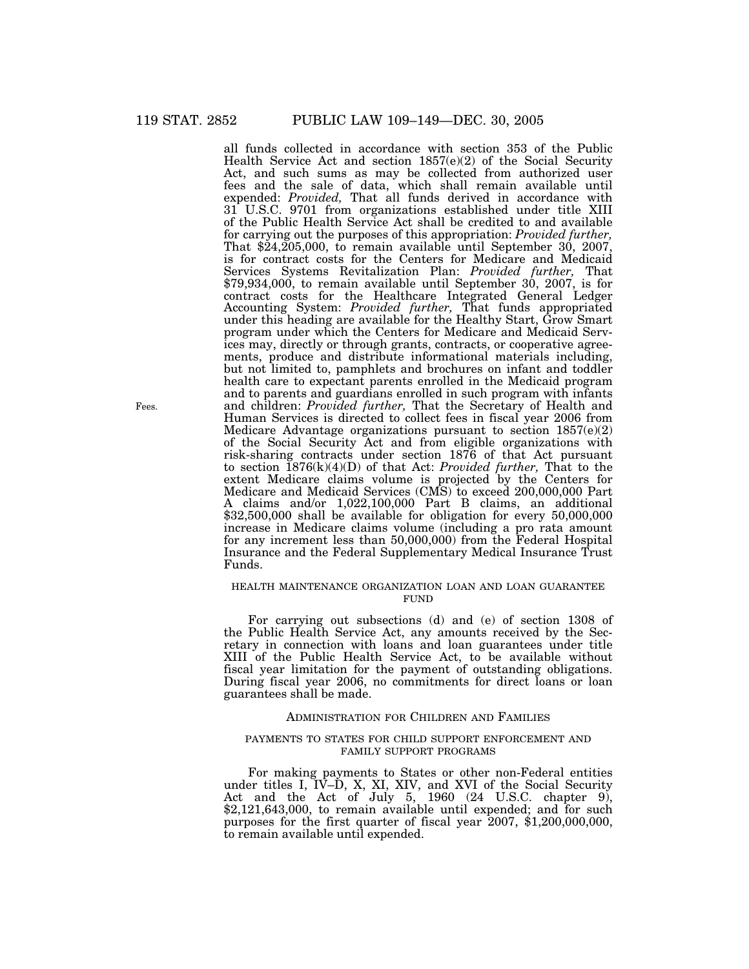all funds collected in accordance with section 353 of the Public Health Service Act and section 1857(e)(2) of the Social Security Act, and such sums as may be collected from authorized user fees and the sale of data, which shall remain available until expended: *Provided,* That all funds derived in accordance with 31 U.S.C. 9701 from organizations established under title XIII of the Public Health Service Act shall be credited to and available for carrying out the purposes of this appropriation: *Provided further,* That \$24,205,000, to remain available until September 30, 2007, is for contract costs for the Centers for Medicare and Medicaid Services Systems Revitalization Plan: *Provided further,* That \$79,934,000, to remain available until September 30, 2007, is for contract costs for the Healthcare Integrated General Ledger Accounting System: *Provided further,* That funds appropriated under this heading are available for the Healthy Start, Grow Smart program under which the Centers for Medicare and Medicaid Services may, directly or through grants, contracts, or cooperative agreements, produce and distribute informational materials including, but not limited to, pamphlets and brochures on infant and toddler health care to expectant parents enrolled in the Medicaid program and to parents and guardians enrolled in such program with infants and children: *Provided further,* That the Secretary of Health and Human Services is directed to collect fees in fiscal year 2006 from Medicare Advantage organizations pursuant to section 1857(e)(2) of the Social Security Act and from eligible organizations with risk-sharing contracts under section 1876 of that Act pursuant to section 1876(k)(4)(D) of that Act: *Provided further,* That to the extent Medicare claims volume is projected by the Centers for Medicare and Medicaid Services (CMS) to exceed 200,000,000 Part A claims and/or 1,022,100,000 Part B claims, an additional \$32,500,000 shall be available for obligation for every 50,000,000 increase in Medicare claims volume (including a pro rata amount for any increment less than 50,000,000) from the Federal Hospital Insurance and the Federal Supplementary Medical Insurance Trust Funds.

## HEALTH MAINTENANCE ORGANIZATION LOAN AND LOAN GUARANTEE FUND

For carrying out subsections (d) and (e) of section 1308 of the Public Health Service Act, any amounts received by the Secretary in connection with loans and loan guarantees under title XIII of the Public Health Service Act, to be available without fiscal year limitation for the payment of outstanding obligations. During fiscal year 2006, no commitments for direct loans or loan guarantees shall be made.

## ADMINISTRATION FOR CHILDREN AND FAMILIES

### PAYMENTS TO STATES FOR CHILD SUPPORT ENFORCEMENT AND FAMILY SUPPORT PROGRAMS

For making payments to States or other non-Federal entities under titles I, IV–D, X, XI, XIV, and XVI of the Social Security Act and the Act of July 5, 1960 (24 U.S.C. chapter 9), \$2,121,643,000, to remain available until expended; and for such purposes for the first quarter of fiscal year 2007, \$1,200,000,000, to remain available until expended.

Fees.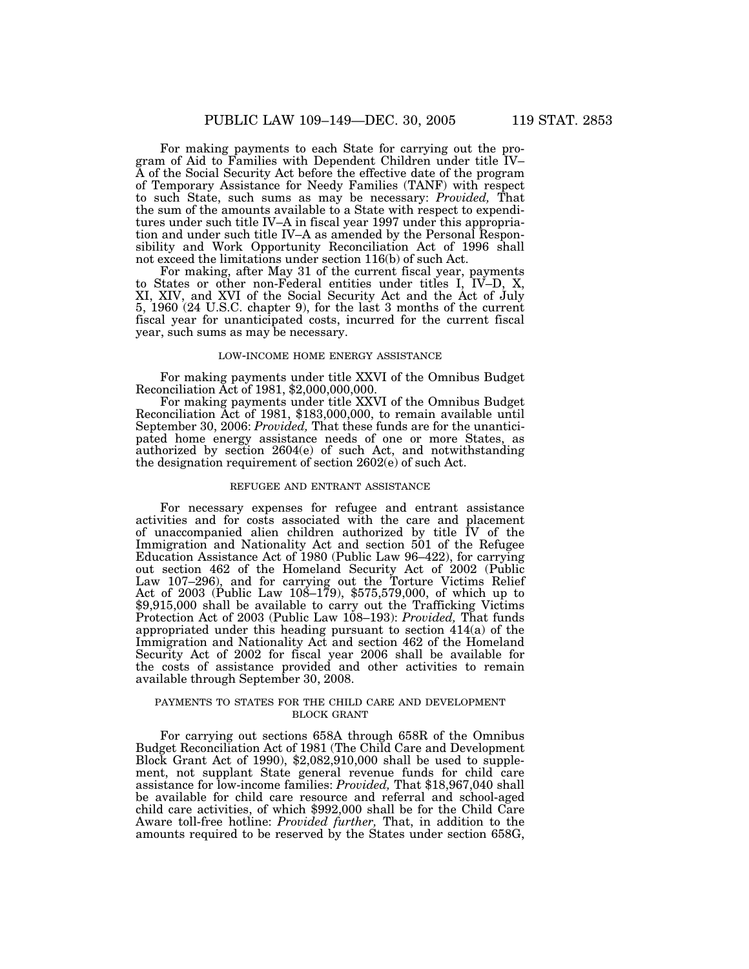For making payments to each State for carrying out the program of Aid to Families with Dependent Children under title IV– A of the Social Security Act before the effective date of the program of Temporary Assistance for Needy Families (TANF) with respect to such State, such sums as may be necessary: *Provided,* That the sum of the amounts available to a State with respect to expenditures under such title IV–A in fiscal year 1997 under this appropriation and under such title IV–A as amended by the Personal Responsibility and Work Opportunity Reconciliation Act of 1996 shall not exceed the limitations under section 116(b) of such Act.

For making, after May 31 of the current fiscal year, payments to States or other non-Federal entities under titles I, IV–D, X, XI, XIV, and XVI of the Social Security Act and the Act of July 5, 1960 (24 U.S.C. chapter 9), for the last 3 months of the current fiscal year for unanticipated costs, incurred for the current fiscal year, such sums as may be necessary.

#### LOW-INCOME HOME ENERGY ASSISTANCE

For making payments under title XXVI of the Omnibus Budget Reconciliation Act of 1981, \$2,000,000,000.

For making payments under title XXVI of the Omnibus Budget Reconciliation Act of 1981, \$183,000,000, to remain available until September 30, 2006: *Provided,* That these funds are for the unanticipated home energy assistance needs of one or more States, as authorized by section 2604(e) of such Act, and notwithstanding the designation requirement of section 2602(e) of such Act.

## REFUGEE AND ENTRANT ASSISTANCE

For necessary expenses for refugee and entrant assistance activities and for costs associated with the care and placement of unaccompanied alien children authorized by title IV of the Immigration and Nationality Act and section 501 of the Refugee Education Assistance Act of 1980 (Public Law 96–422), for carrying out section 462 of the Homeland Security Act of 2002 (Public Law 107–296), and for carrying out the Torture Victims Relief Act of 2003 (Public Law 108–179), \$575,579,000, of which up to \$9,915,000 shall be available to carry out the Trafficking Victims Protection Act of 2003 (Public Law 108–193): *Provided,* That funds appropriated under this heading pursuant to section 414(a) of the Immigration and Nationality Act and section 462 of the Homeland Security Act of 2002 for fiscal year 2006 shall be available for the costs of assistance provided and other activities to remain available through September 30, 2008.

### PAYMENTS TO STATES FOR THE CHILD CARE AND DEVELOPMENT BLOCK GRANT

For carrying out sections 658A through 658R of the Omnibus Budget Reconciliation Act of 1981 (The Child Care and Development Block Grant Act of 1990), \$2,082,910,000 shall be used to supplement, not supplant State general revenue funds for child care assistance for low-income families: *Provided,* That \$18,967,040 shall be available for child care resource and referral and school-aged child care activities, of which \$992,000 shall be for the Child Care Aware toll-free hotline: *Provided further,* That, in addition to the amounts required to be reserved by the States under section 658G,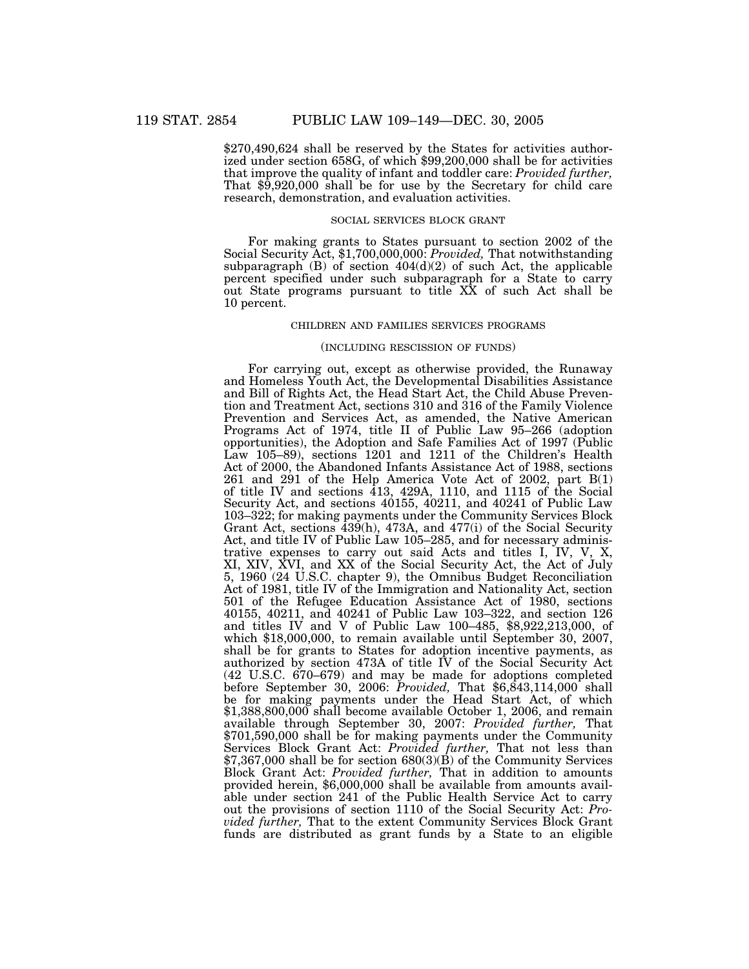\$270,490,624 shall be reserved by the States for activities authorized under section 658G, of which \$99,200,000 shall be for activities that improve the quality of infant and toddler care: *Provided further,* That \$9,920,000 shall be for use by the Secretary for child care research, demonstration, and evaluation activities.

### SOCIAL SERVICES BLOCK GRANT

For making grants to States pursuant to section 2002 of the Social Security Act, \$1,700,000,000: *Provided,* That notwithstanding subparagraph  $(B)$  of section  $404(d)(2)$  of such Act, the applicable percent specified under such subparagraph for a State to carry out State programs pursuant to title XX of such Act shall be 10 percent.

#### CHILDREN AND FAMILIES SERVICES PROGRAMS

#### (INCLUDING RESCISSION OF FUNDS)

For carrying out, except as otherwise provided, the Runaway and Homeless Youth Act, the Developmental Disabilities Assistance and Bill of Rights Act, the Head Start Act, the Child Abuse Prevention and Treatment Act, sections 310 and 316 of the Family Violence Prevention and Services Act, as amended, the Native American Programs Act of 1974, title II of Public Law 95–266 (adoption opportunities), the Adoption and Safe Families Act of 1997 (Public Law 105–89), sections 1201 and 1211 of the Children's Health Act of 2000, the Abandoned Infants Assistance Act of 1988, sections 261 and 291 of the Help America Vote Act of 2002, part B(1) of title IV and sections 413, 429A, 1110, and 1115 of the Social Security Act, and sections 40155, 40211, and 40241 of Public Law 103–322; for making payments under the Community Services Block Grant Act, sections 439(h), 473A, and 477(i) of the Social Security Act, and title IV of Public Law 105–285, and for necessary administrative expenses to carry out said Acts and titles I, IV, V, X, XI, XIV, XVI, and XX of the Social Security Act, the Act of July 5, 1960 (24 U.S.C. chapter 9), the Omnibus Budget Reconciliation Act of 1981, title IV of the Immigration and Nationality Act, section 501 of the Refugee Education Assistance Act of 1980, sections 40155, 40211, and 40241 of Public Law 103–322, and section 126 and titles IV and V of Public Law 100–485, \$8,922,213,000, of which \$18,000,000, to remain available until September 30, 2007, shall be for grants to States for adoption incentive payments, as authorized by section 473A of title IV of the Social Security Act (42 U.S.C. 670–679) and may be made for adoptions completed before September 30, 2006: *Provided,* That \$6,843,114,000 shall be for making payments under the Head Start Act, of which \$1,388,800,000 shall become available October 1, 2006, and remain available through September 30, 2007: *Provided further,* That \$701,590,000 shall be for making payments under the Community Services Block Grant Act: *Provided further,* That not less than \$7,367,000 shall be for section 680(3)(B) of the Community Services Block Grant Act: *Provided further,* That in addition to amounts provided herein, \$6,000,000 shall be available from amounts available under section 241 of the Public Health Service Act to carry out the provisions of section 1110 of the Social Security Act: *Provided further,* That to the extent Community Services Block Grant funds are distributed as grant funds by a State to an eligible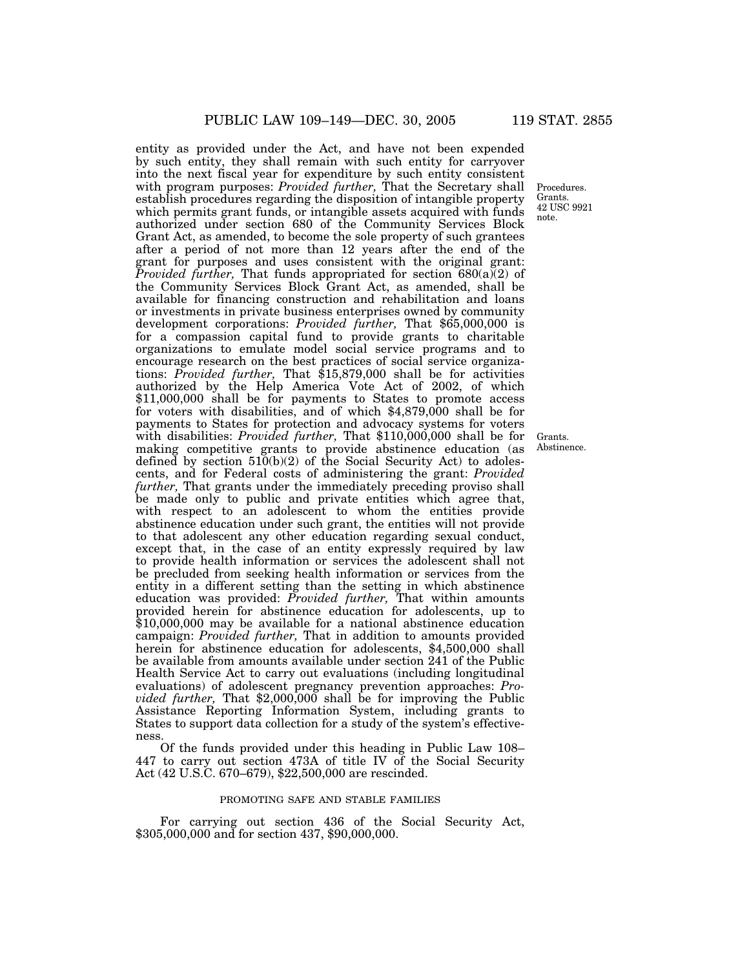entity as provided under the Act, and have not been expended by such entity, they shall remain with such entity for carryover into the next fiscal year for expenditure by such entity consistent with program purposes: *Provided further,* That the Secretary shall establish procedures regarding the disposition of intangible property which permits grant funds, or intangible assets acquired with funds authorized under section 680 of the Community Services Block Grant Act, as amended, to become the sole property of such grantees after a period of not more than 12 years after the end of the grant for purposes and uses consistent with the original grant: *Provided further*, That funds appropriated for section 680(a)(2) of the Community Services Block Grant Act, as amended, shall be available for financing construction and rehabilitation and loans or investments in private business enterprises owned by community development corporations: *Provided further,* That \$65,000,000 is for a compassion capital fund to provide grants to charitable organizations to emulate model social service programs and to encourage research on the best practices of social service organizations: *Provided further,* That \$15,879,000 shall be for activities authorized by the Help America Vote Act of 2002, of which \$11,000,000 shall be for payments to States to promote access for voters with disabilities, and of which \$4,879,000 shall be for payments to States for protection and advocacy systems for voters with disabilities: *Provided further*, That \$110,000,000 shall be for making competitive grants to provide abstinence education (as defined by section 510(b)(2) of the Social Security Act) to adolescents, and for Federal costs of administering the grant: *Provided further*, That grants under the immediately preceding proviso shall be made only to public and private entities which agree that, with respect to an adolescent to whom the entities provide abstinence education under such grant, the entities will not provide to that adolescent any other education regarding sexual conduct, except that, in the case of an entity expressly required by law to provide health information or services the adolescent shall not be precluded from seeking health information or services from the entity in a different setting than the setting in which abstinence education was provided: *Provided further,* That within amounts provided herein for abstinence education for adolescents, up to \$10,000,000 may be available for a national abstinence education campaign: *Provided further,* That in addition to amounts provided herein for abstinence education for adolescents, \$4,500,000 shall be available from amounts available under section 241 of the Public Health Service Act to carry out evaluations (including longitudinal evaluations) of adolescent pregnancy prevention approaches: *Provided further,* That \$2,000,000 shall be for improving the Public Assistance Reporting Information System, including grants to States to support data collection for a study of the system's effectiveness.

Of the funds provided under this heading in Public Law 108– 447 to carry out section 473A of title IV of the Social Security Act (42 U.S.C. 670–679), \$22,500,000 are rescinded.

#### PROMOTING SAFE AND STABLE FAMILIES

For carrying out section 436 of the Social Security Act, \$305,000,000 and for section 437, \$90,000,000.

Procedures. Grants. 42 USC 9921 note.

Grants. Abstinence.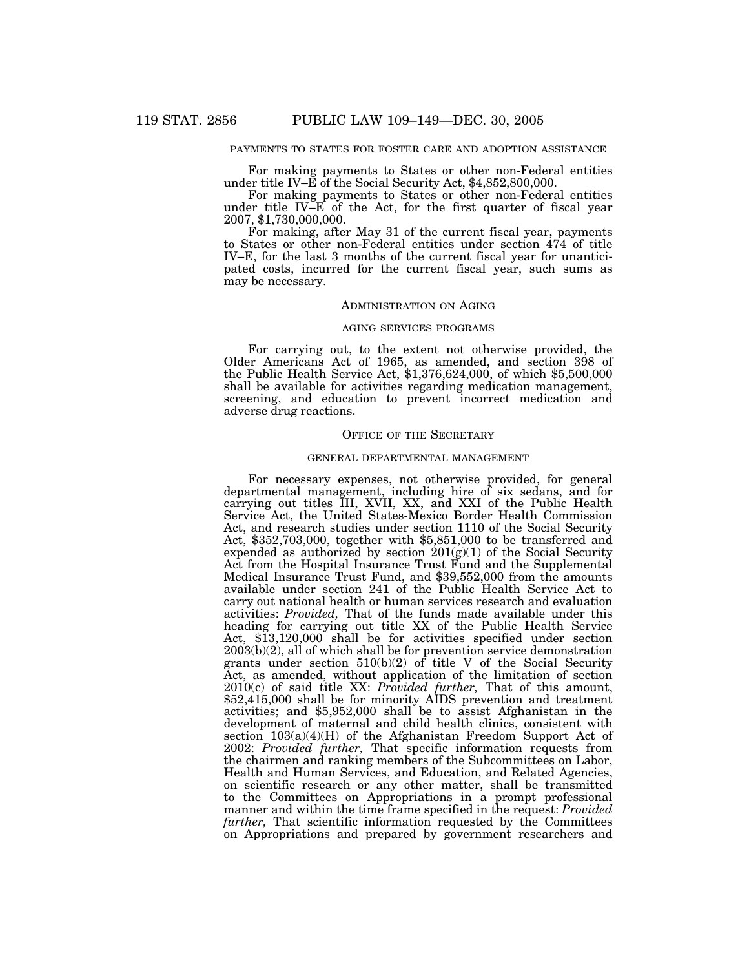### PAYMENTS TO STATES FOR FOSTER CARE AND ADOPTION ASSISTANCE

For making payments to States or other non-Federal entities under title IV–E of the Social Security Act, \$4,852,800,000.

For making payments to States or other non-Federal entities under title IV–E of the Act, for the first quarter of fiscal year 2007, \$1,730,000,000.

For making, after May 31 of the current fiscal year, payments to States or other non-Federal entities under section 474 of title IV–E, for the last 3 months of the current fiscal year for unanticipated costs, incurred for the current fiscal year, such sums as may be necessary.

#### ADMINISTRATION ON AGING

#### AGING SERVICES PROGRAMS

For carrying out, to the extent not otherwise provided, the Older Americans Act of 1965, as amended, and section 398 of the Public Health Service Act, \$1,376,624,000, of which \$5,500,000 shall be available for activities regarding medication management, screening, and education to prevent incorrect medication and adverse drug reactions.

### OFFICE OF THE SECRETARY

#### GENERAL DEPARTMENTAL MANAGEMENT

For necessary expenses, not otherwise provided, for general departmental management, including hire of six sedans, and for carrying out titles III, XVII, XX, and XXI of the Public Health Service Act, the United States-Mexico Border Health Commission Act, and research studies under section 1110 of the Social Security Act, \$352,703,000, together with \$5,851,000 to be transferred and expended as authorized by section  $201(g)(1)$  of the Social Security Act from the Hospital Insurance Trust Fund and the Supplemental Medical Insurance Trust Fund, and \$39,552,000 from the amounts available under section 241 of the Public Health Service Act to carry out national health or human services research and evaluation activities: *Provided,* That of the funds made available under this heading for carrying out title XX of the Public Health Service Act, \$13,120,000 shall be for activities specified under section 2003(b)(2), all of which shall be for prevention service demonstration grants under section 510(b)(2) of title V of the Social Security Act, as amended, without application of the limitation of section 2010(c) of said title XX: *Provided further,* That of this amount, \$52,415,000 shall be for minority AIDS prevention and treatment activities; and \$5,952,000 shall be to assist Afghanistan in the development of maternal and child health clinics, consistent with section 103(a)(4)(H) of the Afghanistan Freedom Support Act of 2002: *Provided further,* That specific information requests from the chairmen and ranking members of the Subcommittees on Labor, Health and Human Services, and Education, and Related Agencies, on scientific research or any other matter, shall be transmitted to the Committees on Appropriations in a prompt professional manner and within the time frame specified in the request: *Provided further,* That scientific information requested by the Committees on Appropriations and prepared by government researchers and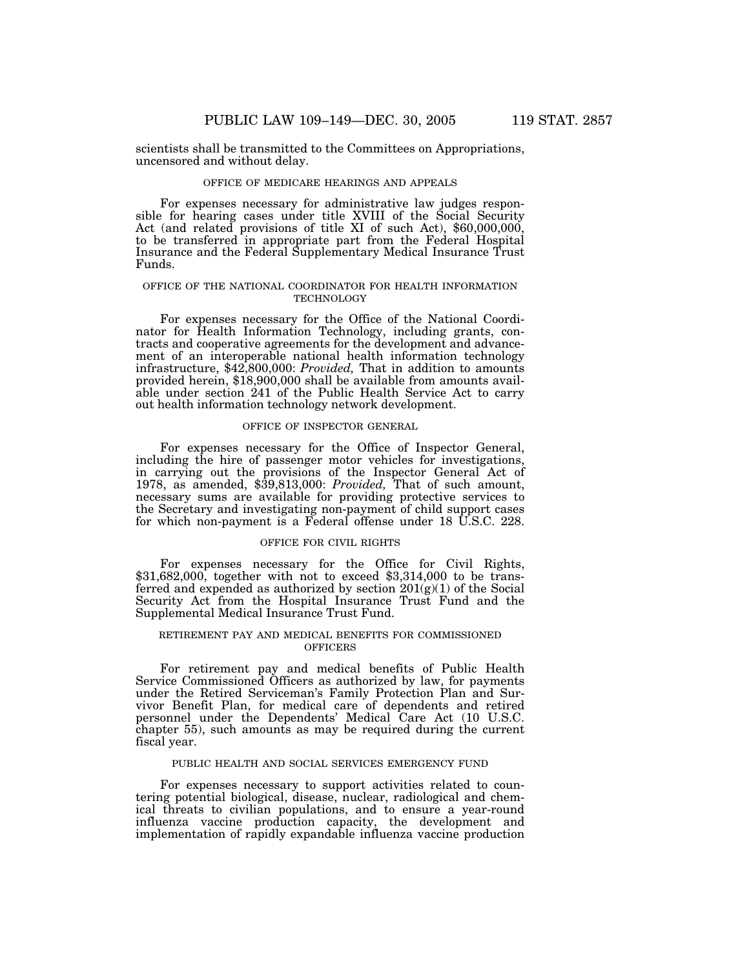scientists shall be transmitted to the Committees on Appropriations, uncensored and without delay.

## OFFICE OF MEDICARE HEARINGS AND APPEALS

For expenses necessary for administrative law judges responsible for hearing cases under title XVIII of the Social Security Act (and related provisions of title XI of such Act), \$60,000,000, to be transferred in appropriate part from the Federal Hospital Insurance and the Federal Supplementary Medical Insurance Trust Funds.

#### OFFICE OF THE NATIONAL COORDINATOR FOR HEALTH INFORMATION **TECHNOLOGY**

For expenses necessary for the Office of the National Coordinator for Health Information Technology, including grants, contracts and cooperative agreements for the development and advancement of an interoperable national health information technology infrastructure, \$42,800,000: *Provided,* That in addition to amounts provided herein, \$18,900,000 shall be available from amounts available under section 241 of the Public Health Service Act to carry out health information technology network development.

### OFFICE OF INSPECTOR GENERAL

For expenses necessary for the Office of Inspector General, including the hire of passenger motor vehicles for investigations, in carrying out the provisions of the Inspector General Act of 1978, as amended, \$39,813,000: *Provided,* That of such amount, necessary sums are available for providing protective services to the Secretary and investigating non-payment of child support cases for which non-payment is a Federal offense under 18 U.S.C. 228.

#### OFFICE FOR CIVIL RIGHTS

For expenses necessary for the Office for Civil Rights, \$31,682,000, together with not to exceed \$3,314,000 to be transferred and expended as authorized by section  $201(g)(1)$  of the Social Security Act from the Hospital Insurance Trust Fund and the Supplemental Medical Insurance Trust Fund.

## RETIREMENT PAY AND MEDICAL BENEFITS FOR COMMISSIONED **OFFICERS**

For retirement pay and medical benefits of Public Health Service Commissioned Officers as authorized by law, for payments under the Retired Serviceman's Family Protection Plan and Survivor Benefit Plan, for medical care of dependents and retired personnel under the Dependents' Medical Care Act (10 U.S.C. chapter 55), such amounts as may be required during the current fiscal year.

### PUBLIC HEALTH AND SOCIAL SERVICES EMERGENCY FUND

For expenses necessary to support activities related to countering potential biological, disease, nuclear, radiological and chemical threats to civilian populations, and to ensure a year-round influenza vaccine production capacity, the development and implementation of rapidly expandable influenza vaccine production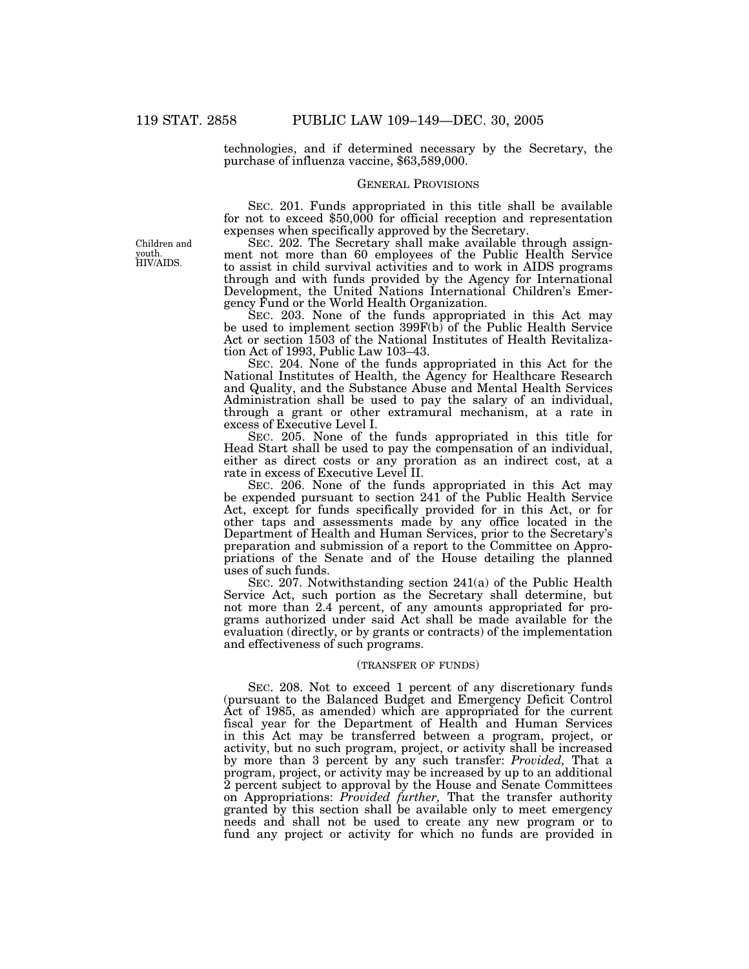technologies, and if determined necessary by the Secretary, the purchase of influenza vaccine, \$63,589,000.

#### GENERAL PROVISIONS

SEC. 201. Funds appropriated in this title shall be available for not to exceed \$50,000 for official reception and representation expenses when specifically approved by the Secretary.

SEC. 202. The Secretary shall make available through assignment not more than 60 employees of the Public Health Service to assist in child survival activities and to work in AIDS programs through and with funds provided by the Agency for International Development, the United Nations International Children's Emergency Fund or the World Health Organization.

SEC. 203. None of the funds appropriated in this Act may be used to implement section 399F(b) of the Public Health Service Act or section 1503 of the National Institutes of Health Revitalization Act of 1993, Public Law 103–43.

SEC. 204. None of the funds appropriated in this Act for the National Institutes of Health, the Agency for Healthcare Research and Quality, and the Substance Abuse and Mental Health Services Administration shall be used to pay the salary of an individual, through a grant or other extramural mechanism, at a rate in excess of Executive Level I.

SEC. 205. None of the funds appropriated in this title for Head Start shall be used to pay the compensation of an individual, either as direct costs or any proration as an indirect cost, at a rate in excess of Executive Level II.

SEC. 206. None of the funds appropriated in this Act may be expended pursuant to section 241 of the Public Health Service Act, except for funds specifically provided for in this Act, or for other taps and assessments made by any office located in the Department of Health and Human Services, prior to the Secretary's preparation and submission of a report to the Committee on Appropriations of the Senate and of the House detailing the planned uses of such funds.

SEC. 207. Notwithstanding section 241(a) of the Public Health Service Act, such portion as the Secretary shall determine, but not more than 2.4 percent, of any amounts appropriated for programs authorized under said Act shall be made available for the evaluation (directly, or by grants or contracts) of the implementation and effectiveness of such programs.

### (TRANSFER OF FUNDS)

SEC. 208. Not to exceed 1 percent of any discretionary funds (pursuant to the Balanced Budget and Emergency Deficit Control Act of 1985, as amended) which are appropriated for the current fiscal year for the Department of Health and Human Services in this Act may be transferred between a program, project, or activity, but no such program, project, or activity shall be increased by more than 3 percent by any such transfer: *Provided,* That a program, project, or activity may be increased by up to an additional 2 percent subject to approval by the House and Senate Committees on Appropriations: *Provided further,* That the transfer authority granted by this section shall be available only to meet emergency needs and shall not be used to create any new program or to fund any project or activity for which no funds are provided in

Children and youth. HIV/AIDS.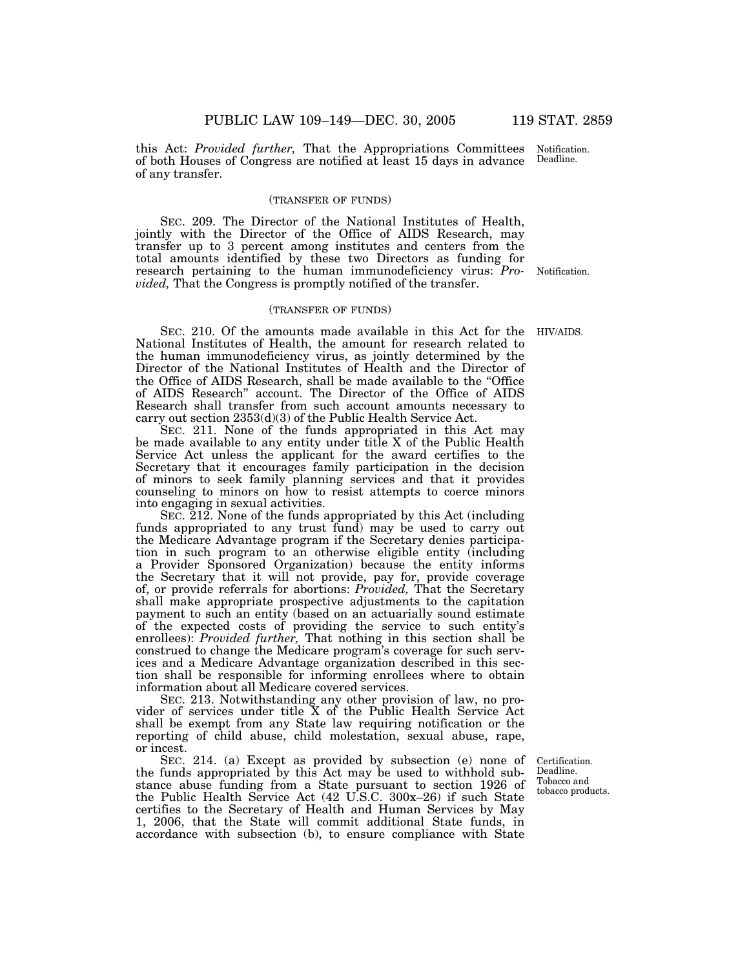this Act: *Provided further,* That the Appropriations Committees of both Houses of Congress are notified at least 15 days in advance of any transfer. Deadline.

## (TRANSFER OF FUNDS)

SEC. 209. The Director of the National Institutes of Health, jointly with the Director of the Office of AIDS Research, may transfer up to 3 percent among institutes and centers from the total amounts identified by these two Directors as funding for research pertaining to the human immunodeficiency virus: *Pro-*Notification. *vided,* That the Congress is promptly notified of the transfer.

## (TRANSFER OF FUNDS)

SEC. 210. Of the amounts made available in this Act for the HIV/AIDS. National Institutes of Health, the amount for research related to the human immunodeficiency virus, as jointly determined by the Director of the National Institutes of Health and the Director of the Office of AIDS Research, shall be made available to the ''Office of AIDS Research'' account. The Director of the Office of AIDS Research shall transfer from such account amounts necessary to carry out section 2353(d)(3) of the Public Health Service Act.

SEC. 211. None of the funds appropriated in this Act may be made available to any entity under title X of the Public Health Service Act unless the applicant for the award certifies to the Secretary that it encourages family participation in the decision of minors to seek family planning services and that it provides counseling to minors on how to resist attempts to coerce minors into engaging in sexual activities.

SEC. 212. None of the funds appropriated by this Act (including funds appropriated to any trust fund) may be used to carry out the Medicare Advantage program if the Secretary denies participation in such program to an otherwise eligible entity (including a Provider Sponsored Organization) because the entity informs the Secretary that it will not provide, pay for, provide coverage of, or provide referrals for abortions: *Provided,* That the Secretary shall make appropriate prospective adjustments to the capitation payment to such an entity (based on an actuarially sound estimate of the expected costs of providing the service to such entity's enrollees): *Provided further,* That nothing in this section shall be construed to change the Medicare program's coverage for such services and a Medicare Advantage organization described in this section shall be responsible for informing enrollees where to obtain information about all Medicare covered services.

SEC. 213. Notwithstanding any other provision of law, no provider of services under title X of the Public Health Service Act shall be exempt from any State law requiring notification or the reporting of child abuse, child molestation, sexual abuse, rape, or incest.

SEC. 214. (a) Except as provided by subsection (e) none of the funds appropriated by this Act may be used to withhold substance abuse funding from a State pursuant to section 1926 of the Public Health Service Act (42 U.S.C. 300x–26) if such State certifies to the Secretary of Health and Human Services by May 1, 2006, that the State will commit additional State funds, in accordance with subsection (b), to ensure compliance with State

Certification. Deadline. Tobacco and tobacco products.

Notification.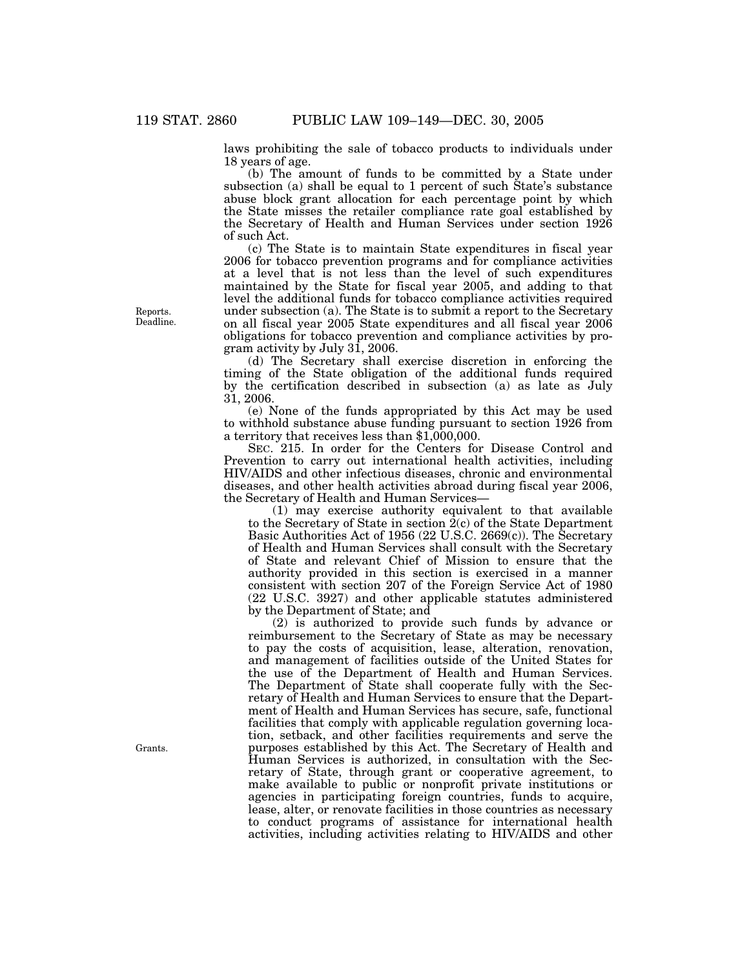laws prohibiting the sale of tobacco products to individuals under 18 years of age.

(b) The amount of funds to be committed by a State under subsection (a) shall be equal to 1 percent of such State's substance abuse block grant allocation for each percentage point by which the State misses the retailer compliance rate goal established by the Secretary of Health and Human Services under section 1926 of such Act.

(c) The State is to maintain State expenditures in fiscal year 2006 for tobacco prevention programs and for compliance activities at a level that is not less than the level of such expenditures maintained by the State for fiscal year 2005, and adding to that level the additional funds for tobacco compliance activities required under subsection (a). The State is to submit a report to the Secretary on all fiscal year 2005 State expenditures and all fiscal year 2006 obligations for tobacco prevention and compliance activities by program activity by July 31, 2006.

(d) The Secretary shall exercise discretion in enforcing the timing of the State obligation of the additional funds required by the certification described in subsection (a) as late as July 31, 2006.

(e) None of the funds appropriated by this Act may be used to withhold substance abuse funding pursuant to section 1926 from a territory that receives less than \$1,000,000.

SEC. 215. In order for the Centers for Disease Control and Prevention to carry out international health activities, including HIV/AIDS and other infectious diseases, chronic and environmental diseases, and other health activities abroad during fiscal year 2006, the Secretary of Health and Human Services—

(1) may exercise authority equivalent to that available to the Secretary of State in section 2(c) of the State Department Basic Authorities Act of 1956 (22 U.S.C. 2669(c)). The Secretary of Health and Human Services shall consult with the Secretary of State and relevant Chief of Mission to ensure that the authority provided in this section is exercised in a manner consistent with section 207 of the Foreign Service Act of 1980 (22 U.S.C. 3927) and other applicable statutes administered by the Department of State; and

(2) is authorized to provide such funds by advance or reimbursement to the Secretary of State as may be necessary to pay the costs of acquisition, lease, alteration, renovation, and management of facilities outside of the United States for the use of the Department of Health and Human Services. The Department of State shall cooperate fully with the Secretary of Health and Human Services to ensure that the Department of Health and Human Services has secure, safe, functional facilities that comply with applicable regulation governing location, setback, and other facilities requirements and serve the purposes established by this Act. The Secretary of Health and Human Services is authorized, in consultation with the Secretary of State, through grant or cooperative agreement, to make available to public or nonprofit private institutions or agencies in participating foreign countries, funds to acquire, lease, alter, or renovate facilities in those countries as necessary to conduct programs of assistance for international health activities, including activities relating to HIV/AIDS and other

Reports. Deadline.

Grants.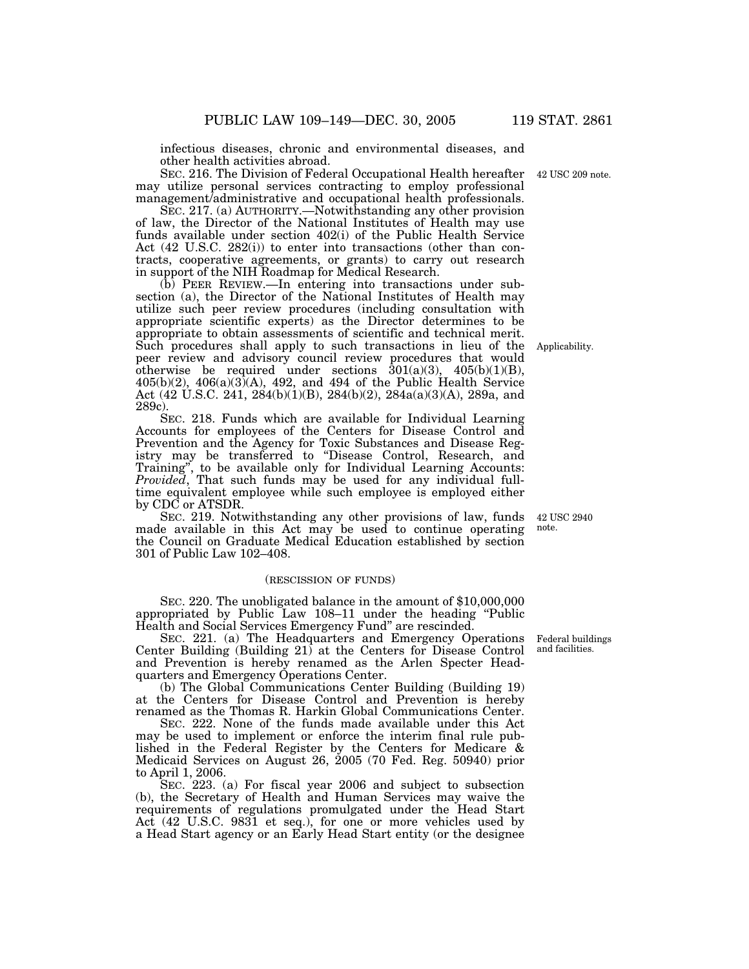infectious diseases, chronic and environmental diseases, and other health activities abroad.

SEC. 216. The Division of Federal Occupational Health hereafter may utilize personal services contracting to employ professional management/administrative and occupational health professionals.

SEC. 217. (a) AUTHORITY.—Notwithstanding any other provision of law, the Director of the National Institutes of Health may use funds available under section 402(i) of the Public Health Service Act (42 U.S.C. 282(i)) to enter into transactions (other than contracts, cooperative agreements, or grants) to carry out research in support of the NIH Roadmap for Medical Research.

(b) PEER REVIEW.—In entering into transactions under subsection (a), the Director of the National Institutes of Health may utilize such peer review procedures (including consultation with appropriate scientific experts) as the Director determines to be appropriate to obtain assessments of scientific and technical merit. Such procedures shall apply to such transactions in lieu of the peer review and advisory council review procedures that would otherwise be required under sections  $\overline{301(a)(3)}$ ,  $405(b)(1)(B)$ ,  $405(b)(2)$ ,  $406(a)(3)(A)$ ,  $492$ , and  $494$  of the Public Health Service Act (42 U.S.C. 241, 284(b)(1)(B), 284(b)(2), 284a(a)(3)(A), 289a, and 289c).

SEC. 218. Funds which are available for Individual Learning Accounts for employees of the Centers for Disease Control and Prevention and the Agency for Toxic Substances and Disease Registry may be transferred to ''Disease Control, Research, and Training'', to be available only for Individual Learning Accounts: *Provided*, That such funds may be used for any individual fulltime equivalent employee while such employee is employed either by CDC or ATSDR.

SEC. 219. Notwithstanding any other provisions of law, funds made available in this Act may be used to continue operating the Council on Graduate Medical Education established by section 301 of Public Law 102–408. 42 USC 2940 note.

### (RESCISSION OF FUNDS)

SEC. 220. The unobligated balance in the amount of \$10,000,000 appropriated by Public Law 108–11 under the heading ''Public Health and Social Services Emergency Fund'' are rescinded.

SEC. 221. (a) The Headquarters and Emergency Operations Center Building (Building 21) at the Centers for Disease Control and Prevention is hereby renamed as the Arlen Specter Headquarters and Emergency Operations Center.

(b) The Global Communications Center Building (Building 19) at the Centers for Disease Control and Prevention is hereby renamed as the Thomas R. Harkin Global Communications Center.

SEC. 222. None of the funds made available under this Act may be used to implement or enforce the interim final rule published in the Federal Register by the Centers for Medicare & Medicaid Services on August 26, 2005 (70 Fed. Reg. 50940) prior to April 1, 2006.

SEC. 223. (a) For fiscal year 2006 and subject to subsection (b), the Secretary of Health and Human Services may waive the requirements of regulations promulgated under the Head Start Act (42 U.S.C. 9831 et seq.), for one or more vehicles used by a Head Start agency or an Early Head Start entity (or the designee

Federal buildings and facilities.

Applicability.

42 USC 209 note.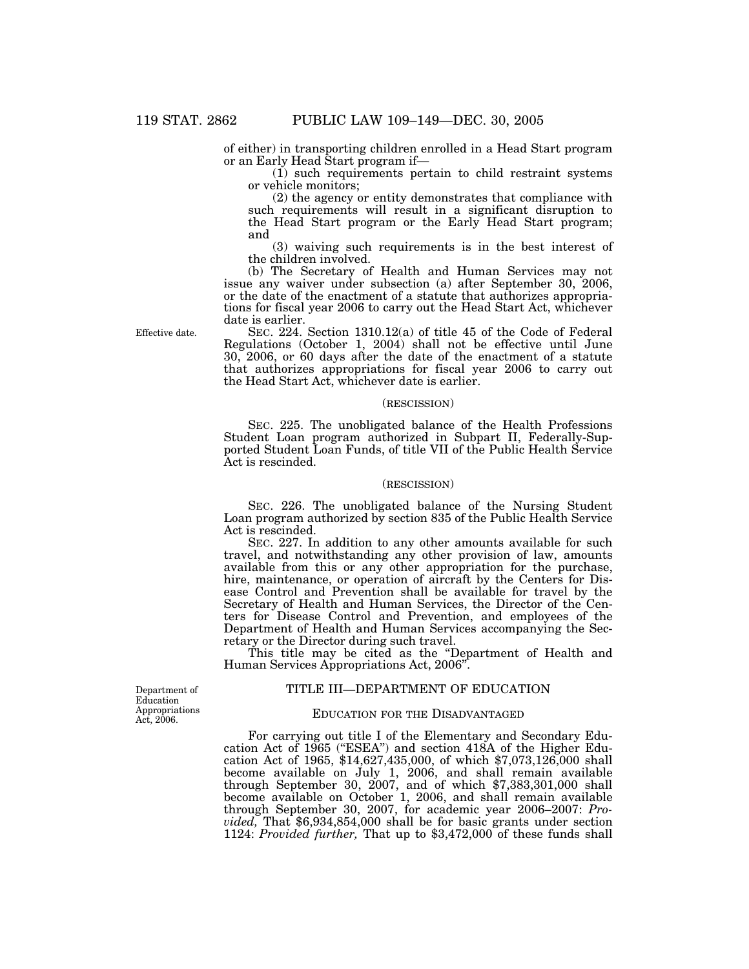of either) in transporting children enrolled in a Head Start program or an Early Head Start program if—

(1) such requirements pertain to child restraint systems or vehicle monitors;

(2) the agency or entity demonstrates that compliance with such requirements will result in a significant disruption to the Head Start program or the Early Head Start program; and

(3) waiving such requirements is in the best interest of the children involved.

(b) The Secretary of Health and Human Services may not issue any waiver under subsection (a) after September 30, 2006, or the date of the enactment of a statute that authorizes appropriations for fiscal year 2006 to carry out the Head Start Act, whichever date is earlier.

SEC. 224. Section 1310.12(a) of title 45 of the Code of Federal Regulations (October 1, 2004) shall not be effective until June 30, 2006, or 60 days after the date of the enactment of a statute that authorizes appropriations for fiscal year 2006 to carry out the Head Start Act, whichever date is earlier.

## (RESCISSION)

SEC. 225. The unobligated balance of the Health Professions Student Loan program authorized in Subpart II, Federally-Supported Student Loan Funds, of title VII of the Public Health Service Act is rescinded.

### (RESCISSION)

SEC. 226. The unobligated balance of the Nursing Student Loan program authorized by section 835 of the Public Health Service Act is rescinded.

SEC. 227. In addition to any other amounts available for such travel, and notwithstanding any other provision of law, amounts available from this or any other appropriation for the purchase, hire, maintenance, or operation of aircraft by the Centers for Disease Control and Prevention shall be available for travel by the Secretary of Health and Human Services, the Director of the Centers for Disease Control and Prevention, and employees of the Department of Health and Human Services accompanying the Secretary or the Director during such travel.

This title may be cited as the ''Department of Health and Human Services Appropriations Act, 2006''.

## TITLE III—DEPARTMENT OF EDUCATION

#### Education Appropriations Act, 2006.

Department of

## EDUCATION FOR THE DISADVANTAGED

For carrying out title I of the Elementary and Secondary Education Act of 1965 (''ESEA'') and section 418A of the Higher Education Act of 1965, \$14,627,435,000, of which \$7,073,126,000 shall become available on July 1, 2006, and shall remain available through September 30, 2007, and of which \$7,383,301,000 shall become available on October 1, 2006, and shall remain available through September 30, 2007, for academic year 2006–2007: *Provided,* That \$6,934,854,000 shall be for basic grants under section 1124: *Provided further,* That up to \$3,472,000 of these funds shall

Effective date.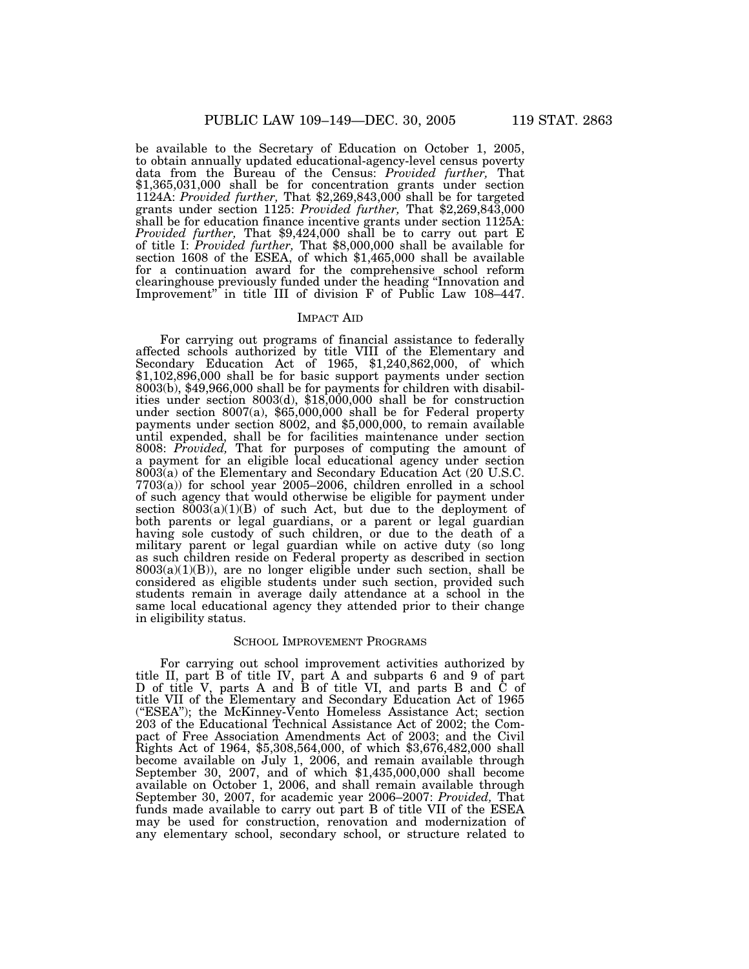be available to the Secretary of Education on October 1, 2005, to obtain annually updated educational-agency-level census poverty data from the Bureau of the Census: *Provided further,* That \$1,365,031,000 shall be for concentration grants under section 1124A: *Provided further,* That \$2,269,843,000 shall be for targeted grants under section 1125: *Provided further,* That \$2,269,843,000 shall be for education finance incentive grants under section 1125A: *Provided further,* That \$9,424,000 shall be to carry out part E of title I: *Provided further,* That \$8,000,000 shall be available for section 1608 of the ESEA, of which \$1,465,000 shall be available for a continuation award for the comprehensive school reform clearinghouse previously funded under the heading ''Innovation and Improvement'' in title III of division F of Public Law 108–447.

### IMPACT AID

For carrying out programs of financial assistance to federally affected schools authorized by title VIII of the Elementary and Secondary Education Act of 1965, \$1,240,862,000, of which \$1,102,896,000 shall be for basic support payments under section 8003(b), \$49,966,000 shall be for payments for children with disabilities under section 8003(d), \$18,000,000 shall be for construction under section 8007(a), \$65,000,000 shall be for Federal property payments under section 8002, and \$5,000,000, to remain available until expended, shall be for facilities maintenance under section 8008: *Provided,* That for purposes of computing the amount of a payment for an eligible local educational agency under section 8003(a) of the Elementary and Secondary Education Act (20 U.S.C. 7703(a)) for school year 2005–2006, children enrolled in a school of such agency that would otherwise be eligible for payment under section  $8003(a)(1)(B)$  of such Act, but due to the deployment of both parents or legal guardians, or a parent or legal guardian having sole custody of such children, or due to the death of a military parent or legal guardian while on active duty (so long as such children reside on Federal property as described in section  $8003(a)(1)(B)$ , are no longer eligible under such section, shall be considered as eligible students under such section, provided such students remain in average daily attendance at a school in the same local educational agency they attended prior to their change in eligibility status.

## SCHOOL IMPROVEMENT PROGRAMS

For carrying out school improvement activities authorized by title II, part B of title IV, part A and subparts 6 and 9 of part D of title V, parts A and B of title VI, and parts B and C of title VII of the Elementary and Secondary Education Act of 1965 (''ESEA''); the McKinney-Vento Homeless Assistance Act; section 203 of the Educational Technical Assistance Act of 2002; the Compact of Free Association Amendments Act of 2003; and the Civil Rights Act of 1964, \$5,308,564,000, of which \$3,676,482,000 shall become available on July 1, 2006, and remain available through September 30, 2007, and of which \$1,435,000,000 shall become available on October 1, 2006, and shall remain available through September 30, 2007, for academic year 2006–2007: *Provided,* That funds made available to carry out part B of title VII of the ESEA may be used for construction, renovation and modernization of any elementary school, secondary school, or structure related to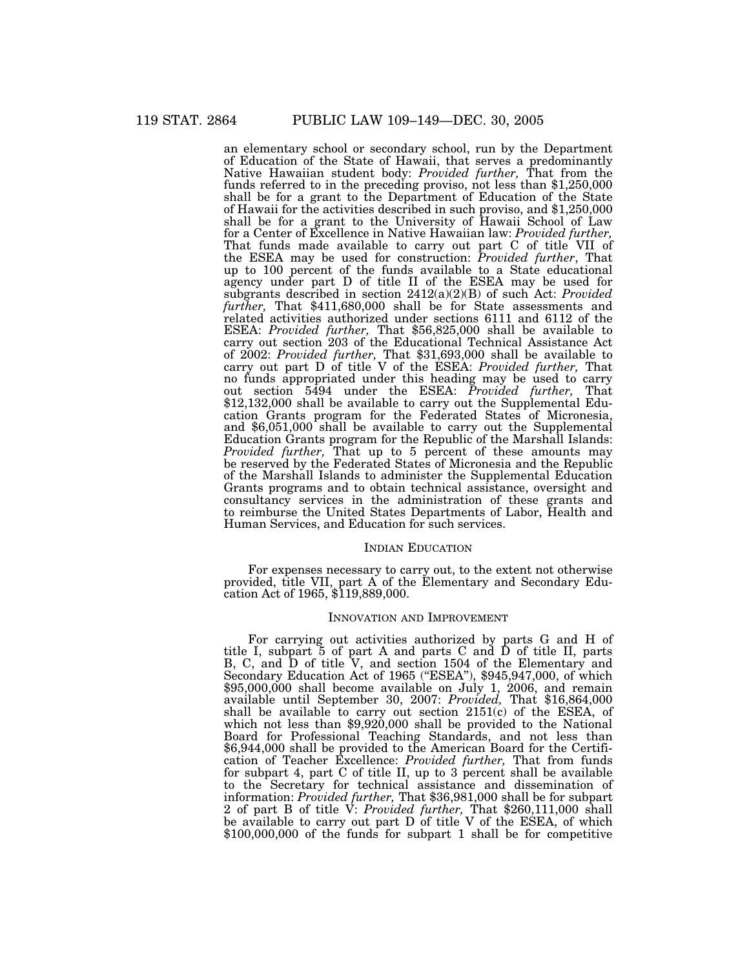an elementary school or secondary school, run by the Department of Education of the State of Hawaii, that serves a predominantly Native Hawaiian student body: *Provided further,* That from the funds referred to in the preceding proviso, not less than \$1,250,000 shall be for a grant to the Department of Education of the State of Hawaii for the activities described in such proviso, and \$1,250,000 shall be for a grant to the University of Hawaii School of Law for a Center of Excellence in Native Hawaiian law: *Provided further,* That funds made available to carry out part C of title VII of the ESEA may be used for construction: *Provided further*, That up to 100 percent of the funds available to a State educational agency under part D of title II of the ESEA may be used for subgrants described in section 2412(a)(2)(B) of such Act: *Provided further,* That \$411,680,000 shall be for State assessments and related activities authorized under sections 6111 and 6112 of the ESEA: *Provided further,* That \$56,825,000 shall be available to carry out section 203 of the Educational Technical Assistance Act of 2002: *Provided further,* That \$31,693,000 shall be available to carry out part D of title V of the ESEA: *Provided further,* That no funds appropriated under this heading may be used to carry out section 5494 under the ESEA: *Provided further,* That \$12,132,000 shall be available to carry out the Supplemental Education Grants program for the Federated States of Micronesia, and \$6,051,000 shall be available to carry out the Supplemental Education Grants program for the Republic of the Marshall Islands: *Provided further,* That up to 5 percent of these amounts may be reserved by the Federated States of Micronesia and the Republic of the Marshall Islands to administer the Supplemental Education Grants programs and to obtain technical assistance, oversight and consultancy services in the administration of these grants and to reimburse the United States Departments of Labor, Health and Human Services, and Education for such services.

### INDIAN EDUCATION

For expenses necessary to carry out, to the extent not otherwise provided, title VII, part A of the Elementary and Secondary Education Act of 1965, \$119,889,000.

#### INNOVATION AND IMPROVEMENT

For carrying out activities authorized by parts G and H of title I, subpart 5 of part A and parts C and D of title II, parts B, C, and D of title V, and section 1504 of the Elementary and Secondary Education Act of 1965 ("ESEA"), \$945,947,000, of which \$95,000,000 shall become available on July 1, 2006, and remain available until September 30, 2007: *Provided,* That \$16,864,000 shall be available to carry out section 2151(c) of the ESEA, of which not less than \$9,920,000 shall be provided to the National Board for Professional Teaching Standards, and not less than \$6,944,000 shall be provided to the American Board for the Certification of Teacher Excellence: *Provided further,* That from funds for subpart 4, part C of title II, up to 3 percent shall be available to the Secretary for technical assistance and dissemination of information: *Provided further,* That \$36,981,000 shall be for subpart 2 of part B of title V: *Provided further,* That \$260,111,000 shall be available to carry out part D of title V of the ESEA, of which \$100,000,000 of the funds for subpart 1 shall be for competitive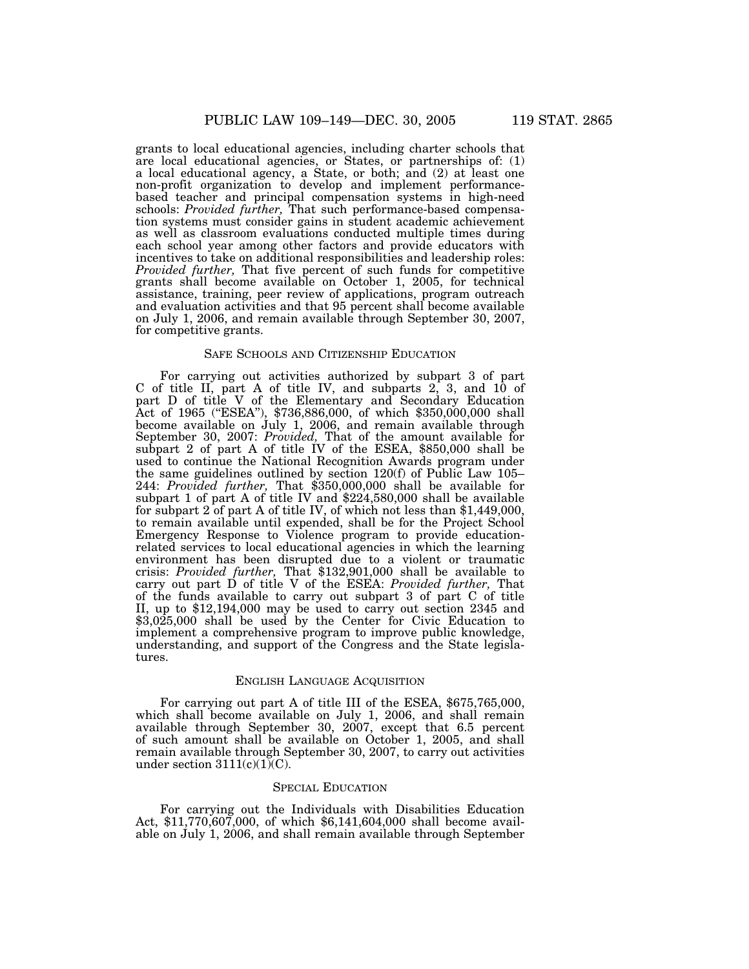grants to local educational agencies, including charter schools that are local educational agencies, or States, or partnerships of: (1) a local educational agency, a State, or both; and (2) at least one non-profit organization to develop and implement performancebased teacher and principal compensation systems in high-need schools: *Provided further,* That such performance-based compensation systems must consider gains in student academic achievement as well as classroom evaluations conducted multiple times during each school year among other factors and provide educators with incentives to take on additional responsibilities and leadership roles: *Provided further,* That five percent of such funds for competitive grants shall become available on October 1, 2005, for technical assistance, training, peer review of applications, program outreach and evaluation activities and that 95 percent shall become available on July 1, 2006, and remain available through September 30, 2007, for competitive grants.

#### SAFE SCHOOLS AND CITIZENSHIP EDUCATION

For carrying out activities authorized by subpart 3 of part C of title II, part A of title IV, and subparts 2, 3, and 10 of part D of title V of the Elementary and Secondary Education Act of 1965 (''ESEA''), \$736,886,000, of which \$350,000,000 shall become available on July 1, 2006, and remain available through September 30, 2007: *Provided,* That of the amount available for subpart 2 of part A of title IV of the ESEA, \$850,000 shall be used to continue the National Recognition Awards program under the same guidelines outlined by section 120(f) of Public Law 105– 244: *Provided further,* That \$350,000,000 shall be available for subpart 1 of part A of title IV and \$224,580,000 shall be available for subpart 2 of part A of title IV, of which not less than \$1,449,000, to remain available until expended, shall be for the Project School Emergency Response to Violence program to provide educationrelated services to local educational agencies in which the learning environment has been disrupted due to a violent or traumatic crisis: *Provided further,* That \$132,901,000 shall be available to carry out part D of title V of the ESEA: *Provided further,* That of the funds available to carry out subpart 3 of part C of title II, up to \$12,194,000 may be used to carry out section 2345 and \$3,025,000 shall be used by the Center for Civic Education to implement a comprehensive program to improve public knowledge, understanding, and support of the Congress and the State legislatures.

## ENGLISH LANGUAGE ACQUISITION

For carrying out part A of title III of the ESEA, \$675,765,000, which shall become available on July 1, 2006, and shall remain available through September 30, 2007, except that 6.5 percent of such amount shall be available on October 1, 2005, and shall remain available through September 30, 2007, to carry out activities under section  $3111(c)(1)(C)$ .

## SPECIAL EDUCATION

For carrying out the Individuals with Disabilities Education Act, \$11,770,607,000, of which \$6,141,604,000 shall become available on July 1, 2006, and shall remain available through September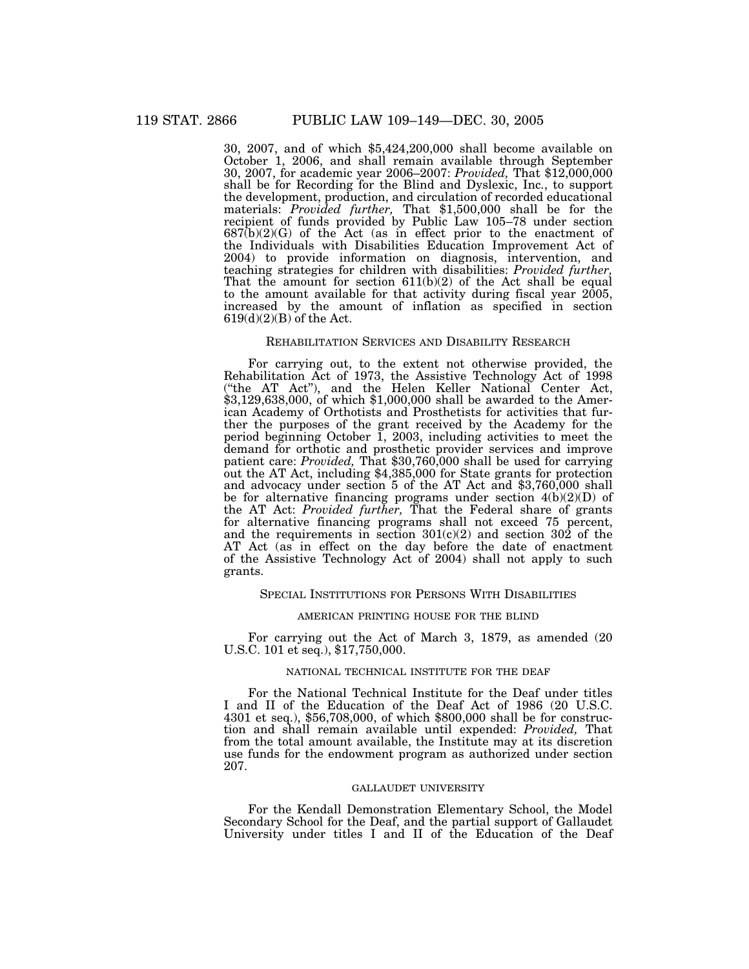30, 2007, and of which \$5,424,200,000 shall become available on October 1, 2006, and shall remain available through September 30, 2007, for academic year 2006–2007: *Provided,* That \$12,000,000 shall be for Recording for the Blind and Dyslexic, Inc., to support the development, production, and circulation of recorded educational materials: *Provided further,* That \$1,500,000 shall be for the recipient of funds provided by Public Law 105–78 under section 687(b)(2)(G) of the Act (as in effect prior to the enactment of the Individuals with Disabilities Education Improvement Act of 2004) to provide information on diagnosis, intervention, and teaching strategies for children with disabilities: *Provided further,* That the amount for section  $611(b)(2)$  of the Act shall be equal to the amount available for that activity during fiscal year 2005, increased by the amount of inflation as specified in section  $619(d)(2)(B)$  of the Act.

#### REHABILITATION SERVICES AND DISABILITY RESEARCH

For carrying out, to the extent not otherwise provided, the Rehabilitation Act of 1973, the Assistive Technology Act of 1998 (''the AT Act''), and the Helen Keller National Center Act, \$3,129,638,000, of which \$1,000,000 shall be awarded to the American Academy of Orthotists and Prosthetists for activities that further the purposes of the grant received by the Academy for the period beginning October 1, 2003, including activities to meet the demand for orthotic and prosthetic provider services and improve patient care: *Provided,* That \$30,760,000 shall be used for carrying out the AT Act, including \$4,385,000 for State grants for protection and advocacy under section 5 of the AT Act and \$3,760,000 shall be for alternative financing programs under section 4(b)(2)(D) of the AT Act: *Provided further,* That the Federal share of grants for alternative financing programs shall not exceed 75 percent, and the requirements in section 301(c)(2) and section 302 of the AT Act (as in effect on the day before the date of enactment of the Assistive Technology Act of 2004) shall not apply to such grants.

### SPECIAL INSTITUTIONS FOR PERSONS WITH DISABILITIES

### AMERICAN PRINTING HOUSE FOR THE BLIND

For carrying out the Act of March 3, 1879, as amended (20 U.S.C. 101 et seq.), \$17,750,000.

#### NATIONAL TECHNICAL INSTITUTE FOR THE DEAF

For the National Technical Institute for the Deaf under titles I and II of the Education of the Deaf Act of 1986 (20 U.S.C. 4301 et seq.), \$56,708,000, of which \$800,000 shall be for construction and shall remain available until expended: *Provided,* That from the total amount available, the Institute may at its discretion use funds for the endowment program as authorized under section 207.

### GALLAUDET UNIVERSITY

For the Kendall Demonstration Elementary School, the Model Secondary School for the Deaf, and the partial support of Gallaudet University under titles I and II of the Education of the Deaf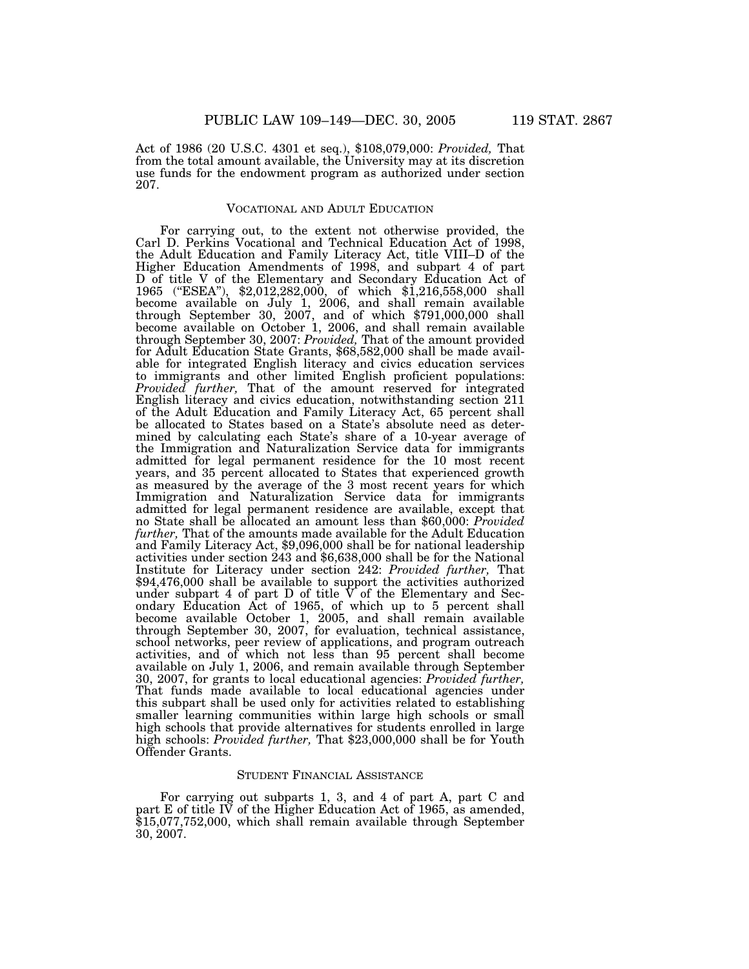Act of 1986 (20 U.S.C. 4301 et seq.), \$108,079,000: *Provided,* That from the total amount available, the University may at its discretion use funds for the endowment program as authorized under section 207.

### VOCATIONAL AND ADULT EDUCATION

For carrying out, to the extent not otherwise provided, the Carl D. Perkins Vocational and Technical Education Act of 1998, the Adult Education and Family Literacy Act, title VIII–D of the Higher Education Amendments of 1998, and subpart 4 of part D of title V of the Elementary and Secondary Education Act of 1965 (''ESEA''), \$2,012,282,000, of which \$1,216,558,000 shall become available on July 1, 2006, and shall remain available through September 30, 2007, and of which \$791,000,000 shall become available on October 1, 2006, and shall remain available through September 30, 2007: *Provided, T*hat of the amount provided<br>for Adult Education State Grants, \$68,582,000 shall be made available for integrated English literacy and civics education services to immigrants and other limited English proficient populations: *Provided further,* That of the amount reserved for integrated English literacy and civics education, notwithstanding section 211 of the Adult Education and Family Literacy Act, 65 percent shall be allocated to States based on a State's absolute need as determined by calculating each State's share of a 10-year average of the Immigration and Naturalization Service data for immigrants admitted for legal permanent residence for the 10 most recent years, and 35 percent allocated to States that experienced growth as measured by the average of the 3 most recent years for which Immigration and Naturalization Service data for immigrants admitted for legal permanent residence are available, except that no State shall be allocated an amount less than \$60,000: *Provided further,* That of the amounts made available for the Adult Education and Family Literacy Act, \$9,096,000 shall be for national leadership activities under section 243 and \$6,638,000 shall be for the National Institute for Literacy under section 242: *Provided further,* That \$94,476,000 shall be available to support the activities authorized under subpart 4 of part D of title  $V$  of the Elementary and Secondary Education Act of 1965, of which up to 5 percent shall become available October 1, 2005, and shall remain available through September 30, 2007, for evaluation, technical assistance, school networks, peer review of applications, and program outreach activities, and of which not less than 95 percent shall become available on July 1, 2006, and remain available through September 30, 2007, for grants to local educational agencies: *Provided further,* That funds made available to local educational agencies under this subpart shall be used only for activities related to establishing smaller learning communities within large high schools or small high schools that provide alternatives for students enrolled in large high schools: *Provided further,* That \$23,000,000 shall be for Youth Offender Grants.

### STUDENT FINANCIAL ASSISTANCE

For carrying out subparts 1, 3, and 4 of part A, part C and part E of title IV of the Higher Education Act of 1965, as amended, \$15,077,752,000, which shall remain available through September 30, 2007.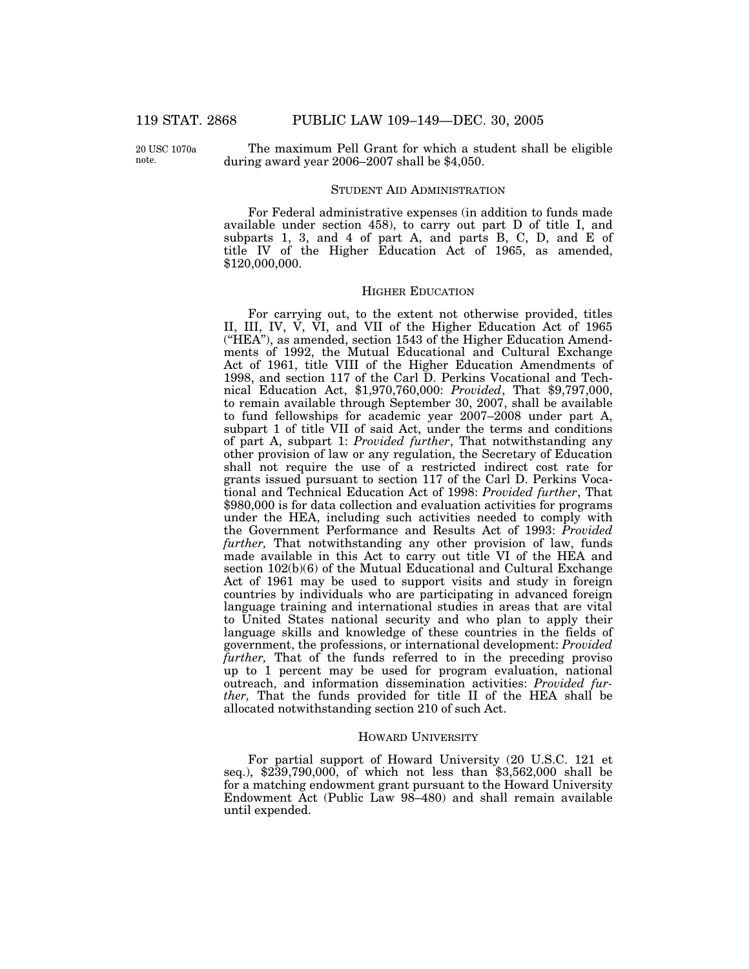20 USC 1070a note.

The maximum Pell Grant for which a student shall be eligible during award year 2006–2007 shall be \$4,050.

### STUDENT AID ADMINISTRATION

For Federal administrative expenses (in addition to funds made available under section 458), to carry out part D of title I, and subparts 1, 3, and 4 of part A, and parts B, C, D, and E of title IV of the Higher Education Act of 1965, as amended, \$120,000,000.

## HIGHER EDUCATION

For carrying out, to the extent not otherwise provided, titles II, III, IV, V, VI, and VII of the Higher Education Act of 1965 (''HEA''), as amended, section 1543 of the Higher Education Amendments of 1992, the Mutual Educational and Cultural Exchange Act of 1961, title VIII of the Higher Education Amendments of 1998, and section 117 of the Carl D. Perkins Vocational and Technical Education Act, \$1,970,760,000: *Provided*, That \$9,797,000, to remain available through September 30, 2007, shall be available to fund fellowships for academic year 2007–2008 under part A, subpart 1 of title VII of said Act, under the terms and conditions of part A, subpart 1: *Provided further*, That notwithstanding any other provision of law or any regulation, the Secretary of Education shall not require the use of a restricted indirect cost rate for grants issued pursuant to section 117 of the Carl D. Perkins Vocational and Technical Education Act of 1998: *Provided further*, That \$980,000 is for data collection and evaluation activities for programs under the HEA, including such activities needed to comply with the Government Performance and Results Act of 1993: *Provided further,* That notwithstanding any other provision of law, funds made available in this Act to carry out title VI of the HEA and section 102(b)(6) of the Mutual Educational and Cultural Exchange Act of 1961 may be used to support visits and study in foreign countries by individuals who are participating in advanced foreign language training and international studies in areas that are vital to United States national security and who plan to apply their language skills and knowledge of these countries in the fields of government, the professions, or international development: *Provided further*, That of the funds referred to in the preceding proviso up to 1 percent may be used for program evaluation, national outreach, and information dissemination activities: *Provided further,* That the funds provided for title II of the HEA shall be allocated notwithstanding section 210 of such Act.

#### HOWARD UNIVERSITY

For partial support of Howard University (20 U.S.C. 121 et seq.), \$239,790,000, of which not less than \$3,562,000 shall be for a matching endowment grant pursuant to the Howard University Endowment Act (Public Law 98–480) and shall remain available until expended.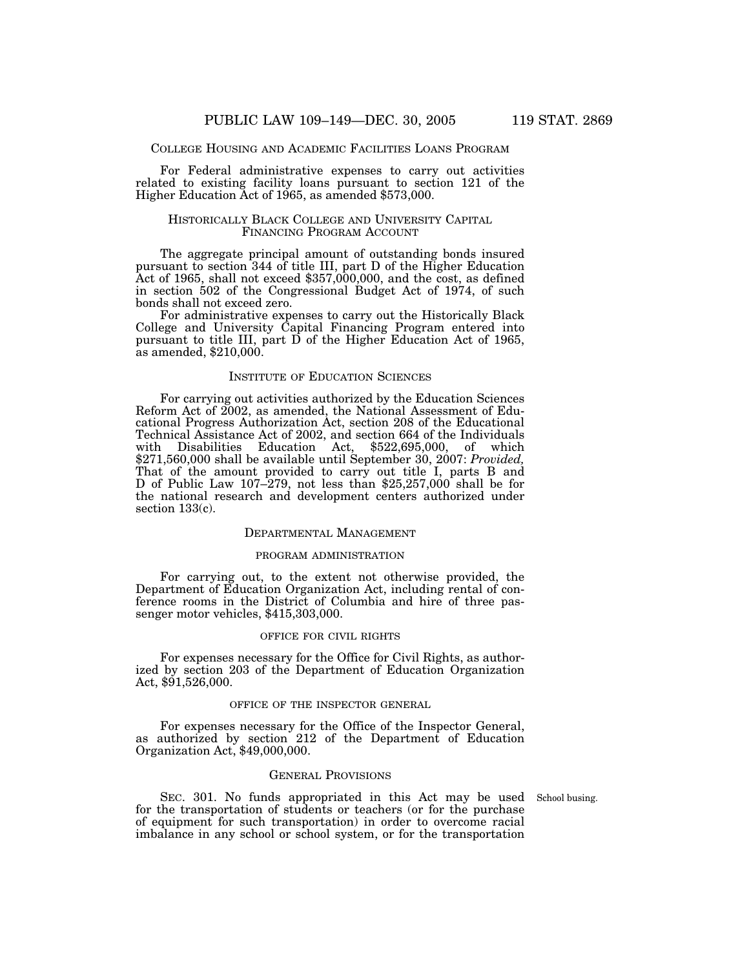### COLLEGE HOUSING AND ACADEMIC FACILITIES LOANS PROGRAM

For Federal administrative expenses to carry out activities related to existing facility loans pursuant to section 121 of the Higher Education Act of 1965, as amended \$573,000.

## HISTORICALLY BLACK COLLEGE AND UNIVERSITY CAPITAL FINANCING PROGRAM ACCOUNT

The aggregate principal amount of outstanding bonds insured pursuant to section 344 of title III, part D of the Higher Education Act of 1965, shall not exceed  $$357,000,000$ , and the cost, as defined in section 502 of the Congressional Budget Act of 1974, of such bonds shall not exceed zero.

For administrative expenses to carry out the Historically Black College and University Capital Financing Program entered into pursuant to title III, part D of the Higher Education Act of 1965, as amended, \$210,000.

### INSTITUTE OF EDUCATION SCIENCES

For carrying out activities authorized by the Education Sciences Reform Act of 2002, as amended, the National Assessment of Educational Progress Authorization Act, section 208 of the Educational Technical Assistance Act of 2002, and section 664 of the Individuals with Disabilities Education Act, \$522,695,000, of which \$271,560,000 shall be available until September 30, 2007: *Provided,* That of the amount provided to carry out title I, parts B and D of Public Law 107–279, not less than \$25,257,000 shall be for the national research and development centers authorized under section 133(c).

## DEPARTMENTAL MANAGEMENT

#### PROGRAM ADMINISTRATION

For carrying out, to the extent not otherwise provided, the Department of Education Organization Act, including rental of conference rooms in the District of Columbia and hire of three passenger motor vehicles, \$415,303,000.

#### OFFICE FOR CIVIL RIGHTS

For expenses necessary for the Office for Civil Rights, as authorized by section 203 of the Department of Education Organization Act, \$91,526,000.

#### OFFICE OF THE INSPECTOR GENERAL

For expenses necessary for the Office of the Inspector General, as authorized by section 212 of the Department of Education Organization Act, \$49,000,000.

### GENERAL PROVISIONS

SEC. 301. No funds appropriated in this Act may be used School busing. for the transportation of students or teachers (or for the purchase of equipment for such transportation) in order to overcome racial imbalance in any school or school system, or for the transportation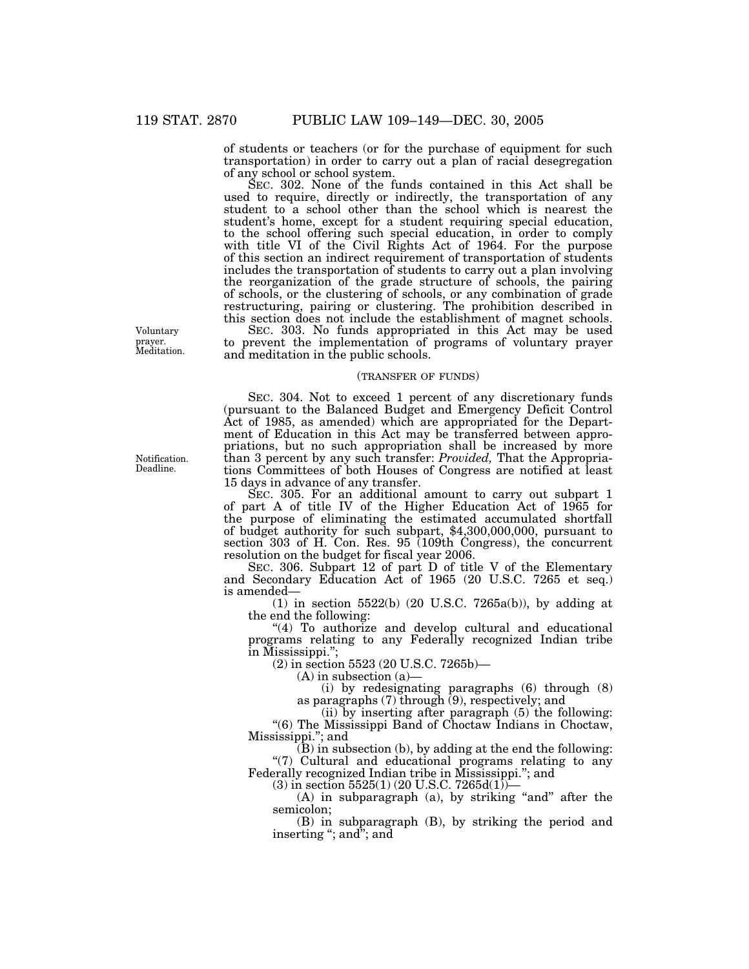of students or teachers (or for the purchase of equipment for such transportation) in order to carry out a plan of racial desegregation of any school or school system.

SEC. 302. None of the funds contained in this Act shall be used to require, directly or indirectly, the transportation of any student to a school other than the school which is nearest the student's home, except for a student requiring special education, to the school offering such special education, in order to comply with title VI of the Civil Rights Act of 1964. For the purpose of this section an indirect requirement of transportation of students includes the transportation of students to carry out a plan involving the reorganization of the grade structure of schools, the pairing of schools, or the clustering of schools, or any combination of grade restructuring, pairing or clustering. The prohibition described in this section does not include the establishment of magnet schools.

SEC. 303. No funds appropriated in this Act may be used to prevent the implementation of programs of voluntary prayer and meditation in the public schools.

## (TRANSFER OF FUNDS)

SEC. 304. Not to exceed 1 percent of any discretionary funds (pursuant to the Balanced Budget and Emergency Deficit Control Act of 1985, as amended) which are appropriated for the Department of Education in this Act may be transferred between appropriations, but no such appropriation shall be increased by more than 3 percent by any such transfer: *Provided,* That the Appropriations Committees of both Houses of Congress are notified at least 15 days in advance of any transfer.

SEC. 305. For an additional amount to carry out subpart 1 of part A of title IV of the Higher Education Act of 1965 for the purpose of eliminating the estimated accumulated shortfall of budget authority for such subpart, \$4,300,000,000, pursuant to section 303 of H. Con. Res. 95 (109th Congress), the concurrent resolution on the budget for fiscal year 2006.

SEC. 306. Subpart 12 of part D of title V of the Elementary and Secondary Education Act of 1965 (20 U.S.C. 7265 et seq.) is amended—

(1) in section 5522(b) (20 U.S.C. 7265a(b)), by adding at the end the following:

"(4) To authorize and develop cultural and educational programs relating to any Federally recognized Indian tribe in Mississippi.'';

(2) in section 5523 (20 U.S.C. 7265b)—

(A) in subsection (a)—

(i) by redesignating paragraphs (6) through (8) as paragraphs (7) through (9), respectively; and

(ii) by inserting after paragraph (5) the following: ''(6) The Mississippi Band of Choctaw Indians in Choctaw, Mississippi.''; and

 $\overline{B}$ ) in subsection (b), by adding at the end the following: "(7) Cultural and educational programs relating to any Federally recognized Indian tribe in Mississippi.''; and

 $(3)$  in section 5525(1) (20 U.S.C. 7265d(1))–

 $(A)$  in subparagraph  $(a)$ , by striking "and" after the semicolon;

(B) in subparagraph (B), by striking the period and inserting "; and"; and

Voluntary prayer. Meditation.

Notification. Deadline.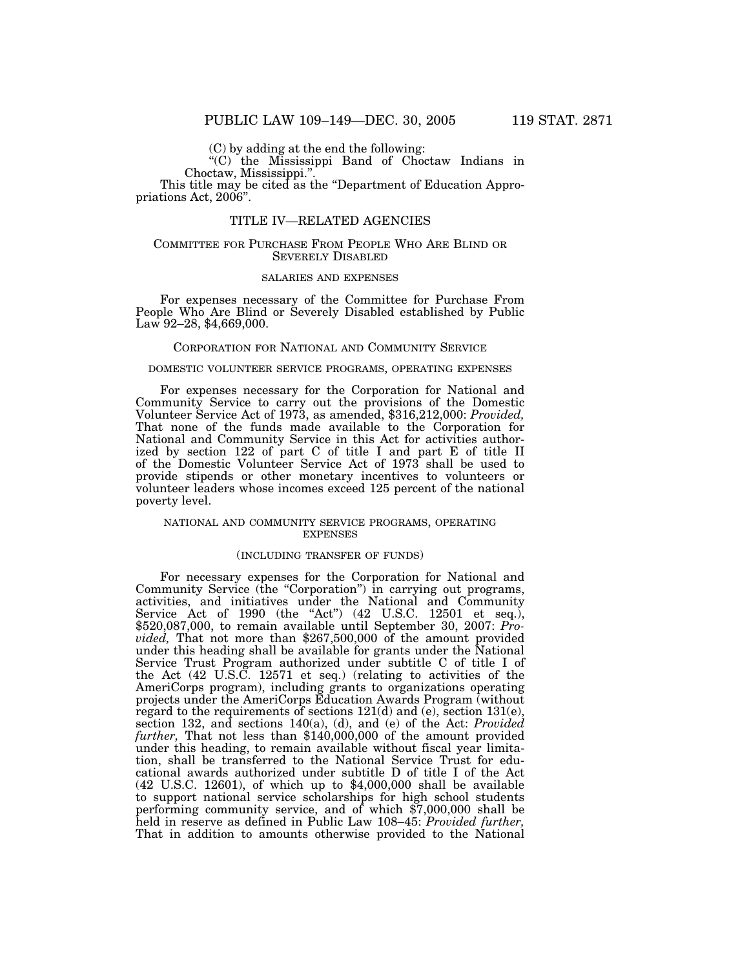(C) by adding at the end the following:

''(C) the Mississippi Band of Choctaw Indians in Choctaw, Mississippi.''.

This title may be cited as the "Department of Education Appropriations Act, 2006''.

## TITLE IV—RELATED AGENCIES

#### COMMITTEE FOR PURCHASE FROM PEOPLE WHO ARE BLIND OR SEVERELY DISABLED

## SALARIES AND EXPENSES

For expenses necessary of the Committee for Purchase From People Who Are Blind or Severely Disabled established by Public Law 92–28, \$4,669,000.

#### CORPORATION FOR NATIONAL AND COMMUNITY SERVICE

### DOMESTIC VOLUNTEER SERVICE PROGRAMS, OPERATING EXPENSES

For expenses necessary for the Corporation for National and Community Service to carry out the provisions of the Domestic Volunteer Service Act of 1973, as amended, \$316,212,000: *Provided,* That none of the funds made available to the Corporation for National and Community Service in this Act for activities authorized by section 122 of part C of title I and part E of title II of the Domestic Volunteer Service Act of 1973 shall be used to provide stipends or other monetary incentives to volunteers or volunteer leaders whose incomes exceed 125 percent of the national poverty level.

#### NATIONAL AND COMMUNITY SERVICE PROGRAMS, OPERATING EXPENSES

#### (INCLUDING TRANSFER OF FUNDS)

For necessary expenses for the Corporation for National and Community Service (the "Corporation") in carrying out programs, activities, and initiatives under the National and Community Service Act of 1990 (the "Act") (42 U.S.C. 12501 et seq.), \$520,087,000, to remain available until September 30, 2007: *Provided*, That not more than \$267,500,000 of the amount provided under this heading shall be available for grants under the National Service Trust Program authorized under subtitle C of title I of the Act (42 U.S.C. 12571 et seq.) (relating to activities of the AmeriCorps program), including grants to organizations operating projects under the AmeriCorps Education Awards Program (without regard to the requirements of sections 121(d) and (e), section 131(e), section 132, and sections 140(a), (d), and (e) of the Act: *Provided further,* That not less than \$140,000,000 of the amount provided under this heading, to remain available without fiscal year limitation, shall be transferred to the National Service Trust for educational awards authorized under subtitle D of title I of the Act (42 U.S.C. 12601), of which up to \$4,000,000 shall be available to support national service scholarships for high school students performing community service, and of which \$7,000,000 shall be held in reserve as defined in Public Law 108–45: *Provided further,* That in addition to amounts otherwise provided to the National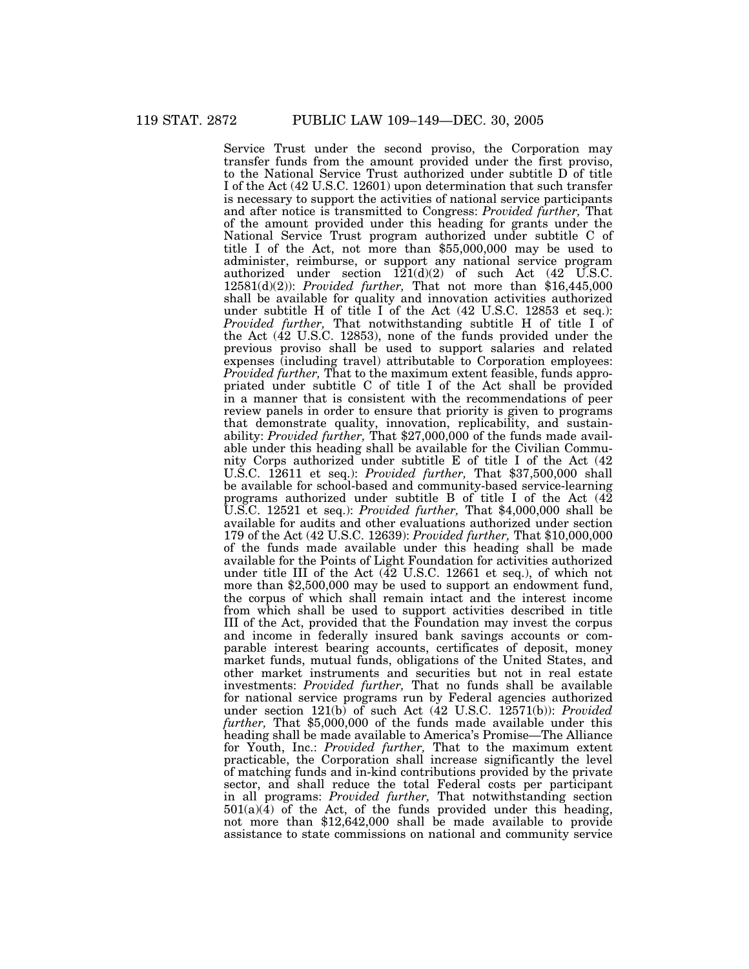Service Trust under the second proviso, the Corporation may transfer funds from the amount provided under the first proviso, to the National Service Trust authorized under subtitle D of title I of the Act (42 U.S.C. 12601) upon determination that such transfer is necessary to support the activities of national service participants and after notice is transmitted to Congress: *Provided further,* That of the amount provided under this heading for grants under the National Service Trust program authorized under subtitle C of title I of the Act, not more than \$55,000,000 may be used to administer, reimburse, or support any national service program authorized under section  $121(d)(2)$  of such Act  $(42 \text{ U.S.C.})$ 12581(d)(2)): *Provided further,* That not more than \$16,445,000 shall be available for quality and innovation activities authorized under subtitle H of title I of the Act (42 U.S.C. 12853 et seq.): *Provided further,* That notwithstanding subtitle H of title I of the Act (42 U.S.C. 12853), none of the funds provided under the previous proviso shall be used to support salaries and related expenses (including travel) attributable to Corporation employees: *Provided further,* That to the maximum extent feasible, funds appropriated under subtitle C of title I of the Act shall be provided in a manner that is consistent with the recommendations of peer review panels in order to ensure that priority is given to programs that demonstrate quality, innovation, replicability, and sustainability: *Provided further,* That \$27,000,000 of the funds made available under this heading shall be available for the Civilian Community Corps authorized under subtitle E of title I of the Act (42 U.S.C. 12611 et seq.): *Provided further,* That \$37,500,000 shall be available for school-based and community-based service-learning programs authorized under subtitle B of title I of the Act (42 U.S.C. 12521 et seq.): *Provided further,* That \$4,000,000 shall be available for audits and other evaluations authorized under section 179 of the Act (42 U.S.C. 12639): *Provided further,* That \$10,000,000 of the funds made available under this heading shall be made available for the Points of Light Foundation for activities authorized under title III of the Act (42 U.S.C. 12661 et seq.), of which not more than \$2,500,000 may be used to support an endowment fund, the corpus of which shall remain intact and the interest income from which shall be used to support activities described in title III of the Act, provided that the Foundation may invest the corpus and income in federally insured bank savings accounts or comparable interest bearing accounts, certificates of deposit, money market funds, mutual funds, obligations of the United States, and other market instruments and securities but not in real estate investments: *Provided further,* That no funds shall be available for national service programs run by Federal agencies authorized under section 121(b) of such Act (42 U.S.C. 12571(b)): *Provided further,* That \$5,000,000 of the funds made available under this heading shall be made available to America's Promise—The Alliance for Youth, Inc.: *Provided further,* That to the maximum extent practicable, the Corporation shall increase significantly the level of matching funds and in-kind contributions provided by the private sector, and shall reduce the total Federal costs per participant in all programs: *Provided further,* That notwithstanding section  $501(a)(4)$  of the Act, of the funds provided under this heading, not more than \$12,642,000 shall be made available to provide assistance to state commissions on national and community service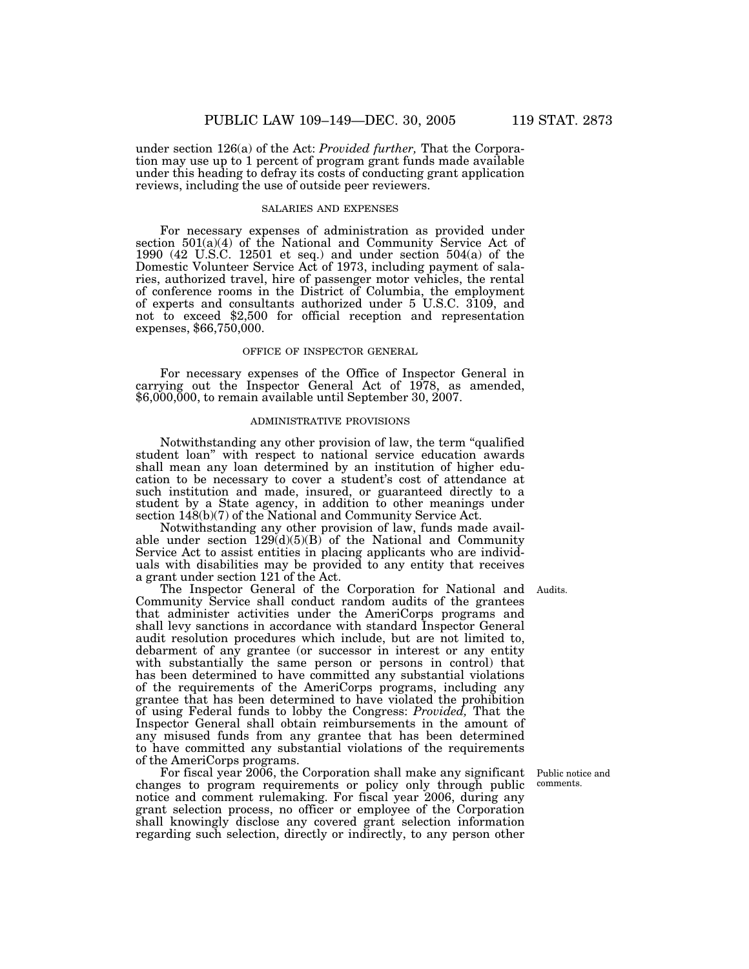under section 126(a) of the Act: *Provided further,* That the Corporation may use up to 1 percent of program grant funds made available under this heading to defray its costs of conducting grant application reviews, including the use of outside peer reviewers.

#### SALARIES AND EXPENSES

For necessary expenses of administration as provided under section 501(a)(4) of the National and Community Service Act of 1990 (42 U.S.C. 12501 et seq.) and under section 504(a) of the Domestic Volunteer Service Act of 1973, including payment of salaries, authorized travel, hire of passenger motor vehicles, the rental of conference rooms in the District of Columbia, the employment of experts and consultants authorized under 5 U.S.C. 3109, and not to exceed \$2,500 for official reception and representation expenses, \$66,750,000.

#### OFFICE OF INSPECTOR GENERAL

For necessary expenses of the Office of Inspector General in carrying out the Inspector General Act of 1978, as amended, \$6,000,000, to remain available until September 30, 2007.

# ADMINISTRATIVE PROVISIONS

Notwithstanding any other provision of law, the term ''qualified student loan'' with respect to national service education awards shall mean any loan determined by an institution of higher education to be necessary to cover a student's cost of attendance at such institution and made, insured, or guaranteed directly to a student by a State agency, in addition to other meanings under section 148(b)(7) of the National and Community Service Act.

Notwithstanding any other provision of law, funds made available under section  $129(d)(5)(B)$  of the National and Community Service Act to assist entities in placing applicants who are individuals with disabilities may be provided to any entity that receives a grant under section 121 of the Act.

The Inspector General of the Corporation for National and Audits. Community Service shall conduct random audits of the grantees that administer activities under the AmeriCorps programs and shall levy sanctions in accordance with standard Inspector General audit resolution procedures which include, but are not limited to, debarment of any grantee (or successor in interest or any entity with substantially the same person or persons in control) that has been determined to have committed any substantial violations of the requirements of the AmeriCorps programs, including any grantee that has been determined to have violated the prohibition of using Federal funds to lobby the Congress: *Provided,* That the Inspector General shall obtain reimbursements in the amount of any misused funds from any grantee that has been determined to have committed any substantial violations of the requirements of the AmeriCorps programs.

For fiscal year 2006, the Corporation shall make any significant changes to program requirements or policy only through public notice and comment rulemaking. For fiscal year 2006, during any grant selection process, no officer or employee of the Corporation shall knowingly disclose any covered grant selection information regarding such selection, directly or indirectly, to any person other

Public notice and comments.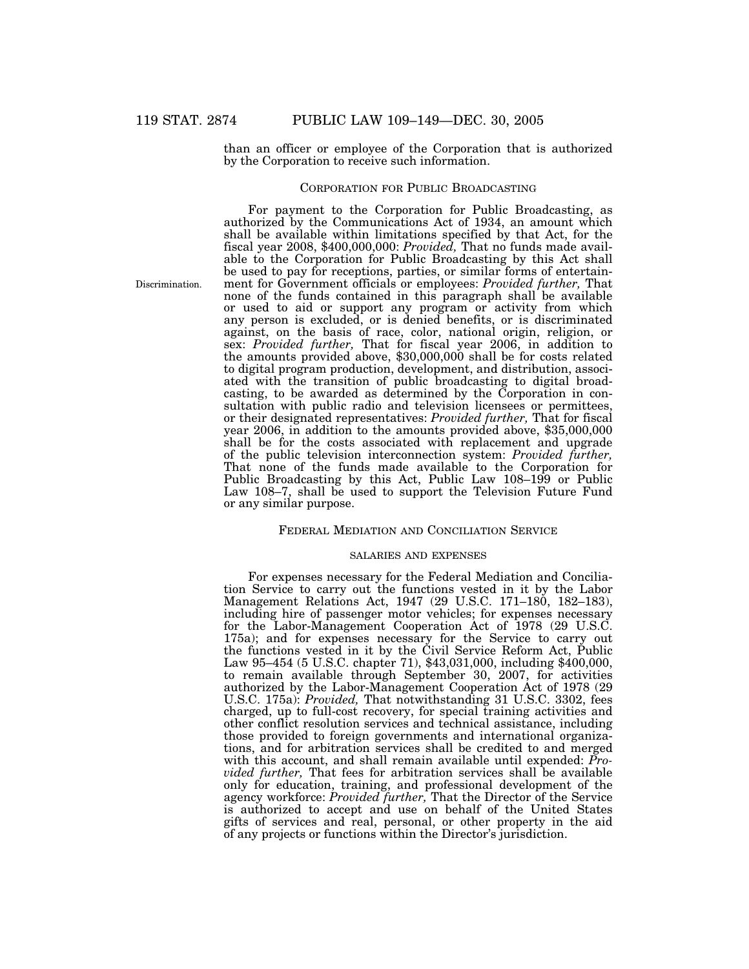than an officer or employee of the Corporation that is authorized by the Corporation to receive such information.

## CORPORATION FOR PUBLIC BROADCASTING

Discrimination.

For payment to the Corporation for Public Broadcasting, as authorized by the Communications Act of 1934, an amount which shall be available within limitations specified by that Act, for the fiscal year 2008, \$400,000,000: *Provided,* That no funds made available to the Corporation for Public Broadcasting by this Act shall be used to pay for receptions, parties, or similar forms of entertainment for Government officials or employees: *Provided further,* That none of the funds contained in this paragraph shall be available or used to aid or support any program or activity from which any person is excluded, or is denied benefits, or is discriminated against, on the basis of race, color, national origin, religion, or sex: *Provided further,* That for fiscal year 2006, in addition to the amounts provided above, \$30,000,000 shall be for costs related to digital program production, development, and distribution, associated with the transition of public broadcasting to digital broadcasting, to be awarded as determined by the Corporation in consultation with public radio and television licensees or permittees, or their designated representatives: *Provided further,* That for fiscal year 2006, in addition to the amounts provided above, \$35,000,000 shall be for the costs associated with replacement and upgrade of the public television interconnection system: *Provided further,* That none of the funds made available to the Corporation for Public Broadcasting by this Act, Public Law 108–199 or Public Law 108–7, shall be used to support the Television Future Fund or any similar purpose.

## FEDERAL MEDIATION AND CONCILIATION SERVICE

#### SALARIES AND EXPENSES

For expenses necessary for the Federal Mediation and Conciliation Service to carry out the functions vested in it by the Labor Management Relations Act, 1947 (29 U.S.C. 171–180, 182–183), including hire of passenger motor vehicles; for expenses necessary for the Labor-Management Cooperation Act of 1978 (29 U.S.C. 175a); and for expenses necessary for the Service to carry out the functions vested in it by the Civil Service Reform Act, Public Law 95–454 (5 U.S.C. chapter 71), \$43,031,000, including \$400,000, to remain available through September 30, 2007, for activities authorized by the Labor-Management Cooperation Act of 1978 (29 U.S.C. 175a): *Provided,* That notwithstanding 31 U.S.C. 3302, fees charged, up to full-cost recovery, for special training activities and other conflict resolution services and technical assistance, including those provided to foreign governments and international organizations, and for arbitration services shall be credited to and merged with this account, and shall remain available until expended: *Provided further,* That fees for arbitration services shall be available only for education, training, and professional development of the agency workforce: *Provided further,* That the Director of the Service is authorized to accept and use on behalf of the United States gifts of services and real, personal, or other property in the aid of any projects or functions within the Director's jurisdiction.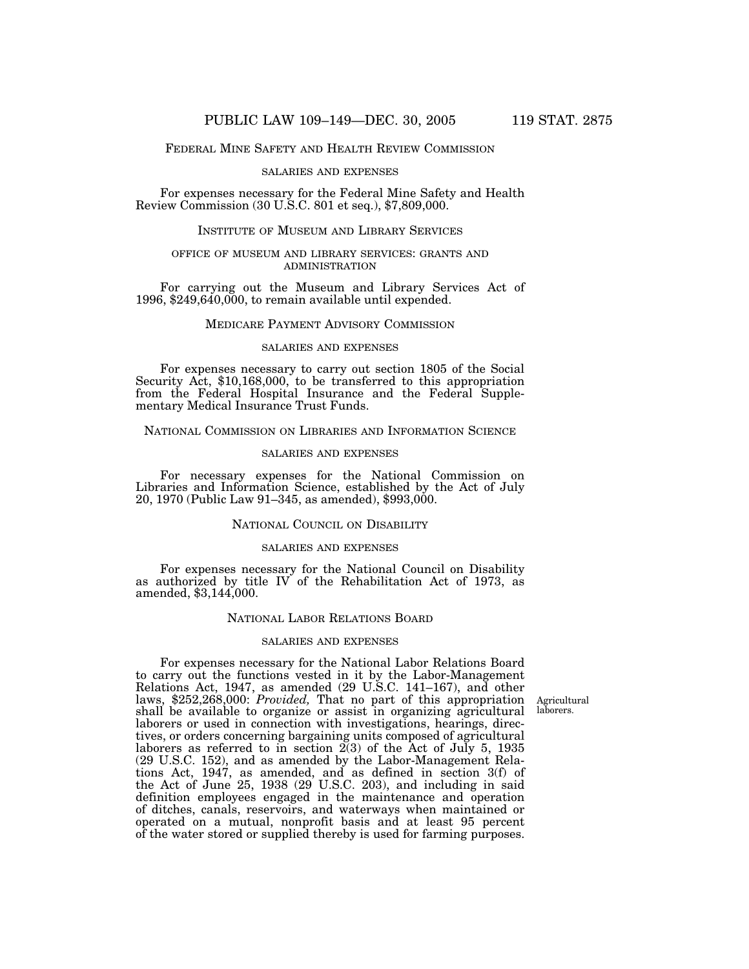## FEDERAL MINE SAFETY AND HEALTH REVIEW COMMISSION

#### SALARIES AND EXPENSES

For expenses necessary for the Federal Mine Safety and Health Review Commission (30 U.S.C. 801 et seq.), \$7,809,000.

# INSTITUTE OF MUSEUM AND LIBRARY SERVICES

### OFFICE OF MUSEUM AND LIBRARY SERVICES: GRANTS AND ADMINISTRATION

For carrying out the Museum and Library Services Act of 1996, \$249,640,000, to remain available until expended.

## MEDICARE PAYMENT ADVISORY COMMISSION

#### SALARIES AND EXPENSES

For expenses necessary to carry out section 1805 of the Social Security Act, \$10,168,000, to be transferred to this appropriation from the Federal Hospital Insurance and the Federal Supplementary Medical Insurance Trust Funds.

## NATIONAL COMMISSION ON LIBRARIES AND INFORMATION SCIENCE

### SALARIES AND EXPENSES

For necessary expenses for the National Commission on Libraries and Information Science, established by the Act of July 20, 1970 (Public Law 91–345, as amended), \$993,000.

## NATIONAL COUNCIL ON DISABILITY

#### SALARIES AND EXPENSES

For expenses necessary for the National Council on Disability as authorized by title IV of the Rehabilitation Act of 1973, as amended, \$3,144,000.

## NATIONAL LABOR RELATIONS BOARD

### SALARIES AND EXPENSES

Agricultural laborers.

For expenses necessary for the National Labor Relations Board to carry out the functions vested in it by the Labor-Management Relations Act, 1947, as amended (29 U.S.C. 141–167), and other laws, \$252,268,000: *Provided,* That no part of this appropriation shall be available to organize or assist in organizing agricultural laborers or used in connection with investigations, hearings, directives, or orders concerning bargaining units composed of agricultural laborers as referred to in section 2(3) of the Act of July 5, 1935 (29 U.S.C. 152), and as amended by the Labor-Management Relations Act, 1947, as amended, and as defined in section 3(f) of the Act of June 25, 1938 (29 U.S.C. 203), and including in said definition employees engaged in the maintenance and operation of ditches, canals, reservoirs, and waterways when maintained or operated on a mutual, nonprofit basis and at least 95 percent of the water stored or supplied thereby is used for farming purposes.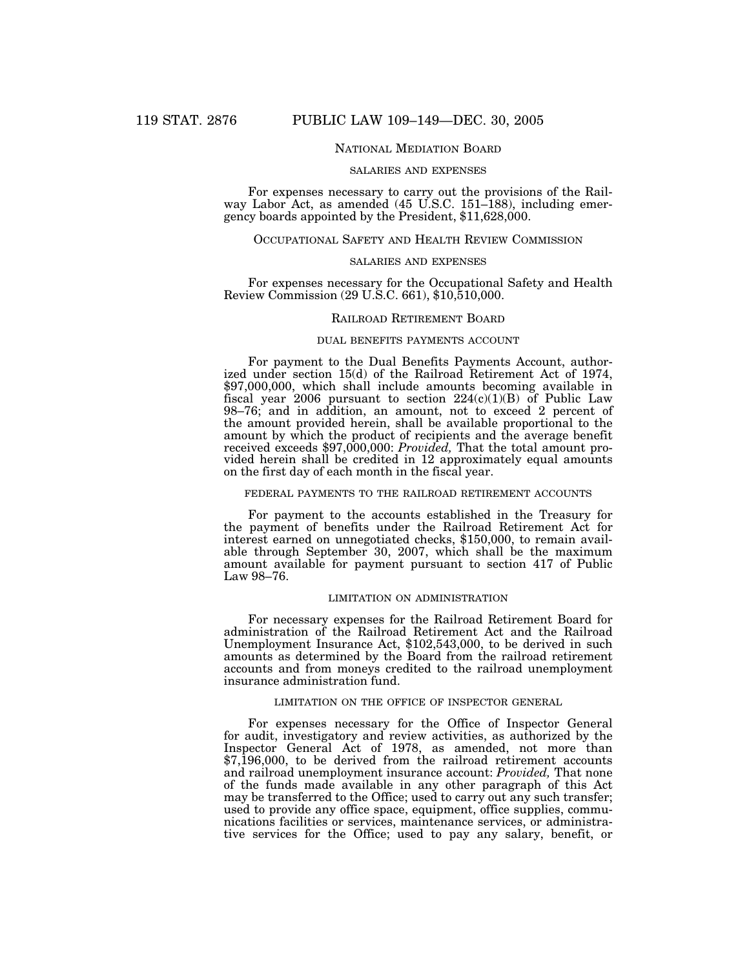## NATIONAL MEDIATION BOARD

#### SALARIES AND EXPENSES

For expenses necessary to carry out the provisions of the Railway Labor Act, as amended (45 U.S.C. 151–188), including emergency boards appointed by the President, \$11,628,000.

## OCCUPATIONAL SAFETY AND HEALTH REVIEW COMMISSION

### SALARIES AND EXPENSES

For expenses necessary for the Occupational Safety and Health Review Commission (29 U.S.C. 661), \$10,510,000.

### RAILROAD RETIREMENT BOARD

## DUAL BENEFITS PAYMENTS ACCOUNT

For payment to the Dual Benefits Payments Account, authorized under section 15(d) of the Railroad Retirement Act of 1974, \$97,000,000, which shall include amounts becoming available in fiscal year 2006 pursuant to section  $224(c)(1)(B)$  of Public Law 98–76; and in addition, an amount, not to exceed 2 percent of the amount provided herein, shall be available proportional to the amount by which the product of recipients and the average benefit received exceeds \$97,000,000: *Provided,* That the total amount provided herein shall be credited in 12 approximately equal amounts on the first day of each month in the fiscal year.

#### FEDERAL PAYMENTS TO THE RAILROAD RETIREMENT ACCOUNTS

For payment to the accounts established in the Treasury for the payment of benefits under the Railroad Retirement Act for interest earned on unnegotiated checks, \$150,000, to remain available through September 30, 2007, which shall be the maximum amount available for payment pursuant to section 417 of Public Law 98–76.

### LIMITATION ON ADMINISTRATION

For necessary expenses for the Railroad Retirement Board for administration of the Railroad Retirement Act and the Railroad Unemployment Insurance Act, \$102,543,000, to be derived in such amounts as determined by the Board from the railroad retirement accounts and from moneys credited to the railroad unemployment insurance administration fund.

#### LIMITATION ON THE OFFICE OF INSPECTOR GENERAL

For expenses necessary for the Office of Inspector General for audit, investigatory and review activities, as authorized by the Inspector General Act of 1978, as amended, not more than \$7,196,000, to be derived from the railroad retirement accounts and railroad unemployment insurance account: *Provided,* That none of the funds made available in any other paragraph of this Act may be transferred to the Office; used to carry out any such transfer; used to provide any office space, equipment, office supplies, communications facilities or services, maintenance services, or administrative services for the Office; used to pay any salary, benefit, or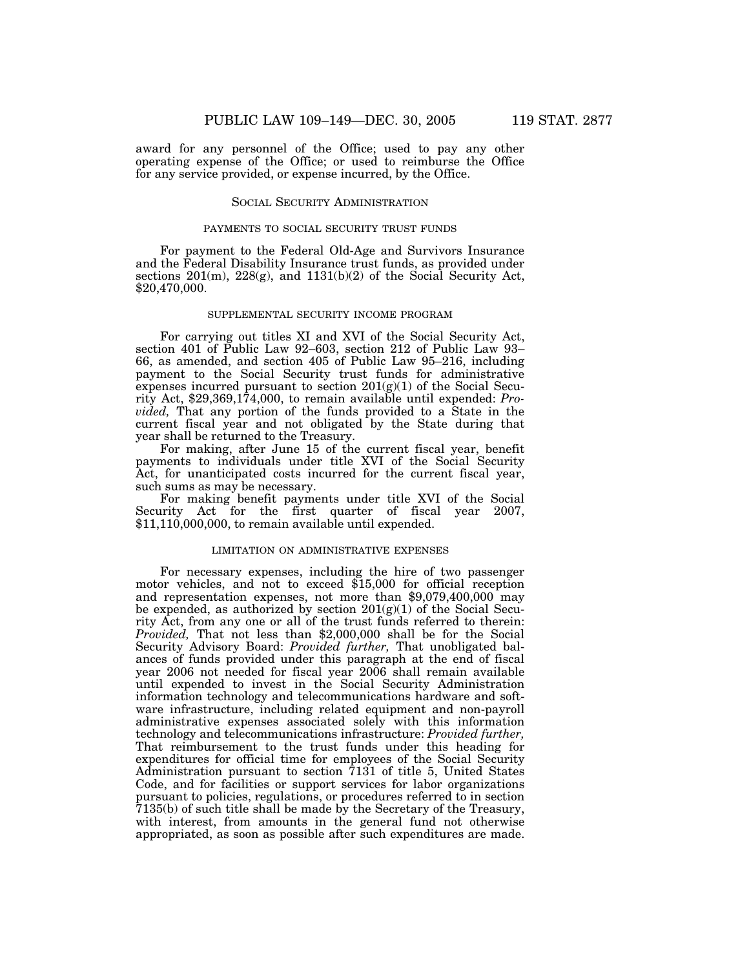award for any personnel of the Office; used to pay any other operating expense of the Office; or used to reimburse the Office for any service provided, or expense incurred, by the Office.

## SOCIAL SECURITY ADMINISTRATION

### PAYMENTS TO SOCIAL SECURITY TRUST FUNDS

For payment to the Federal Old-Age and Survivors Insurance and the Federal Disability Insurance trust funds, as provided under sections 201(m), 228(g), and 1131(b)(2) of the Social Security Act, \$20,470,000.

### SUPPLEMENTAL SECURITY INCOME PROGRAM

For carrying out titles XI and XVI of the Social Security Act, section 401 of Public Law 92–603, section 212 of Public Law 93– 66, as amended, and section 405 of Public Law 95–216, including payment to the Social Security trust funds for administrative expenses incurred pursuant to section  $201(g)(1)$  of the Social Security Act, \$29,369,174,000, to remain available until expended: *Provided,* That any portion of the funds provided to a State in the current fiscal year and not obligated by the State during that year shall be returned to the Treasury.

For making, after June 15 of the current fiscal year, benefit payments to individuals under title XVI of the Social Security Act, for unanticipated costs incurred for the current fiscal year, such sums as may be necessary.

For making benefit payments under title XVI of the Social Security Act for the first quarter of fiscal year 2007, \$11,110,000,000, to remain available until expended.

#### LIMITATION ON ADMINISTRATIVE EXPENSES

For necessary expenses, including the hire of two passenger motor vehicles, and not to exceed \$15,000 for official reception and representation expenses, not more than \$9,079,400,000 may be expended, as authorized by section  $201(g)(1)$  of the Social Security Act, from any one or all of the trust funds referred to therein: *Provided,* That not less than \$2,000,000 shall be for the Social Security Advisory Board: *Provided further,* That unobligated balances of funds provided under this paragraph at the end of fiscal year 2006 not needed for fiscal year 2006 shall remain available until expended to invest in the Social Security Administration information technology and telecommunications hardware and software infrastructure, including related equipment and non-payroll administrative expenses associated solely with this information technology and telecommunications infrastructure: *Provided further,* That reimbursement to the trust funds under this heading for expenditures for official time for employees of the Social Security Administration pursuant to section 7131 of title 5, United States Code, and for facilities or support services for labor organizations pursuant to policies, regulations, or procedures referred to in section 7135(b) of such title shall be made by the Secretary of the Treasury, with interest, from amounts in the general fund not otherwise appropriated, as soon as possible after such expenditures are made.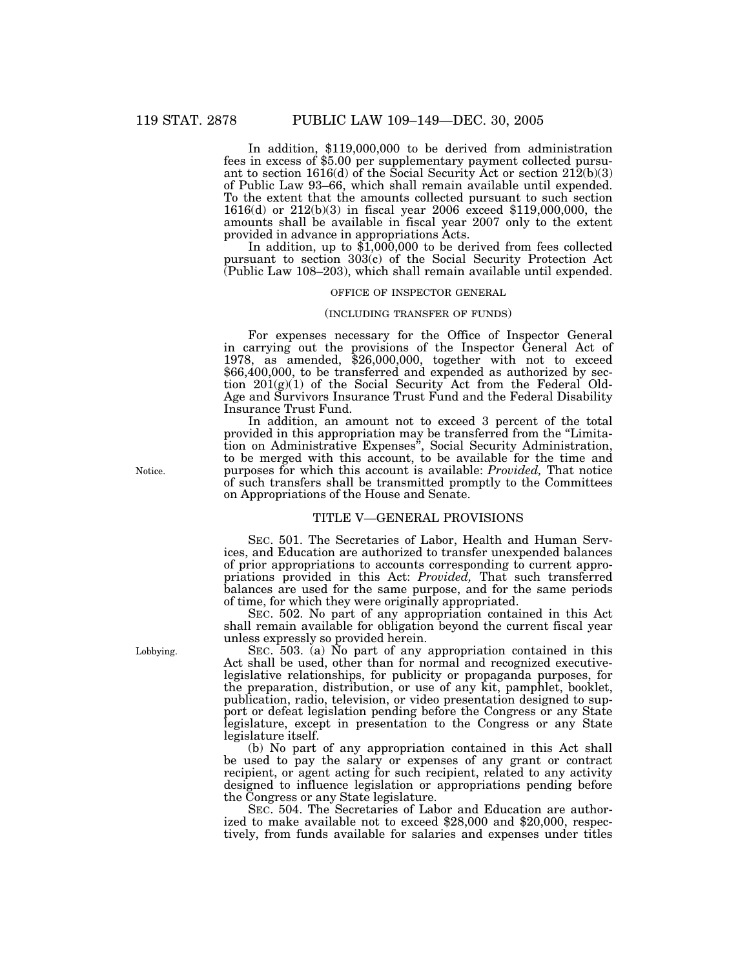In addition, \$119,000,000 to be derived from administration fees in excess of \$5.00 per supplementary payment collected pursuant to section 1616(d) of the Social Security Act or section  $212(b)(3)$ of Public Law 93–66, which shall remain available until expended. To the extent that the amounts collected pursuant to such section 1616(d) or 212(b)(3) in fiscal year 2006 exceed \$119,000,000, the amounts shall be available in fiscal year 2007 only to the extent provided in advance in appropriations Acts.

In addition, up to  $\overline{\$1,000,000\}$  to be derived from fees collected pursuant to section 303(c) of the Social Security Protection Act (Public Law 108–203), which shall remain available until expended.

#### OFFICE OF INSPECTOR GENERAL

#### (INCLUDING TRANSFER OF FUNDS)

For expenses necessary for the Office of Inspector General in carrying out the provisions of the Inspector General Act of 1978, as amended, \$26,000,000, together with not to exceed \$66,400,000, to be transferred and expended as authorized by section  $201(g)(1)$  of the Social Security Act from the Federal Old-Age and Survivors Insurance Trust Fund and the Federal Disability Insurance Trust Fund.

In addition, an amount not to exceed 3 percent of the total provided in this appropriation may be transferred from the ''Limitation on Administrative Expenses'', Social Security Administration, to be merged with this account, to be available for the time and purposes for which this account is available: *Provided,* That notice of such transfers shall be transmitted promptly to the Committees on Appropriations of the House and Senate.

## TITLE V—GENERAL PROVISIONS

SEC. 501. The Secretaries of Labor, Health and Human Services, and Education are authorized to transfer unexpended balances of prior appropriations to accounts corresponding to current appropriations provided in this Act: *Provided,* That such transferred balances are used for the same purpose, and for the same periods of time, for which they were originally appropriated.

SEC. 502. No part of any appropriation contained in this Act shall remain available for obligation beyond the current fiscal year unless expressly so provided herein.

SEC. 503. (a) No part of any appropriation contained in this Act shall be used, other than for normal and recognized executivelegislative relationships, for publicity or propaganda purposes, for the preparation, distribution, or use of any kit, pamphlet, booklet, publication, radio, television, or video presentation designed to support or defeat legislation pending before the Congress or any State legislature, except in presentation to the Congress or any State legislature itself.

(b) No part of any appropriation contained in this Act shall be used to pay the salary or expenses of any grant or contract recipient, or agent acting for such recipient, related to any activity designed to influence legislation or appropriations pending before the Congress or any State legislature.

SEC. 504. The Secretaries of Labor and Education are authorized to make available not to exceed \$28,000 and \$20,000, respectively, from funds available for salaries and expenses under titles

Notice.

Lobbying.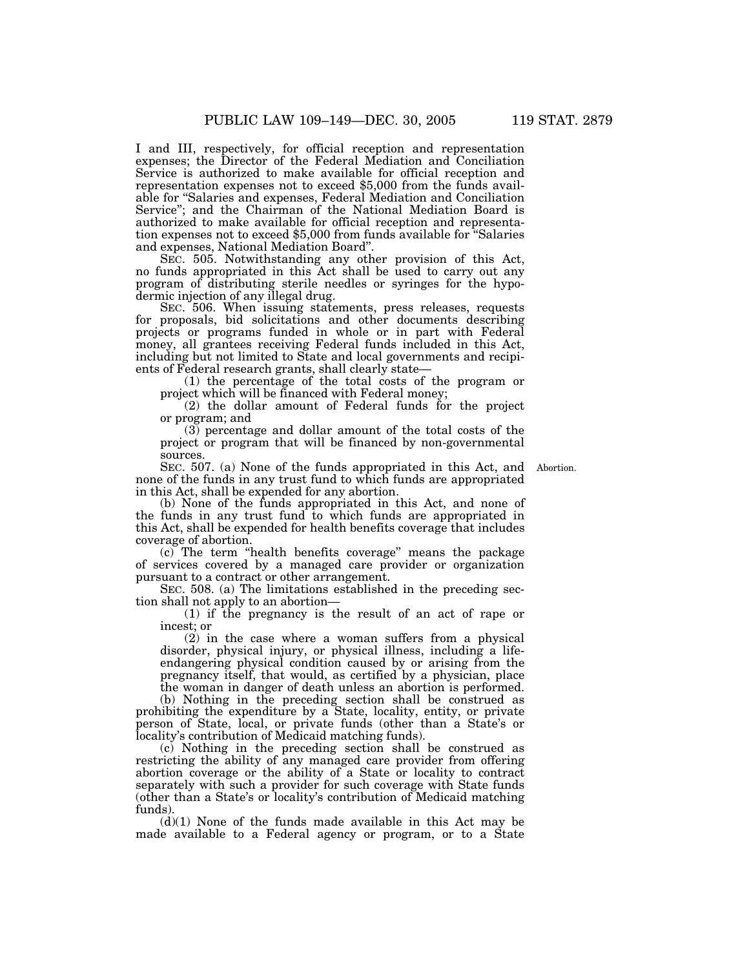I and III, respectively, for official reception and representation expenses; the Director of the Federal Mediation and Conciliation Service is authorized to make available for official reception and representation expenses not to exceed \$5,000 from the funds available for ''Salaries and expenses, Federal Mediation and Conciliation Service''; and the Chairman of the National Mediation Board is authorized to make available for official reception and representation expenses not to exceed \$5,000 from funds available for ''Salaries and expenses, National Mediation Board''.

SEC. 505. Notwithstanding any other provision of this Act, no funds appropriated in this Act shall be used to carry out any program of distributing sterile needles or syringes for the hypodermic injection of any illegal drug.

SEC. 506. When issuing statements, press releases, requests for proposals, bid solicitations and other documents describing projects or programs funded in whole or in part with Federal money, all grantees receiving Federal funds included in this Act, including but not limited to State and local governments and recipients of Federal research grants, shall clearly state—

(1) the percentage of the total costs of the program or project which will be financed with Federal money;

(2) the dollar amount of Federal funds for the project or program; and

(3) percentage and dollar amount of the total costs of the project or program that will be financed by non-governmental sources.

SEC. 507. (a) None of the funds appropriated in this Act, and Abortion. none of the funds in any trust fund to which funds are appropriated in this Act, shall be expended for any abortion.

(b) None of the funds appropriated in this Act, and none of the funds in any trust fund to which funds are appropriated in this Act, shall be expended for health benefits coverage that includes coverage of abortion.

(c) The term ''health benefits coverage'' means the package of services covered by a managed care provider or organization pursuant to a contract or other arrangement.

SEC. 508. (a) The limitations established in the preceding section shall not apply to an abortion—

(1) if the pregnancy is the result of an act of rape or incest; or

(2) in the case where a woman suffers from a physical disorder, physical injury, or physical illness, including a lifeendangering physical condition caused by or arising from the pregnancy itself, that would, as certified by a physician, place the woman in danger of death unless an abortion is performed.

(b) Nothing in the preceding section shall be construed as prohibiting the expenditure by a State, locality, entity, or private person of State, local, or private funds (other than a State's or locality's contribution of Medicaid matching funds).

(c) Nothing in the preceding section shall be construed as restricting the ability of any managed care provider from offering abortion coverage or the ability of a State or locality to contract separately with such a provider for such coverage with State funds (other than a State's or locality's contribution of Medicaid matching funds).

 $(d)(1)$  None of the funds made available in this Act may be made available to a Federal agency or program, or to a State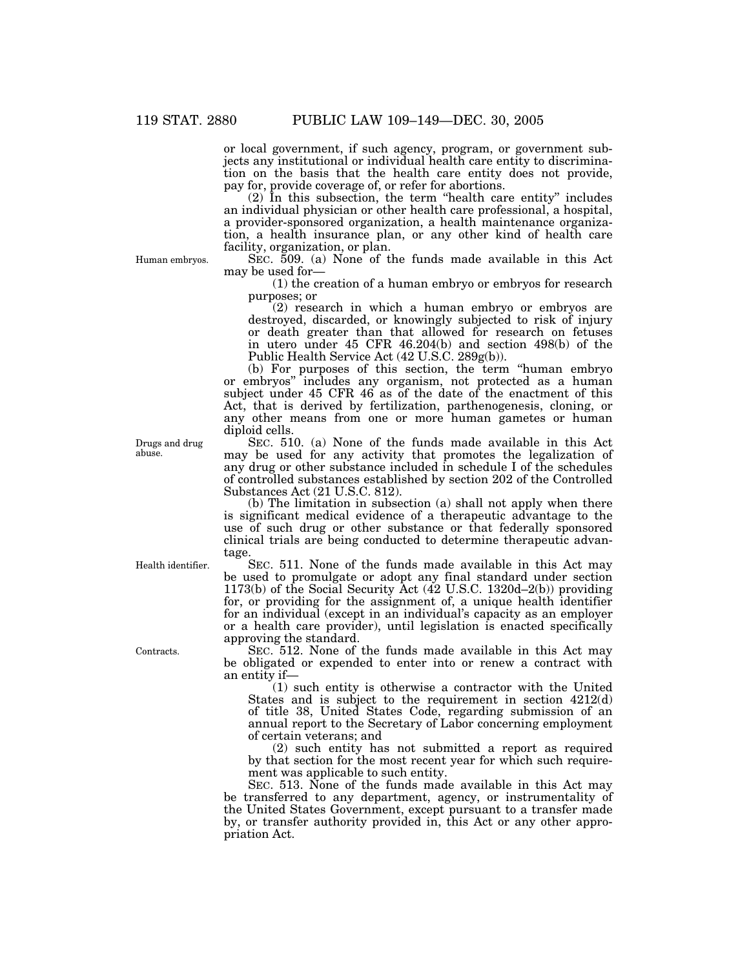or local government, if such agency, program, or government subjects any institutional or individual health care entity to discrimination on the basis that the health care entity does not provide, pay for, provide coverage of, or refer for abortions.

(2) In this subsection, the term ''health care entity'' includes an individual physician or other health care professional, a hospital, a provider-sponsored organization, a health maintenance organization, a health insurance plan, or any other kind of health care facility, organization, or plan.

Human embryos.

SEC. 509. (a) None of the funds made available in this Act may be used for—

(1) the creation of a human embryo or embryos for research purposes; or

(2) research in which a human embryo or embryos are destroyed, discarded, or knowingly subjected to risk of injury or death greater than that allowed for research on fetuses in utero under 45 CFR 46.204(b) and section 498(b) of the Public Health Service Act (42 U.S.C. 289g(b)).

(b) For purposes of this section, the term ''human embryo or embryos'' includes any organism, not protected as a human subject under 45 CFR 46 as of the date of the enactment of this Act, that is derived by fertilization, parthenogenesis, cloning, or any other means from one or more human gametes or human diploid cells.

SEC. 510. (a) None of the funds made available in this Act may be used for any activity that promotes the legalization of any drug or other substance included in schedule I of the schedules of controlled substances established by section 202 of the Controlled Substances Act (21 U.S.C. 812).

(b) The limitation in subsection (a) shall not apply when there is significant medical evidence of a therapeutic advantage to the use of such drug or other substance or that federally sponsored clinical trials are being conducted to determine therapeutic advantage.

SEC. 511. None of the funds made available in this Act may be used to promulgate or adopt any final standard under section 1173(b) of the Social Security Act (42 U.S.C. 1320d–2(b)) providing for, or providing for the assignment of, a unique health identifier for an individual (except in an individual's capacity as an employer or a health care provider), until legislation is enacted specifically approving the standard.

SEC. 512. None of the funds made available in this Act may be obligated or expended to enter into or renew a contract with an entity if—

(1) such entity is otherwise a contractor with the United States and is subject to the requirement in section 4212(d) of title 38, United States Code, regarding submission of an annual report to the Secretary of Labor concerning employment of certain veterans; and

(2) such entity has not submitted a report as required by that section for the most recent year for which such requirement was applicable to such entity.

SEC. 513. None of the funds made available in this Act may be transferred to any department, agency, or instrumentality of the United States Government, except pursuant to a transfer made by, or transfer authority provided in, this Act or any other appropriation Act.

Drugs and drug abuse.

Health identifier.

Contracts.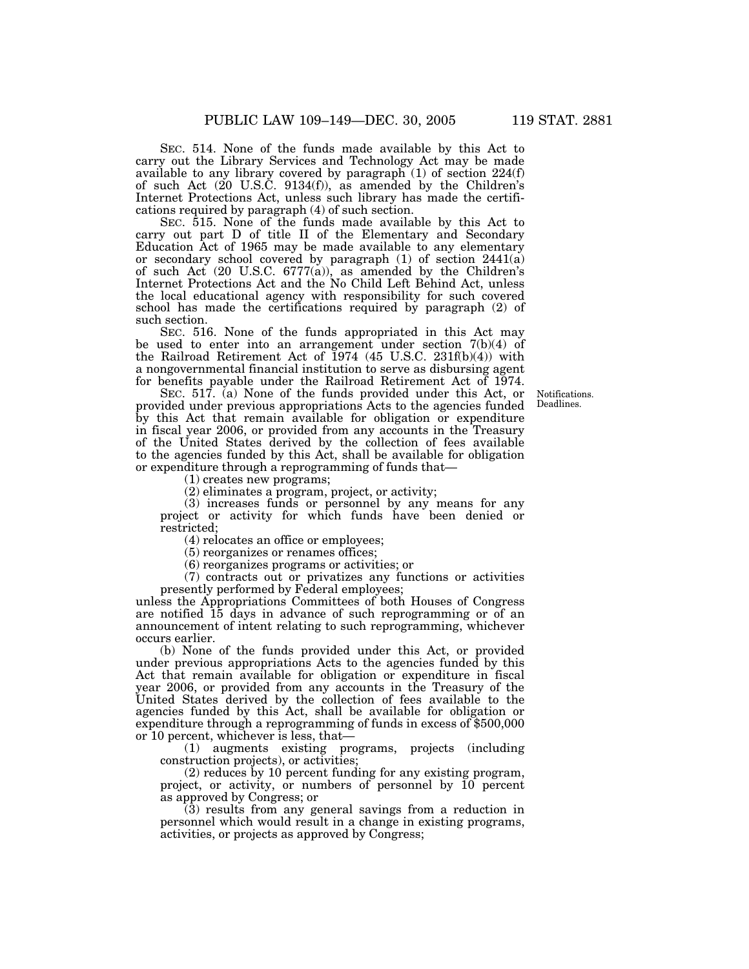SEC. 514. None of the funds made available by this Act to carry out the Library Services and Technology Act may be made available to any library covered by paragraph (1) of section 224(f) of such Act (20 U.S.C. 9134(f)), as amended by the Children's Internet Protections Act, unless such library has made the certifications required by paragraph (4) of such section.

SEC. 515. None of the funds made available by this Act to carry out part D of title II of the Elementary and Secondary Education Act of 1965 may be made available to any elementary or secondary school covered by paragraph (1) of section 2441(a) of such Act (20 U.S.C. 6777(a)), as amended by the Children's Internet Protections Act and the No Child Left Behind Act, unless the local educational agency with responsibility for such covered school has made the certifications required by paragraph (2) of such section.

SEC. 516. None of the funds appropriated in this Act may be used to enter into an arrangement under section  $7(b)(4)$  of the Railroad Retirement Act of  $1974$  (45 U.S.C. 231f(b)(4)) with a nongovernmental financial institution to serve as disbursing agent for benefits payable under the Railroad Retirement Act of 1974.

SEC. 517. (a) None of the funds provided under this Act, or provided under previous appropriations Acts to the agencies funded by this Act that remain available for obligation or expenditure in fiscal year 2006, or provided from any accounts in the Treasury of the United States derived by the collection of fees available to the agencies funded by this Act, shall be available for obligation or expenditure through a reprogramming of funds that—

(1) creates new programs;

(2) eliminates a program, project, or activity;

(3) increases funds or personnel by any means for any project or activity for which funds have been denied or restricted;

(4) relocates an office or employees;

(5) reorganizes or renames offices;

(6) reorganizes programs or activities; or

(7) contracts out or privatizes any functions or activities presently performed by Federal employees;

unless the Appropriations Committees of both Houses of Congress are notified 15 days in advance of such reprogramming or of an announcement of intent relating to such reprogramming, whichever occurs earlier.

(b) None of the funds provided under this Act, or provided under previous appropriations Acts to the agencies funded by this Act that remain available for obligation or expenditure in fiscal year 2006, or provided from any accounts in the Treasury of the United States derived by the collection of fees available to the agencies funded by this Act, shall be available for obligation or expenditure through a reprogramming of funds in excess of \$500,000 or 10 percent, whichever is less, that—

(1) augments existing programs, projects (including construction projects), or activities;

(2) reduces by 10 percent funding for any existing program, project, or activity, or numbers of personnel by 10 percent as approved by Congress; or

(3) results from any general savings from a reduction in personnel which would result in a change in existing programs, activities, or projects as approved by Congress;

**Notifications** Deadlines.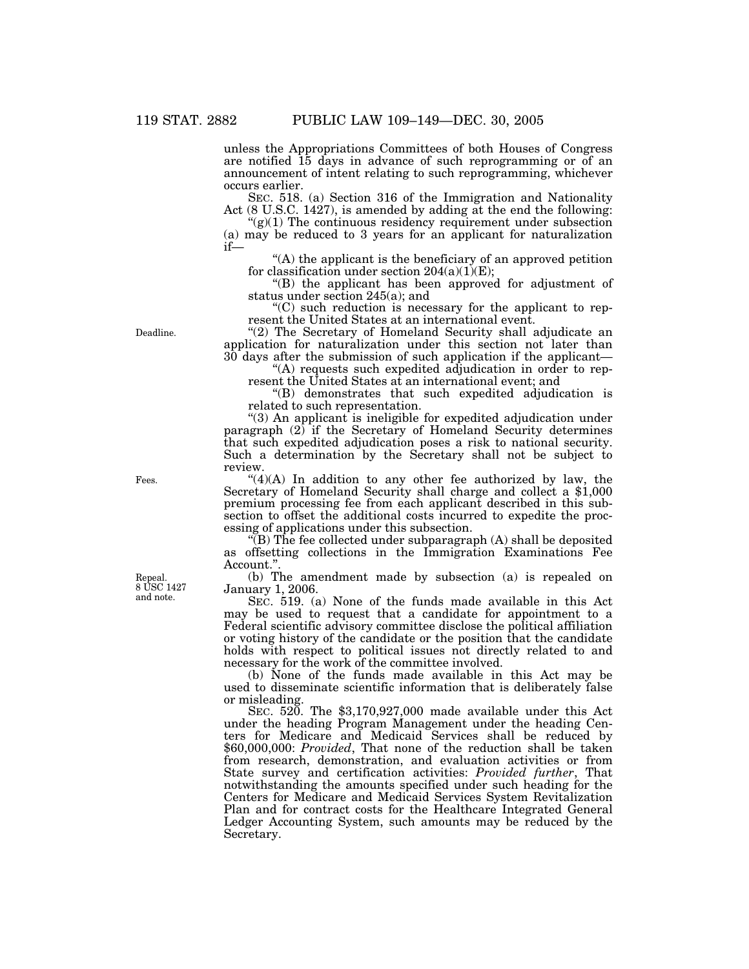unless the Appropriations Committees of both Houses of Congress are notified 15 days in advance of such reprogramming or of an announcement of intent relating to such reprogramming, whichever occurs earlier.

SEC. 518. (a) Section 316 of the Immigration and Nationality Act (8 U.S.C. 1427), is amended by adding at the end the following:

 $\mathcal{L}(g)(1)$  The continuous residency requirement under subsection (a) may be reduced to 3 years for an applicant for naturalization if—

''(A) the applicant is the beneficiary of an approved petition for classification under section  $204(a)(1)(E)$ ;

''(B) the applicant has been approved for adjustment of status under section 245(a); and

''(C) such reduction is necessary for the applicant to represent the United States at an international event.

"(2) The Secretary of Homeland Security shall adjudicate an application for naturalization under this section not later than 30 days after the submission of such application if the applicant—

''(A) requests such expedited adjudication in order to represent the United States at an international event; and

''(B) demonstrates that such expedited adjudication is related to such representation.

''(3) An applicant is ineligible for expedited adjudication under paragraph  $(2)$  if the Secretary of Homeland Security determines that such expedited adjudication poses a risk to national security. Such a determination by the Secretary shall not be subject to review.

 $"(4)(A)$  In addition to any other fee authorized by law, the Secretary of Homeland Security shall charge and collect a \$1,000 premium processing fee from each applicant described in this subsection to offset the additional costs incurred to expedite the processing of applications under this subsection.

 $\sqrt{\text{B}}$ ) The fee collected under subparagraph (A) shall be deposited as offsetting collections in the Immigration Examinations Fee Account."

(b) The amendment made by subsection (a) is repealed on January 1, 2006.

SEC. 519. (a) None of the funds made available in this Act may be used to request that a candidate for appointment to a Federal scientific advisory committee disclose the political affiliation or voting history of the candidate or the position that the candidate holds with respect to political issues not directly related to and necessary for the work of the committee involved.

(b) None of the funds made available in this Act may be used to disseminate scientific information that is deliberately false or misleading.

SEC. 520. The \$3,170,927,000 made available under this Act under the heading Program Management under the heading Centers for Medicare and Medicaid Services shall be reduced by \$60,000,000: *Provided*, That none of the reduction shall be taken from research, demonstration, and evaluation activities or from State survey and certification activities: *Provided further*, That notwithstanding the amounts specified under such heading for the Centers for Medicare and Medicaid Services System Revitalization Plan and for contract costs for the Healthcare Integrated General Ledger Accounting System, such amounts may be reduced by the Secretary.

Repeal. 8 USC 1427 and note.

Fees.

Deadline.